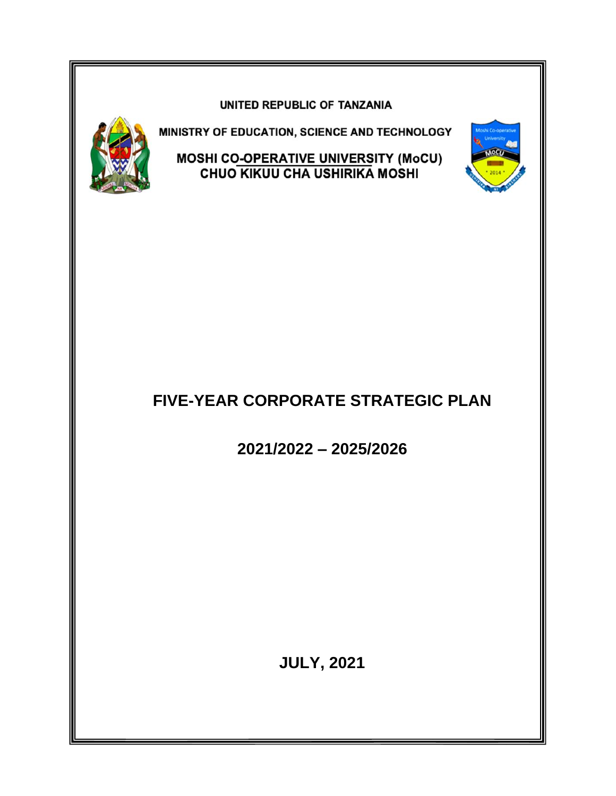#### UNITED REPUBLIC OF TANZANIA



MINISTRY OF EDUCATION, SCIENCE AND TECHNOLOGY

**MOSHI CO<u>-OPERATIVE UNIVERS</u>ITY (MoCU)**<br>CHUO KIKUU CHA USHIRIKA MOSHI



**2021/2022 – 2025/2026**

**JULY, 2021**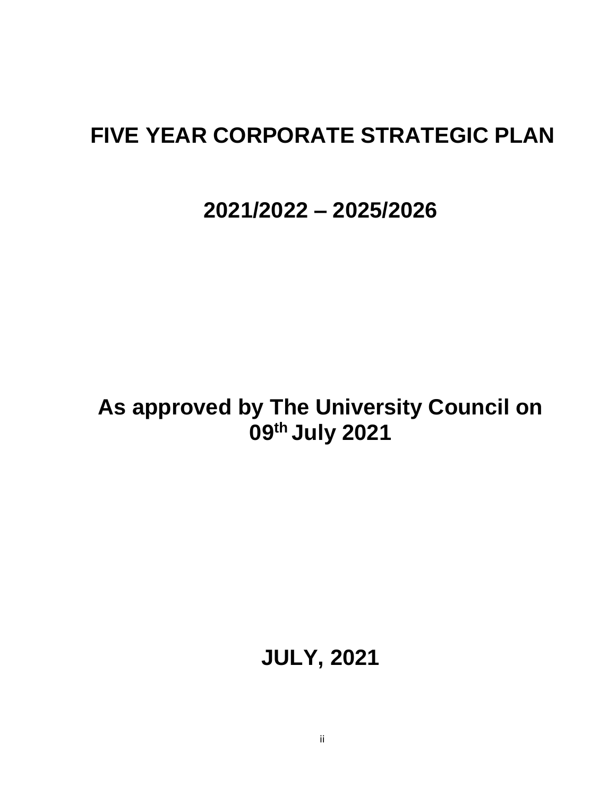# **FIVE YEAR CORPORATE STRATEGIC PLAN**

# **2021/2022 – 2025/2026**

# **As approved by The University Council on 09th July 2021**

# **JULY, 2021**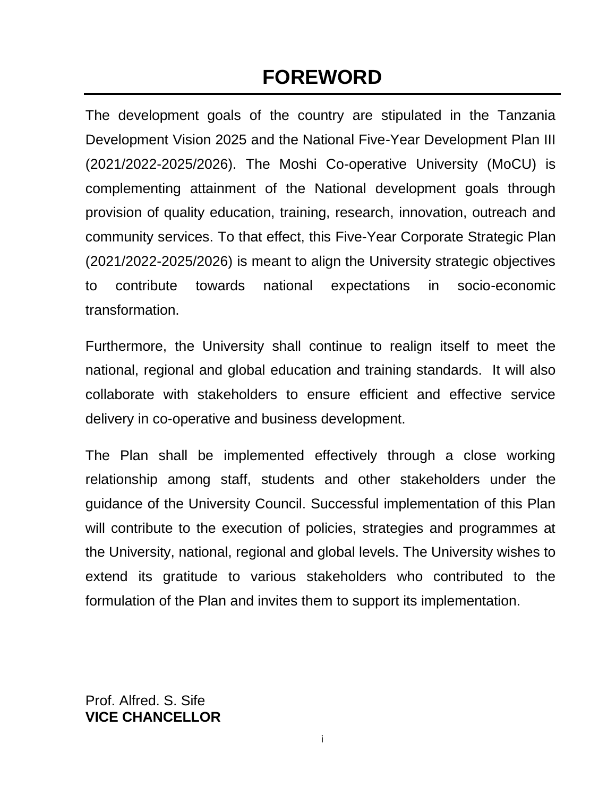# **FOREWORD**

The development goals of the country are stipulated in the Tanzania Development Vision 2025 and the National Five-Year Development Plan III (2021/2022-2025/2026). The Moshi Co-operative University (MoCU) is complementing attainment of the National development goals through provision of quality education, training, research, innovation, outreach and community services. To that effect, this Five-Year Corporate Strategic Plan (2021/2022-2025/2026) is meant to align the University strategic objectives to contribute towards national expectations in socio-economic transformation.

Furthermore, the University shall continue to realign itself to meet the national, regional and global education and training standards. It will also collaborate with stakeholders to ensure efficient and effective service delivery in co-operative and business development.

The Plan shall be implemented effectively through a close working relationship among staff, students and other stakeholders under the guidance of the University Council. Successful implementation of this Plan will contribute to the execution of policies, strategies and programmes at the University, national, regional and global levels. The University wishes to extend its gratitude to various stakeholders who contributed to the formulation of the Plan and invites them to support its implementation.

Prof. Alfred. S. Sife **VICE CHANCELLOR**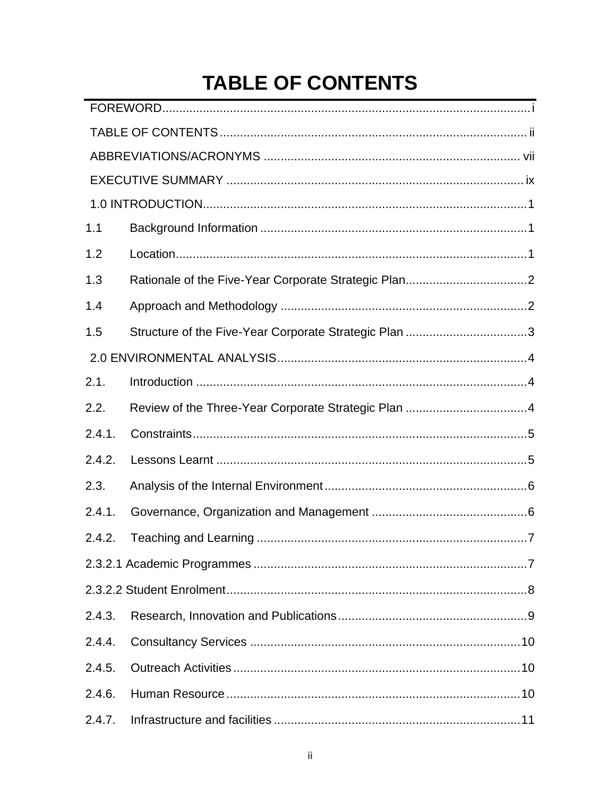# **TABLE OF CONTENTS**

| 1.1    |                                                       |
|--------|-------------------------------------------------------|
| 1.2    |                                                       |
| 1.3    |                                                       |
| 1.4    |                                                       |
| 1.5    | Structure of the Five-Year Corporate Strategic Plan 3 |
|        |                                                       |
| 2.1.   |                                                       |
| 2.2.   | Review of the Three-Year Corporate Strategic Plan 4   |
| 2.4.1. |                                                       |
| 2.4.2. |                                                       |
| 2.3.   |                                                       |
| 2.4.1. |                                                       |
| 2.4.2. |                                                       |
|        |                                                       |
|        |                                                       |
| 2.4.3. |                                                       |
| 2.4.4. |                                                       |
| 2.4.5. |                                                       |
| 2.4.6. |                                                       |
| 2.4.7. |                                                       |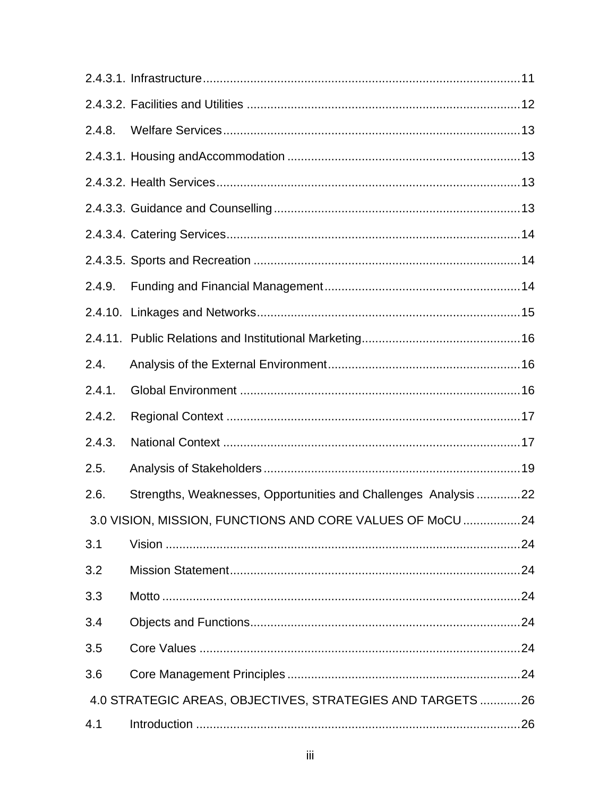| 2.4.8. |                                                                 |  |
|--------|-----------------------------------------------------------------|--|
|        |                                                                 |  |
|        |                                                                 |  |
|        |                                                                 |  |
|        |                                                                 |  |
|        |                                                                 |  |
| 2.4.9. |                                                                 |  |
|        |                                                                 |  |
|        |                                                                 |  |
| 2.4.   |                                                                 |  |
| 2.4.1. |                                                                 |  |
| 2.4.2. |                                                                 |  |
|        |                                                                 |  |
| 2.4.3. |                                                                 |  |
| 2.5.   |                                                                 |  |
| 2.6.   | Strengths, Weaknesses, Opportunities and Challenges Analysis 22 |  |
|        | 3.0 VISION, MISSION, FUNCTIONS AND CORE VALUES OF MoCU24        |  |
| 3.1    |                                                                 |  |
| 3.2    |                                                                 |  |
| 3.3    |                                                                 |  |
| 3.4    |                                                                 |  |
| 3.5    |                                                                 |  |
| 3.6    |                                                                 |  |
|        | 4.0 STRATEGIC AREAS, OBJECTIVES, STRATEGIES AND TARGETS  26     |  |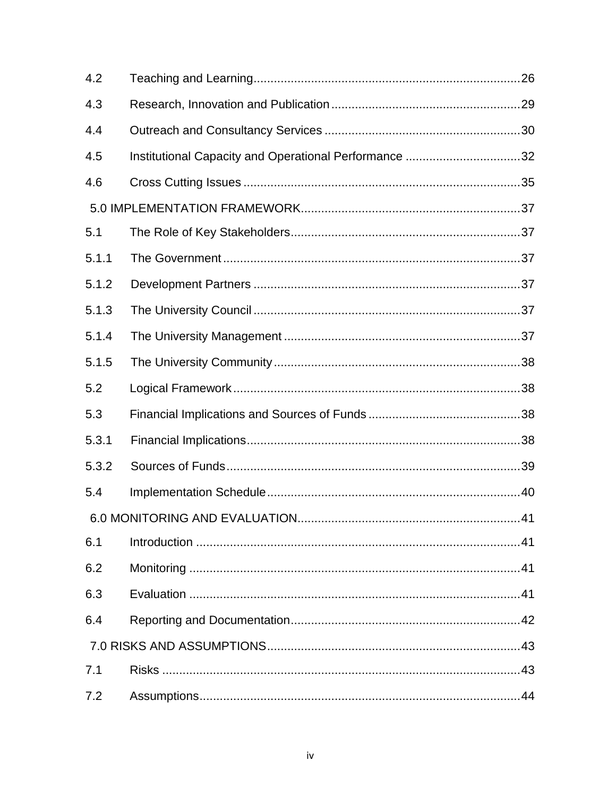| 4.2   |                                                       |    |
|-------|-------------------------------------------------------|----|
| 4.3   |                                                       |    |
| 4.4   |                                                       |    |
| 4.5   | Institutional Capacity and Operational Performance 32 |    |
| 4.6   |                                                       |    |
|       |                                                       |    |
| 5.1   |                                                       |    |
| 5.1.1 |                                                       |    |
| 5.1.2 |                                                       |    |
| 5.1.3 |                                                       |    |
| 5.1.4 |                                                       |    |
| 5.1.5 |                                                       |    |
| 5.2   |                                                       |    |
| 5.3   |                                                       |    |
| 5.3.1 |                                                       |    |
| 5.3.2 |                                                       |    |
| 5.4   |                                                       |    |
|       |                                                       | 41 |
| 6.1   |                                                       |    |
| 6.2   |                                                       |    |
| 6.3   |                                                       |    |
| 6.4   |                                                       |    |
|       |                                                       |    |
| 7.1   |                                                       |    |
| 7.2   |                                                       |    |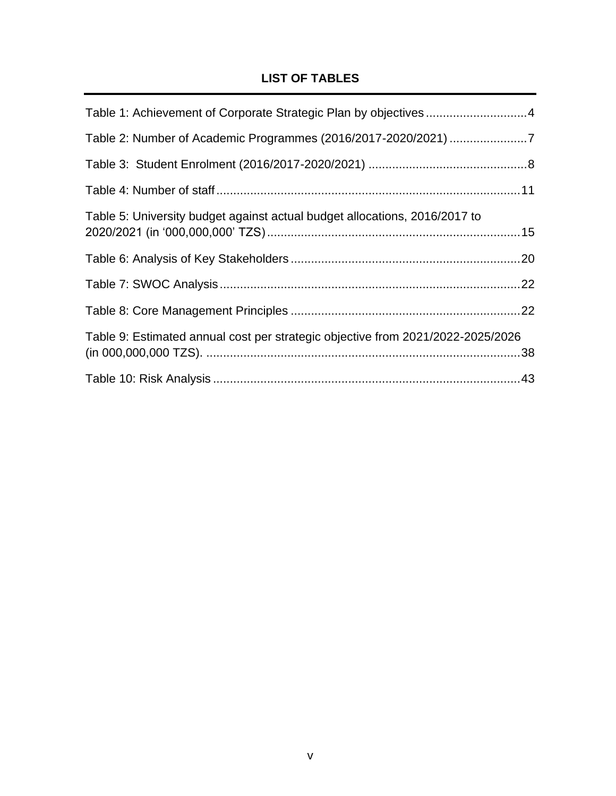# **LIST OF TABLES**

| Table 1: Achievement of Corporate Strategic Plan by objectives4                 |  |
|---------------------------------------------------------------------------------|--|
|                                                                                 |  |
|                                                                                 |  |
|                                                                                 |  |
| Table 5: University budget against actual budget allocations, 2016/2017 to      |  |
|                                                                                 |  |
|                                                                                 |  |
|                                                                                 |  |
| Table 9: Estimated annual cost per strategic objective from 2021/2022-2025/2026 |  |
|                                                                                 |  |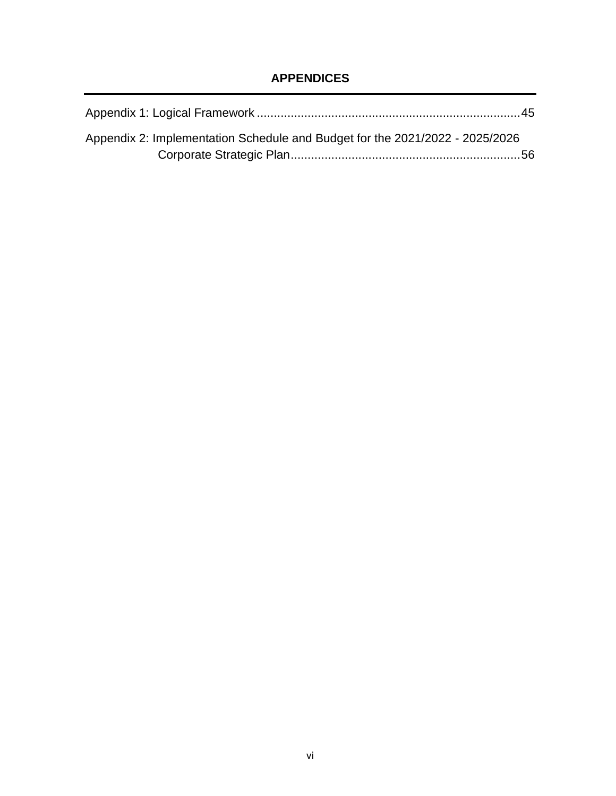# **APPENDICES**

| Appendix 2: Implementation Schedule and Budget for the 2021/2022 - 2025/2026 |  |
|------------------------------------------------------------------------------|--|
|                                                                              |  |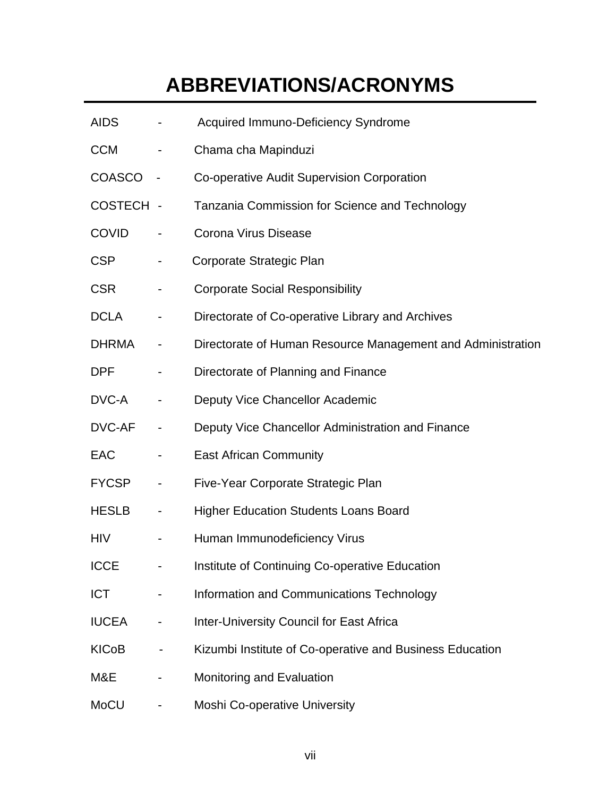# **ABBREVIATIONS/ACRONYMS**

| <b>AIDS</b>  | Acquired Immuno-Deficiency Syndrome                         |
|--------------|-------------------------------------------------------------|
| <b>CCM</b>   | Chama cha Mapinduzi                                         |
| COASCO       | Co-operative Audit Supervision Corporation                  |
| COSTECH -    | Tanzania Commission for Science and Technology              |
| <b>COVID</b> | Corona Virus Disease                                        |
| <b>CSP</b>   | Corporate Strategic Plan                                    |
| <b>CSR</b>   | <b>Corporate Social Responsibility</b>                      |
| <b>DCLA</b>  | Directorate of Co-operative Library and Archives            |
| <b>DHRMA</b> | Directorate of Human Resource Management and Administration |
| <b>DPF</b>   | Directorate of Planning and Finance                         |
| DVC-A        | Deputy Vice Chancellor Academic                             |
| DVC-AF       | Deputy Vice Chancellor Administration and Finance           |
| <b>EAC</b>   | <b>East African Community</b>                               |
| <b>FYCSP</b> | Five-Year Corporate Strategic Plan                          |
| <b>HESLB</b> | <b>Higher Education Students Loans Board</b>                |
| <b>HIV</b>   | Human Immunodeficiency Virus                                |
| <b>ICCE</b>  | Institute of Continuing Co-operative Education              |
| <b>ICT</b>   | Information and Communications Technology                   |
| <b>IUCEA</b> | Inter-University Council for East Africa                    |
| <b>KICoB</b> | Kizumbi Institute of Co-operative and Business Education    |
| M&E          | Monitoring and Evaluation                                   |
| MoCU         | <b>Moshi Co-operative University</b>                        |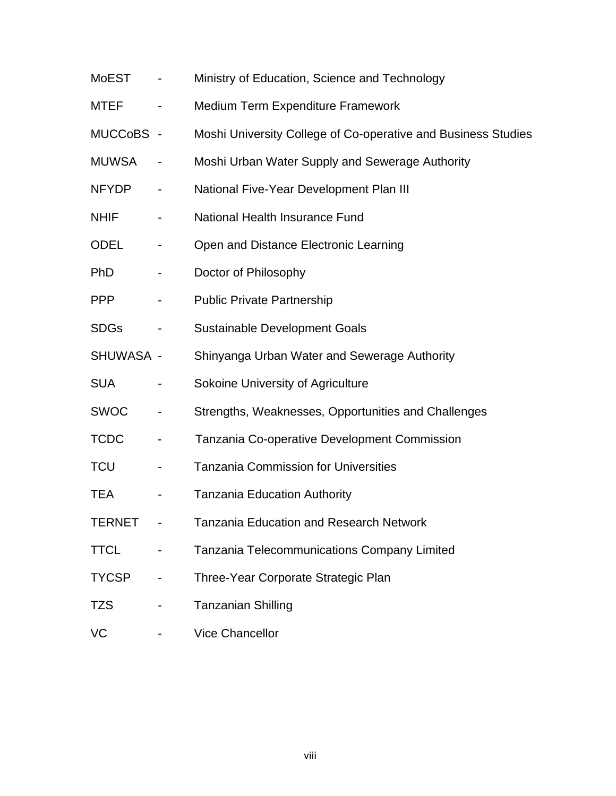| <b>MoEST</b>  |                          | Ministry of Education, Science and Technology                 |
|---------------|--------------------------|---------------------------------------------------------------|
| MTEF          |                          | Medium Term Expenditure Framework                             |
| MUCCoBS -     |                          | Moshi University College of Co-operative and Business Studies |
| <b>MUWSA</b>  |                          | Moshi Urban Water Supply and Sewerage Authority               |
| <b>NFYDP</b>  | $\overline{\phantom{a}}$ | National Five-Year Development Plan III                       |
| <b>NHIF</b>   |                          | National Health Insurance Fund                                |
| ODEL          |                          | Open and Distance Electronic Learning                         |
| <b>PhD</b>    | -                        | Doctor of Philosophy                                          |
| <b>PPP</b>    |                          | <b>Public Private Partnership</b>                             |
| <b>SDGs</b>   | $\overline{\phantom{a}}$ | <b>Sustainable Development Goals</b>                          |
| SHUWASA -     |                          | Shinyanga Urban Water and Sewerage Authority                  |
| <b>SUA</b>    |                          | Sokoine University of Agriculture                             |
| <b>SWOC</b>   |                          | Strengths, Weaknesses, Opportunities and Challenges           |
| <b>TCDC</b>   | ۰                        | Tanzania Co-operative Development Commission                  |
| <b>TCU</b>    | $\blacksquare$           | <b>Tanzania Commission for Universities</b>                   |
| <b>TEA</b>    |                          | <b>Tanzania Education Authority</b>                           |
| <b>TERNET</b> |                          | <b>Tanzania Education and Research Network</b>                |
| <b>TTCL</b>   |                          | Tanzania Telecommunications Company Limited                   |
| <b>TYCSP</b>  |                          | Three-Year Corporate Strategic Plan                           |
| <b>TZS</b>    |                          | <b>Tanzanian Shilling</b>                                     |
| VC            |                          | <b>Vice Chancellor</b>                                        |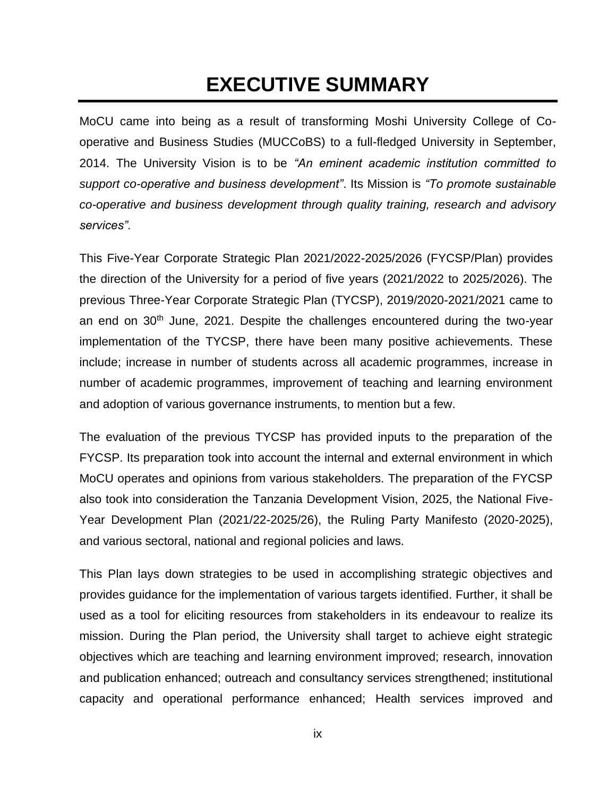# **EXECUTIVE SUMMARY**

MoCU came into being as a result of transforming Moshi University College of Cooperative and Business Studies (MUCCoBS) to a full-fledged University in September, 2014. The University Vision is to be *"An eminent academic institution committed to support co-operative and business development"*. Its Mission is *"To promote sustainable co-operative and business development through quality training, research and advisory services".* 

This Five-Year Corporate Strategic Plan 2021/2022-2025/2026 (FYCSP/Plan) provides the direction of the University for a period of five years (2021/2022 to 2025/2026). The previous Three-Year Corporate Strategic Plan (TYCSP), 2019/2020-2021/2021 came to an end on 30<sup>th</sup> June, 2021. Despite the challenges encountered during the two-year implementation of the TYCSP, there have been many positive achievements. These include; increase in number of students across all academic programmes, increase in number of academic programmes, improvement of teaching and learning environment and adoption of various governance instruments, to mention but a few.

The evaluation of the previous TYCSP has provided inputs to the preparation of the FYCSP. Its preparation took into account the internal and external environment in which MoCU operates and opinions from various stakeholders. The preparation of the FYCSP also took into consideration the Tanzania Development Vision, 2025, the National Five-Year Development Plan (2021/22-2025/26), the Ruling Party Manifesto (2020-2025), and various sectoral, national and regional policies and laws.

This Plan lays down strategies to be used in accomplishing strategic objectives and provides guidance for the implementation of various targets identified. Further, it shall be used as a tool for eliciting resources from stakeholders in its endeavour to realize its mission. During the Plan period, the University shall target to achieve eight strategic objectives which are teaching and learning environment improved; research, innovation and publication enhanced; outreach and consultancy services strengthened; institutional capacity and operational performance enhanced; Health services improved and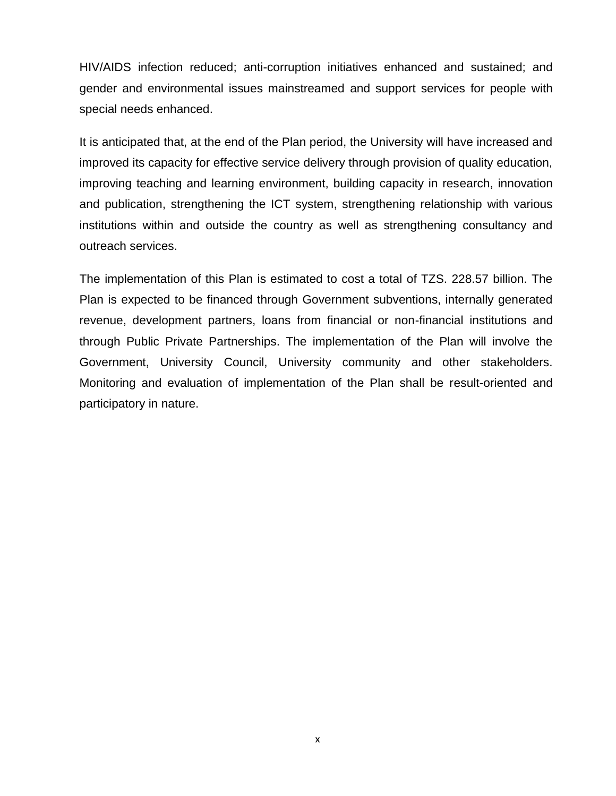HIV/AIDS infection reduced; anti-corruption initiatives enhanced and sustained; and gender and environmental issues mainstreamed and support services for people with special needs enhanced.

It is anticipated that, at the end of the Plan period, the University will have increased and improved its capacity for effective service delivery through provision of quality education, improving teaching and learning environment, building capacity in research, innovation and publication, strengthening the ICT system, strengthening relationship with various institutions within and outside the country as well as strengthening consultancy and outreach services.

The implementation of this Plan is estimated to cost a total of TZS. 228.57 billion. The Plan is expected to be financed through Government subventions, internally generated revenue, development partners, loans from financial or non-financial institutions and through Public Private Partnerships. The implementation of the Plan will involve the Government, University Council, University community and other stakeholders. Monitoring and evaluation of implementation of the Plan shall be result-oriented and participatory in nature.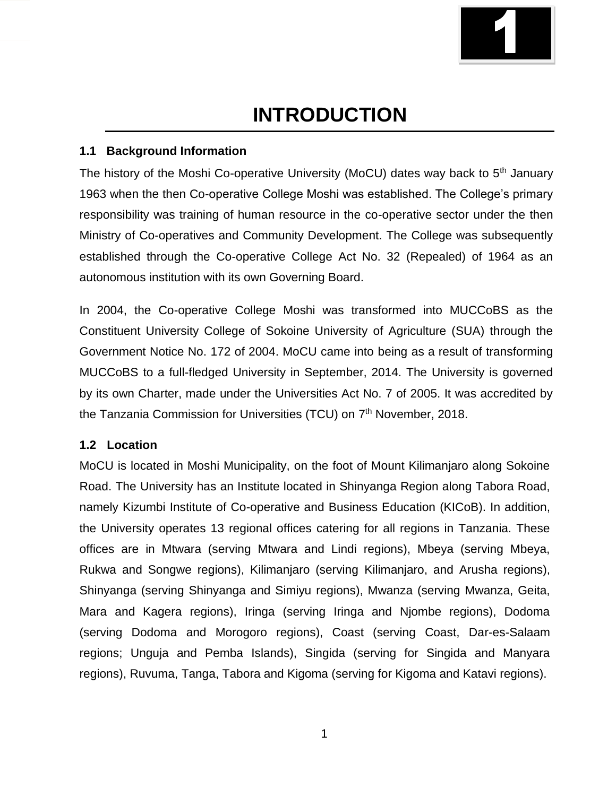

# **INTRODUCTION**

#### **1.1 Background Information**

The history of the Moshi Co-operative University (MoCU) dates way back to  $5<sup>th</sup>$  January 1963 when the then Co-operative College Moshi was established. The College's primary responsibility was training of human resource in the co-operative sector under the then Ministry of Co-operatives and Community Development. The College was subsequently established through the Co-operative College Act No. 32 (Repealed) of 1964 as an autonomous institution with its own Governing Board.

In 2004, the Co-operative College Moshi was transformed into MUCCoBS as the Constituent University College of Sokoine University of Agriculture (SUA) through the Government Notice No. 172 of 2004. MoCU came into being as a result of transforming MUCCoBS to a full-fledged University in September, 2014. The University is governed by its own Charter, made under the Universities Act No. 7 of 2005. It was accredited by the Tanzania Commission for Universities (TCU) on 7<sup>th</sup> November, 2018.

#### **1.2 Location**

MoCU is located in Moshi Municipality, on the foot of Mount Kilimanjaro along Sokoine Road. The University has an Institute located in Shinyanga Region along Tabora Road, namely Kizumbi Institute of Co-operative and Business Education (KICoB). In addition, the University operates 13 regional offices catering for all regions in Tanzania. These offices are in Mtwara (serving Mtwara and Lindi regions), Mbeya (serving Mbeya, Rukwa and Songwe regions), Kilimanjaro (serving Kilimanjaro, and Arusha regions), Shinyanga (serving Shinyanga and Simiyu regions), Mwanza (serving Mwanza, Geita, Mara and Kagera regions), Iringa (serving Iringa and Njombe regions), Dodoma (serving Dodoma and Morogoro regions), Coast (serving Coast, Dar-es-Salaam regions; Unguja and Pemba Islands), Singida (serving for Singida and Manyara regions), Ruvuma, Tanga, Tabora and Kigoma (serving for Kigoma and Katavi regions).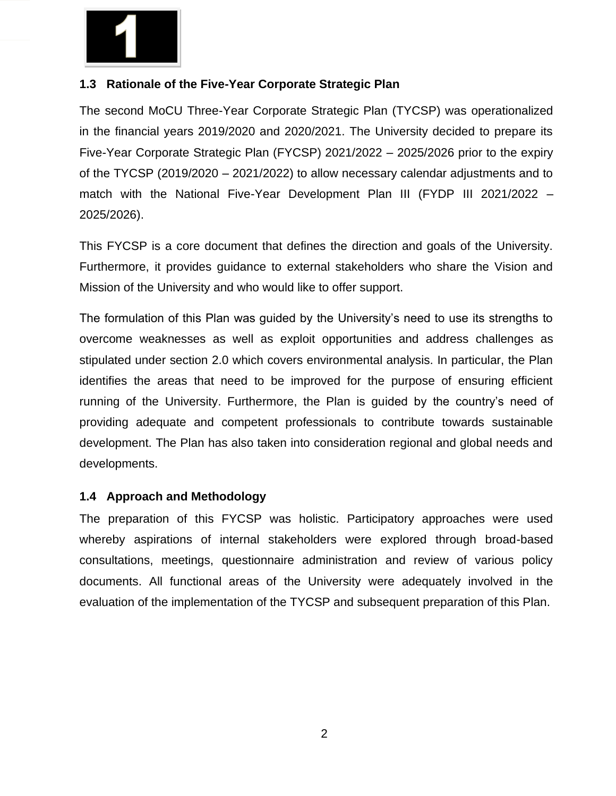

#### **1.3 Rationale of the Five-Year Corporate Strategic Plan**

The second MoCU Three-Year Corporate Strategic Plan (TYCSP) was operationalized in the financial years 2019/2020 and 2020/2021. The University decided to prepare its Five-Year Corporate Strategic Plan (FYCSP) 2021/2022 – 2025/2026 prior to the expiry of the TYCSP (2019/2020 – 2021/2022) to allow necessary calendar adjustments and to match with the National Five-Year Development Plan III (FYDP III 2021/2022 – 2025/2026).

This FYCSP is a core document that defines the direction and goals of the University. Furthermore, it provides guidance to external stakeholders who share the Vision and Mission of the University and who would like to offer support.

The formulation of this Plan was guided by the University's need to use its strengths to overcome weaknesses as well as exploit opportunities and address challenges as stipulated under section 2.0 which covers environmental analysis. In particular, the Plan identifies the areas that need to be improved for the purpose of ensuring efficient running of the University. Furthermore, the Plan is guided by the country's need of providing adequate and competent professionals to contribute towards sustainable development. The Plan has also taken into consideration regional and global needs and developments.

#### **1.4 Approach and Methodology**

The preparation of this FYCSP was holistic. Participatory approaches were used whereby aspirations of internal stakeholders were explored through broad-based consultations, meetings, questionnaire administration and review of various policy documents. All functional areas of the University were adequately involved in the evaluation of the implementation of the TYCSP and subsequent preparation of this Plan.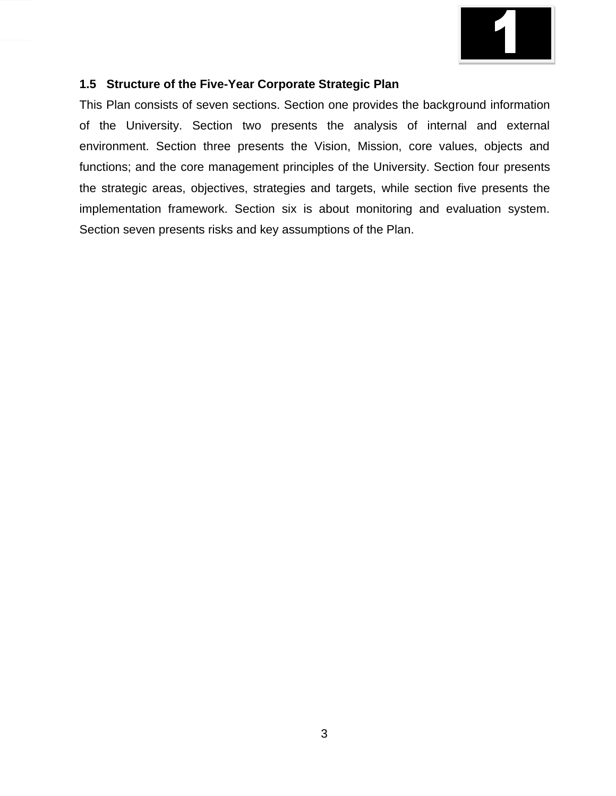

#### **1.5 Structure of the Five-Year Corporate Strategic Plan**

This Plan consists of seven sections. Section one provides the background information of the University. Section two presents the analysis of internal and external environment. Section three presents the Vision, Mission, core values, objects and functions; and the core management principles of the University. Section four presents the strategic areas, objectives, strategies and targets, while section five presents the implementation framework. Section six is about monitoring and evaluation system. Section seven presents risks and key assumptions of the Plan.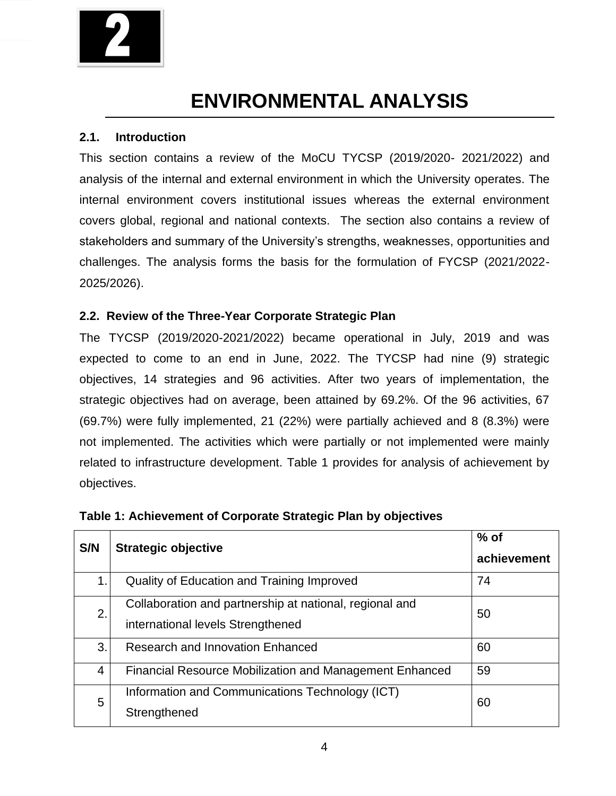

# **ENVIRONMENTAL ANALYSIS**

#### **2.1. Introduction**

This section contains a review of the MoCU TYCSP (2019/2020- 2021/2022) and analysis of the internal and external environment in which the University operates. The internal environment covers institutional issues whereas the external environment covers global, regional and national contexts. The section also contains a review of stakeholders and summary of the University's strengths, weaknesses, opportunities and challenges. The analysis forms the basis for the formulation of FYCSP (2021/2022- 2025/2026).

#### **2.2. Review of the Three-Year Corporate Strategic Plan**

The TYCSP (2019/2020-2021/2022) became operational in July, 2019 and was expected to come to an end in June, 2022. The TYCSP had nine (9) strategic objectives, 14 strategies and 96 activities. After two years of implementation, the strategic objectives had on average, been attained by 69.2%. Of the 96 activities, 67 (69.7%) were fully implemented, 21 (22%) were partially achieved and 8 (8.3%) were not implemented. The activities which were partially or not implemented were mainly related to infrastructure development. Table 1 provides for analysis of achievement by objectives.

| S/N            | <b>Strategic objective</b>                                                                   | $%$ of<br>achievement |
|----------------|----------------------------------------------------------------------------------------------|-----------------------|
| 1.             | Quality of Education and Training Improved                                                   | 74                    |
| 2.             | Collaboration and partnership at national, regional and<br>international levels Strengthened | 50                    |
| 3.             | Research and Innovation Enhanced                                                             | 60                    |
| $\overline{4}$ | <b>Financial Resource Mobilization and Management Enhanced</b>                               | 59                    |
| 5              | Information and Communications Technology (ICT)<br>Strengthened                              | 60                    |

#### **Table 1: Achievement of Corporate Strategic Plan by objectives**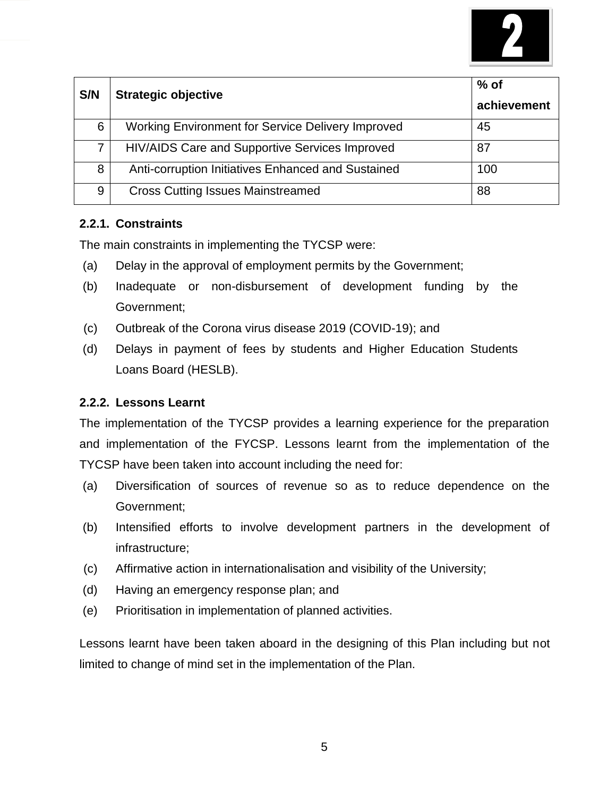

| S/N | <b>Strategic objective</b>                               | $%$ of<br>achievement |
|-----|----------------------------------------------------------|-----------------------|
| 6   | <b>Working Environment for Service Delivery Improved</b> | 45                    |
|     | HIV/AIDS Care and Supportive Services Improved           | 87                    |
| 8   | Anti-corruption Initiatives Enhanced and Sustained       | 100                   |
| 9   | <b>Cross Cutting Issues Mainstreamed</b>                 | 88                    |

#### **2.2.1. Constraints**

The main constraints in implementing the TYCSP were:

- (a) Delay in the approval of employment permits by the Government;
- (b) Inadequate or non-disbursement of development funding by the Government;
- (c) Outbreak of the Corona virus disease 2019 (COVID-19); and
- (d) Delays in payment of fees by students and Higher Education Students Loans Board (HESLB).

#### **2.2.2. Lessons Learnt**

The implementation of the TYCSP provides a learning experience for the preparation and implementation of the FYCSP. Lessons learnt from the implementation of the TYCSP have been taken into account including the need for:

- (a) Diversification of sources of revenue so as to reduce dependence on the Government;
- (b) Intensified efforts to involve development partners in the development of infrastructure;
- (c) Affirmative action in internationalisation and visibility of the University;
- (d) Having an emergency response plan; and
- (e) Prioritisation in implementation of planned activities.

Lessons learnt have been taken aboard in the designing of this Plan including but not limited to change of mind set in the implementation of the Plan.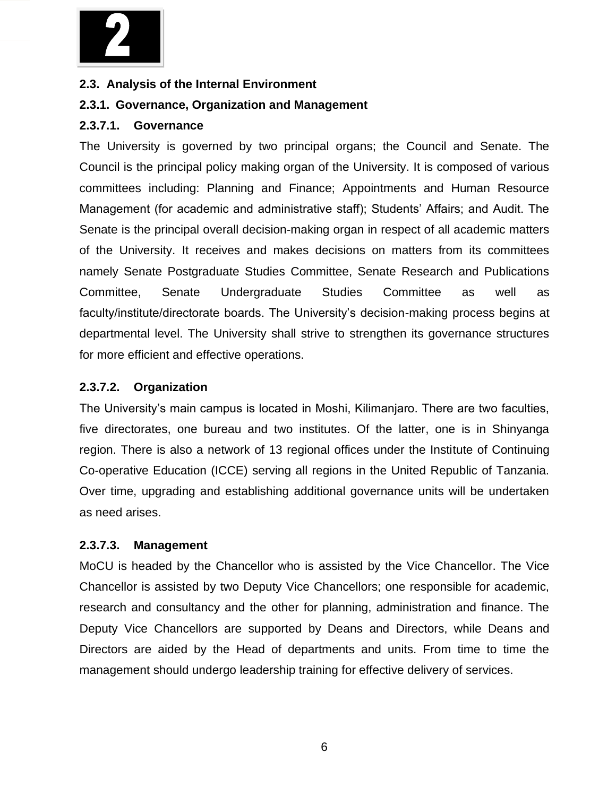

#### **2.3. Analysis of the Internal Environment**

#### **2.3.1. Governance, Organization and Management**

#### **2.3.7.1. Governance**

The University is governed by two principal organs; the Council and Senate. The Council is the principal policy making organ of the University. It is composed of various committees including: Planning and Finance; Appointments and Human Resource Management (for academic and administrative staff); Students' Affairs; and Audit. The Senate is the principal overall decision-making organ in respect of all academic matters of the University. It receives and makes decisions on matters from its committees namely Senate Postgraduate Studies Committee, Senate Research and Publications Committee, Senate Undergraduate Studies Committee as well as faculty/institute/directorate boards. The University's decision-making process begins at departmental level. The University shall strive to strengthen its governance structures for more efficient and effective operations.

#### **2.3.7.2. Organization**

The University's main campus is located in Moshi, Kilimanjaro. There are two faculties, five directorates, one bureau and two institutes. Of the latter, one is in Shinyanga region. There is also a network of 13 regional offices under the Institute of Continuing Co-operative Education (ICCE) serving all regions in the United Republic of Tanzania. Over time, upgrading and establishing additional governance units will be undertaken as need arises.

#### **2.3.7.3. Management**

MoCU is headed by the Chancellor who is assisted by the Vice Chancellor. The Vice Chancellor is assisted by two Deputy Vice Chancellors; one responsible for academic, research and consultancy and the other for planning, administration and finance. The Deputy Vice Chancellors are supported by Deans and Directors, while Deans and Directors are aided by the Head of departments and units. From time to time the management should undergo leadership training for effective delivery of services.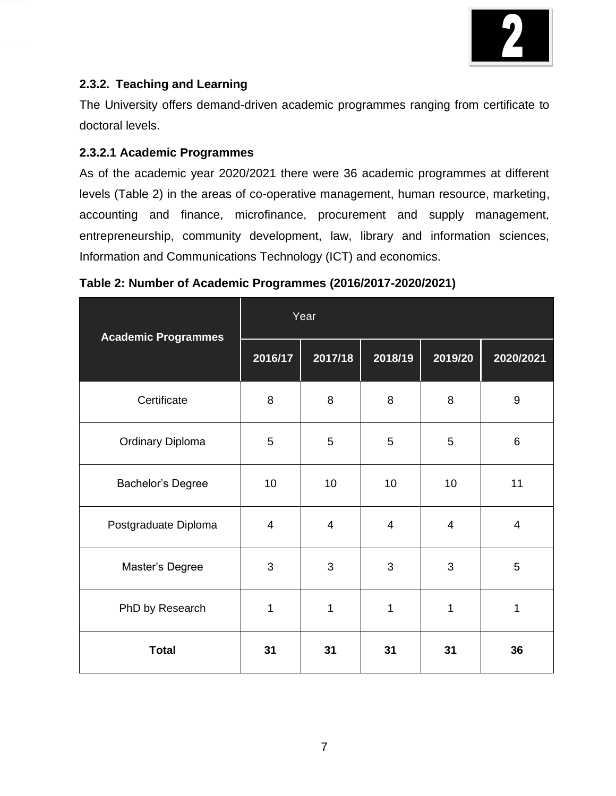

# **2.3.2. Teaching and Learning**

The University offers demand-driven academic programmes ranging from certificate to doctoral levels.

#### **2.3.2.1 Academic Programmes**

As of the academic year 2020/2021 there were 36 academic programmes at different levels (Table 2) in the areas of co-operative management, human resource, marketing, accounting and finance, microfinance, procurement and supply management, entrepreneurship, community development, law, library and information sciences, Information and Communications Technology (ICT) and economics.

| <b>Academic Programmes</b> |         | Year           |                |                |                |
|----------------------------|---------|----------------|----------------|----------------|----------------|
|                            | 2016/17 | 2017/18        | 2018/19        | 2019/20        | 2020/2021      |
| Certificate                | 8       | 8              | 8              | 8              | $9\,$          |
| <b>Ordinary Diploma</b>    | 5       | 5              | 5              | 5              | $6\phantom{1}$ |
| Bachelor's Degree          | 10      | 10             | 10             | 10             | 11             |
| Postgraduate Diploma       | 4       | $\overline{4}$ | $\overline{4}$ | $\overline{4}$ | 4              |
| Master's Degree            | 3       | 3              | 3              | 3              | 5              |
| PhD by Research            | 1       | 1              | 1              | 1              | 1              |
| <b>Total</b>               | 31      | 31             | 31             | 31             | 36             |

### **Table 2: Number of Academic Programmes (2016/2017-2020/2021)**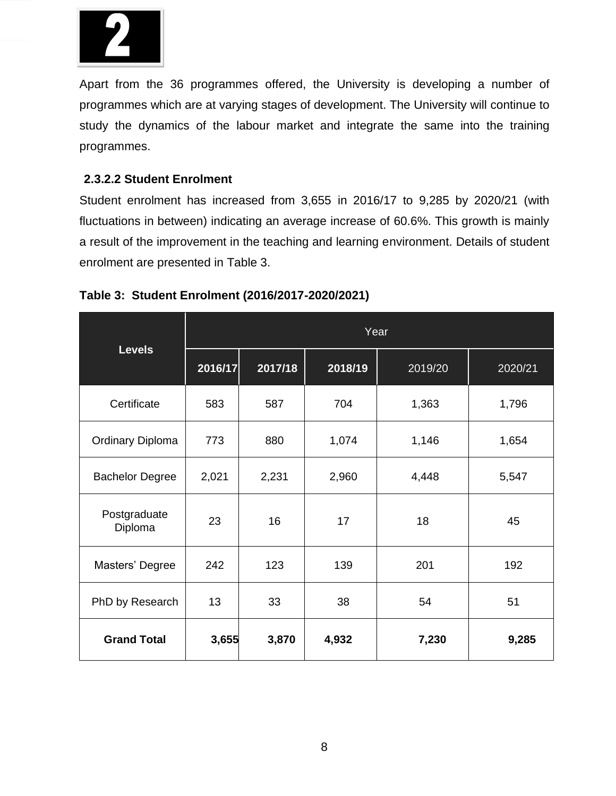

Apart from the 36 programmes offered, the University is developing a number of programmes which are at varying stages of development. The University will continue to study the dynamics of the labour market and integrate the same into the training programmes.

#### **2.3.2.2 Student Enrolment**

Student enrolment has increased from 3,655 in 2016/17 to 9,285 by 2020/21 (with fluctuations in between) indicating an average increase of 60.6%. This growth is mainly a result of the improvement in the teaching and learning environment. Details of student enrolment are presented in Table 3.

|                         | Year    |         |         |         |         |  |  |  |
|-------------------------|---------|---------|---------|---------|---------|--|--|--|
| <b>Levels</b>           | 2016/17 | 2017/18 | 2018/19 | 2019/20 | 2020/21 |  |  |  |
| Certificate             | 583     | 587     | 704     | 1,363   | 1,796   |  |  |  |
| <b>Ordinary Diploma</b> | 773     | 880     | 1,074   | 1,146   | 1,654   |  |  |  |
| <b>Bachelor Degree</b>  | 2,021   | 2,231   | 2,960   | 4,448   | 5,547   |  |  |  |
| Postgraduate<br>Diploma | 23      | 16      | 17      | 18      | 45      |  |  |  |
| Masters' Degree         | 242     | 123     | 139     | 201     | 192     |  |  |  |
| PhD by Research         | 13      | 33      | 38      | 54      | 51      |  |  |  |
| <b>Grand Total</b>      | 3,655   | 3,870   | 4,932   | 7,230   | 9,285   |  |  |  |

### **Table 3: Student Enrolment (2016/2017-2020/2021)**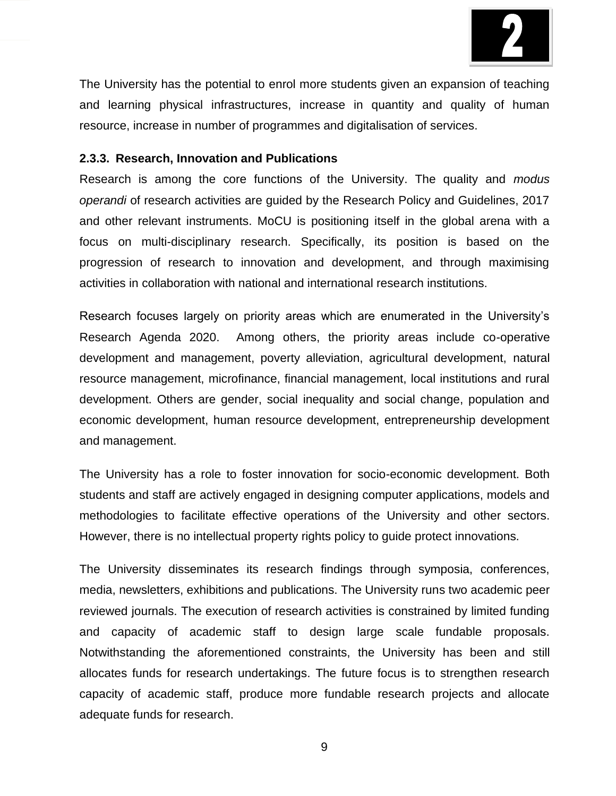

The University has the potential to enrol more students given an expansion of teaching and learning physical infrastructures, increase in quantity and quality of human resource, increase in number of programmes and digitalisation of services.

#### **2.3.3. Research, Innovation and Publications**

Research is among the core functions of the University. The quality and *modus operandi* of research activities are guided by the Research Policy and Guidelines, 2017 and other relevant instruments. MoCU is positioning itself in the global arena with a focus on multi-disciplinary research. Specifically, its position is based on the progression of research to innovation and development, and through maximising activities in collaboration with national and international research institutions.

Research focuses largely on priority areas which are enumerated in the University's Research Agenda 2020. Among others, the priority areas include co-operative development and management, poverty alleviation, agricultural development, natural resource management, microfinance, financial management, local institutions and rural development. Others are gender, social inequality and social change, population and economic development, human resource development, entrepreneurship development and management.

The University has a role to foster innovation for socio-economic development. Both students and staff are actively engaged in designing computer applications, models and methodologies to facilitate effective operations of the University and other sectors. However, there is no intellectual property rights policy to guide protect innovations.

The University disseminates its research findings through symposia, conferences, media, newsletters, exhibitions and publications. The University runs two academic peer reviewed journals. The execution of research activities is constrained by limited funding and capacity of academic staff to design large scale fundable proposals. Notwithstanding the aforementioned constraints, the University has been and still allocates funds for research undertakings. The future focus is to strengthen research capacity of academic staff, produce more fundable research projects and allocate adequate funds for research.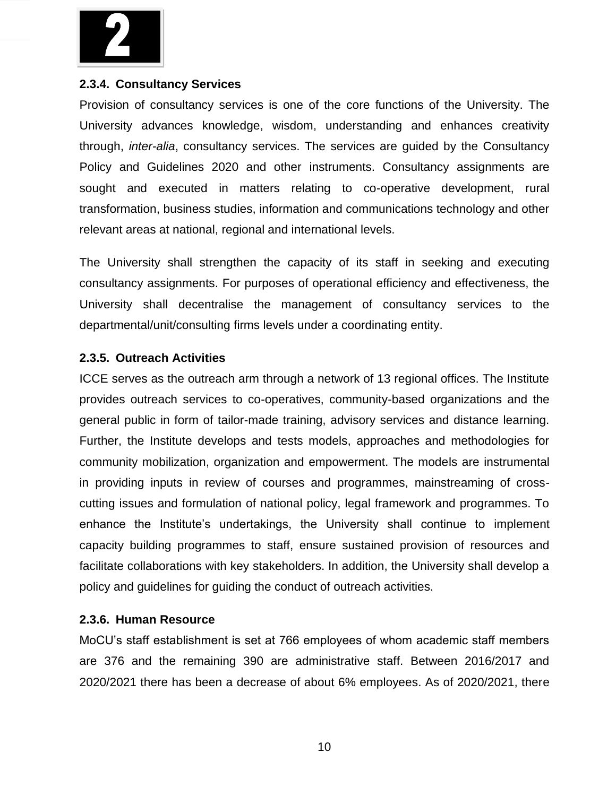

#### **2.3.4. Consultancy Services**

Provision of consultancy services is one of the core functions of the University. The University advances knowledge, wisdom, understanding and enhances creativity through, *inter-alia*, consultancy services. The services are guided by the Consultancy Policy and Guidelines 2020 and other instruments. Consultancy assignments are sought and executed in matters relating to co-operative development, rural transformation, business studies, information and communications technology and other relevant areas at national, regional and international levels.

The University shall strengthen the capacity of its staff in seeking and executing consultancy assignments. For purposes of operational efficiency and effectiveness, the University shall decentralise the management of consultancy services to the departmental/unit/consulting firms levels under a coordinating entity.

#### **2.3.5. Outreach Activities**

ICCE serves as the outreach arm through a network of 13 regional offices. The Institute provides outreach services to co-operatives, community-based organizations and the general public in form of tailor-made training, advisory services and distance learning. Further, the Institute develops and tests models, approaches and methodologies for community mobilization, organization and empowerment. The models are instrumental in providing inputs in review of courses and programmes, mainstreaming of crosscutting issues and formulation of national policy, legal framework and programmes. To enhance the Institute's undertakings, the University shall continue to implement capacity building programmes to staff, ensure sustained provision of resources and facilitate collaborations with key stakeholders. In addition, the University shall develop a policy and guidelines for guiding the conduct of outreach activities.

#### **2.3.6. Human Resource**

MoCU's staff establishment is set at 766 employees of whom academic staff members are 376 and the remaining 390 are administrative staff. Between 2016/2017 and 2020/2021 there has been a decrease of about 6% employees. As of 2020/2021, there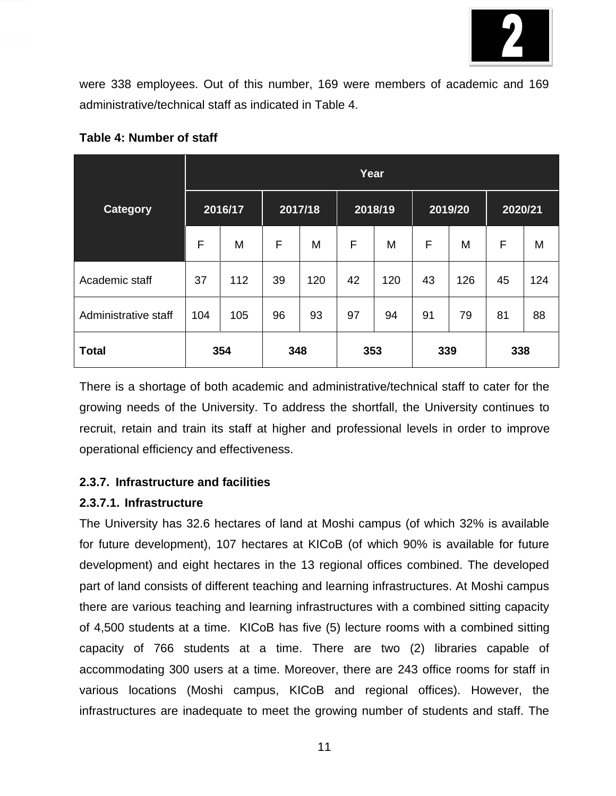

were 338 employees. Out of this number, 169 were members of academic and 169 administrative/technical staff as indicated in Table 4.

|                      |         | Year |         |     |         |     |         |     |         |     |
|----------------------|---------|------|---------|-----|---------|-----|---------|-----|---------|-----|
| <b>Category</b>      | 2016/17 |      | 2017/18 |     | 2018/19 |     | 2019/20 |     | 2020/21 |     |
|                      | F       | M    | F       | M   | F       | Μ   | F       | M   | F       | M   |
| Academic staff       | 37      | 112  | 39      | 120 | 42      | 120 | 43      | 126 | 45      | 124 |
| Administrative staff | 104     | 105  | 96      | 93  | 97      | 94  | 91      | 79  | 81      | 88  |
| <b>Total</b>         |         | 354  | 348     |     | 353     |     | 339     |     | 338     |     |

**Table 4: Number of staff**

There is a shortage of both academic and administrative/technical staff to cater for the growing needs of the University. To address the shortfall, the University continues to recruit, retain and train its staff at higher and professional levels in order to improve operational efficiency and effectiveness.

### **2.3.7. Infrastructure and facilities**

#### **2.3.7.1. Infrastructure**

The University has 32.6 hectares of land at Moshi campus (of which 32% is available for future development), 107 hectares at KICoB (of which 90% is available for future development) and eight hectares in the 13 regional offices combined. The developed part of land consists of different teaching and learning infrastructures. At Moshi campus there are various teaching and learning infrastructures with a combined sitting capacity of 4,500 students at a time. KICoB has five (5) lecture rooms with a combined sitting capacity of 766 students at a time. There are two (2) libraries capable of accommodating 300 users at a time. Moreover, there are 243 office rooms for staff in various locations (Moshi campus, KICoB and regional offices). However, the infrastructures are inadequate to meet the growing number of students and staff. The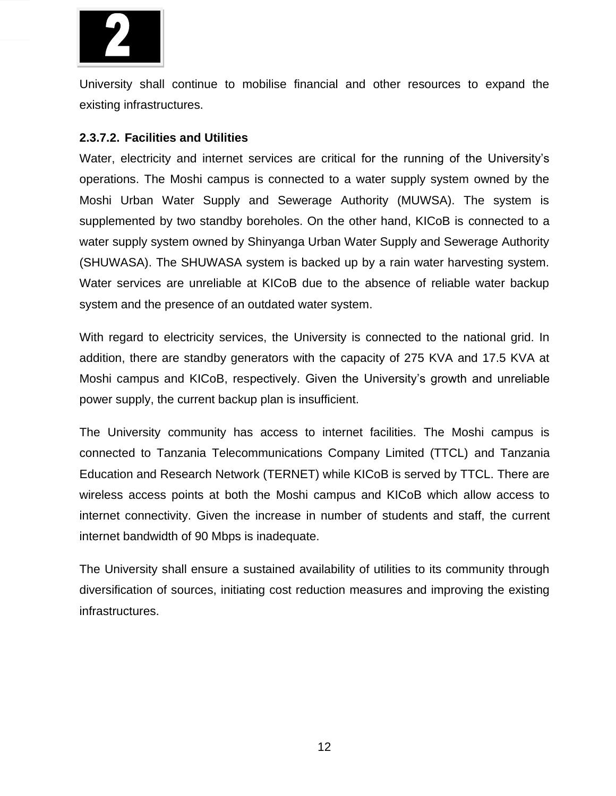

University shall continue to mobilise financial and other resources to expand the existing infrastructures.

#### **2.3.7.2. Facilities and Utilities**

Water, electricity and internet services are critical for the running of the University's operations. The Moshi campus is connected to a water supply system owned by the Moshi Urban Water Supply and Sewerage Authority (MUWSA). The system is supplemented by two standby boreholes. On the other hand, KICoB is connected to a water supply system owned by Shinyanga Urban Water Supply and Sewerage Authority (SHUWASA). The SHUWASA system is backed up by a rain water harvesting system. Water services are unreliable at KICoB due to the absence of reliable water backup system and the presence of an outdated water system.

With regard to electricity services, the University is connected to the national grid. In addition, there are standby generators with the capacity of 275 KVA and 17.5 KVA at Moshi campus and KICoB, respectively. Given the University's growth and unreliable power supply, the current backup plan is insufficient.

The University community has access to internet facilities. The Moshi campus is connected to Tanzania Telecommunications Company Limited (TTCL) and Tanzania Education and Research Network (TERNET) while KICoB is served by TTCL. There are wireless access points at both the Moshi campus and KICoB which allow access to internet connectivity. Given the increase in number of students and staff, the current internet bandwidth of 90 Mbps is inadequate.

The University shall ensure a sustained availability of utilities to its community through diversification of sources, initiating cost reduction measures and improving the existing infrastructures.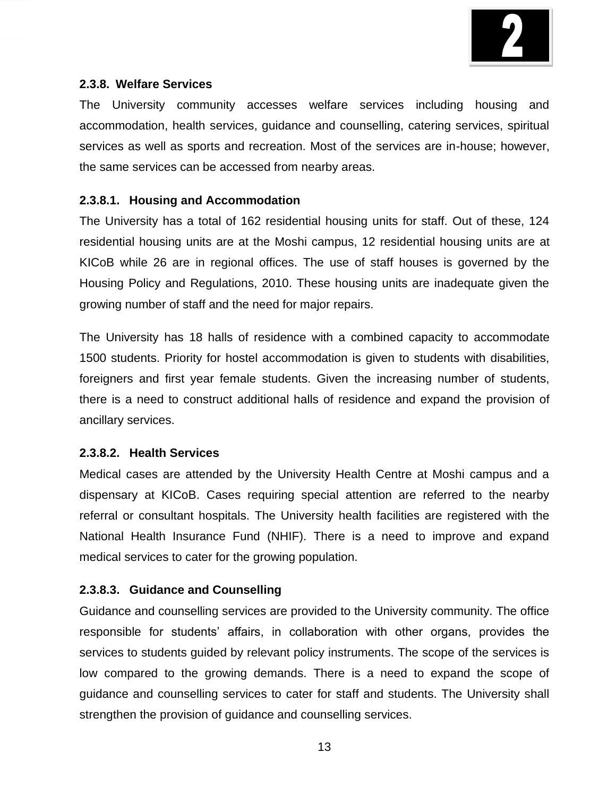

#### **2.3.8. Welfare Services**

The University community accesses welfare services including housing and accommodation, health services, guidance and counselling, catering services, spiritual services as well as sports and recreation. Most of the services are in-house; however, the same services can be accessed from nearby areas.

#### **2.3.8.1. Housing and Accommodation**

The University has a total of 162 residential housing units for staff. Out of these, 124 residential housing units are at the Moshi campus, 12 residential housing units are at KICoB while 26 are in regional offices. The use of staff houses is governed by the Housing Policy and Regulations, 2010. These housing units are inadequate given the growing number of staff and the need for major repairs.

The University has 18 halls of residence with a combined capacity to accommodate 1500 students. Priority for hostel accommodation is given to students with disabilities, foreigners and first year female students. Given the increasing number of students, there is a need to construct additional halls of residence and expand the provision of ancillary services.

#### **2.3.8.2. Health Services**

Medical cases are attended by the University Health Centre at Moshi campus and a dispensary at KICoB. Cases requiring special attention are referred to the nearby referral or consultant hospitals. The University health facilities are registered with the National Health Insurance Fund (NHIF). There is a need to improve and expand medical services to cater for the growing population.

### **2.3.8.3. Guidance and Counselling**

Guidance and counselling services are provided to the University community. The office responsible for students' affairs, in collaboration with other organs, provides the services to students guided by relevant policy instruments. The scope of the services is low compared to the growing demands. There is a need to expand the scope of guidance and counselling services to cater for staff and students. The University shall strengthen the provision of guidance and counselling services.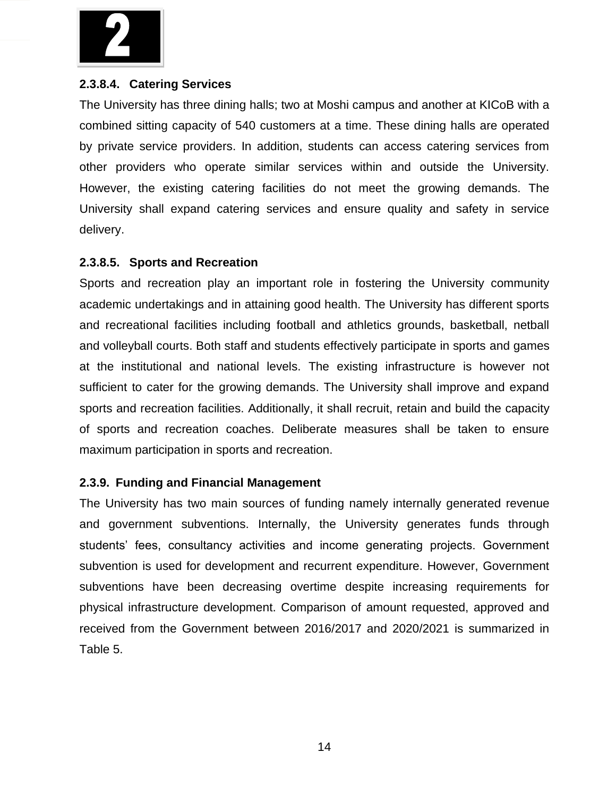

#### **2.3.8.4. Catering Services**

The University has three dining halls; two at Moshi campus and another at KICoB with a combined sitting capacity of 540 customers at a time. These dining halls are operated by private service providers. In addition, students can access catering services from other providers who operate similar services within and outside the University. However, the existing catering facilities do not meet the growing demands. The University shall expand catering services and ensure quality and safety in service delivery.

#### **2.3.8.5. Sports and Recreation**

Sports and recreation play an important role in fostering the University community academic undertakings and in attaining good health. The University has different sports and recreational facilities including football and athletics grounds, basketball, netball and volleyball courts. Both staff and students effectively participate in sports and games at the institutional and national levels. The existing infrastructure is however not sufficient to cater for the growing demands. The University shall improve and expand sports and recreation facilities. Additionally, it shall recruit, retain and build the capacity of sports and recreation coaches. Deliberate measures shall be taken to ensure maximum participation in sports and recreation.

#### **2.3.9. Funding and Financial Management**

The University has two main sources of funding namely internally generated revenue and government subventions. Internally, the University generates funds through students' fees, consultancy activities and income generating projects. Government subvention is used for development and recurrent expenditure. However, Government subventions have been decreasing overtime despite increasing requirements for physical infrastructure development. Comparison of amount requested, approved and received from the Government between 2016/2017 and 2020/2021 is summarized in Table 5.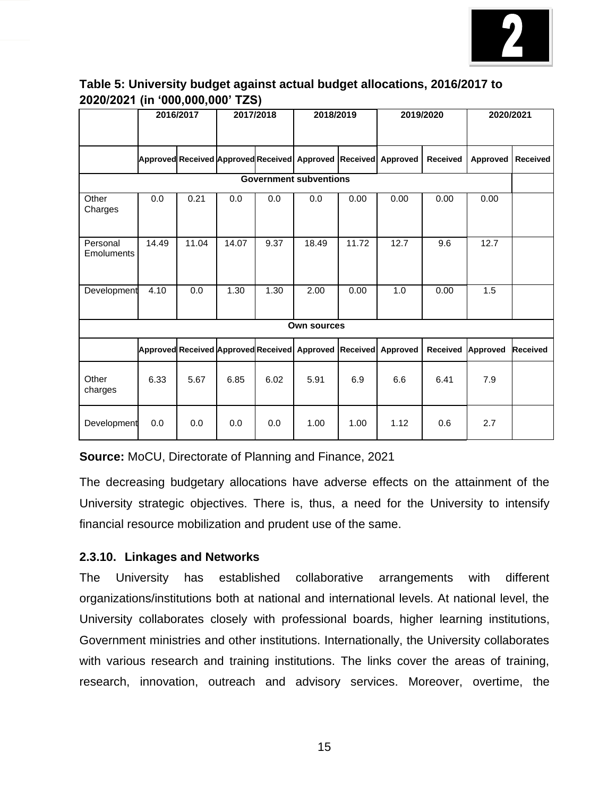

### **Table 5: University budget against actual budget allocations, 2016/2017 to 2020/2021 (in '000,000,000' TZS)**

|                               | 2016/2017 |                                     | 2017/2018 |      | 2018/2019         |       | 2019/2020 |                 | 2020/2021       |                 |
|-------------------------------|-----------|-------------------------------------|-----------|------|-------------------|-------|-----------|-----------------|-----------------|-----------------|
|                               |           | Approved Received Approved Received |           |      | Approved Received |       | Approved  | <b>Received</b> | Approved        | <b>Received</b> |
| <b>Government subventions</b> |           |                                     |           |      |                   |       |           |                 |                 |                 |
| Other<br>Charges              | 0.0       | 0.21                                | 0.0       | 0.0  | 0.0               | 0.00  | 0.00      | 0.00            | 0.00            |                 |
| Personal<br>Emoluments        | 14.49     | 11.04                               | 14.07     | 9.37 | 18.49             | 11.72 | 12.7      | 9.6             | 12.7            |                 |
| Development                   | 4.10      | 0.0                                 | 1.30      | 1.30 | 2.00              | 0.00  | 1.0       | 0.00            | 1.5             |                 |
| <b>Own sources</b>            |           |                                     |           |      |                   |       |           |                 |                 |                 |
|                               |           | Approved Received Approved Received |           |      | Approved Received |       | Approved  | <b>Received</b> | <b>Approved</b> | <b>Received</b> |
| Other<br>charges              | 6.33      | 5.67                                | 6.85      | 6.02 | 5.91              | 6.9   | 6.6       | 6.41            | 7.9             |                 |
| Development                   | 0.0       | 0.0                                 | 0.0       | 0.0  | 1.00              | 1.00  | 1.12      | 0.6             | 2.7             |                 |

**Source:** MoCU, Directorate of Planning and Finance, 2021

The decreasing budgetary allocations have adverse effects on the attainment of the University strategic objectives. There is, thus, a need for the University to intensify financial resource mobilization and prudent use of the same.

### **2.3.10. Linkages and Networks**

The University has established collaborative arrangements with different organizations/institutions both at national and international levels. At national level, the University collaborates closely with professional boards, higher learning institutions, Government ministries and other institutions. Internationally, the University collaborates with various research and training institutions. The links cover the areas of training, research, innovation, outreach and advisory services. Moreover, overtime, the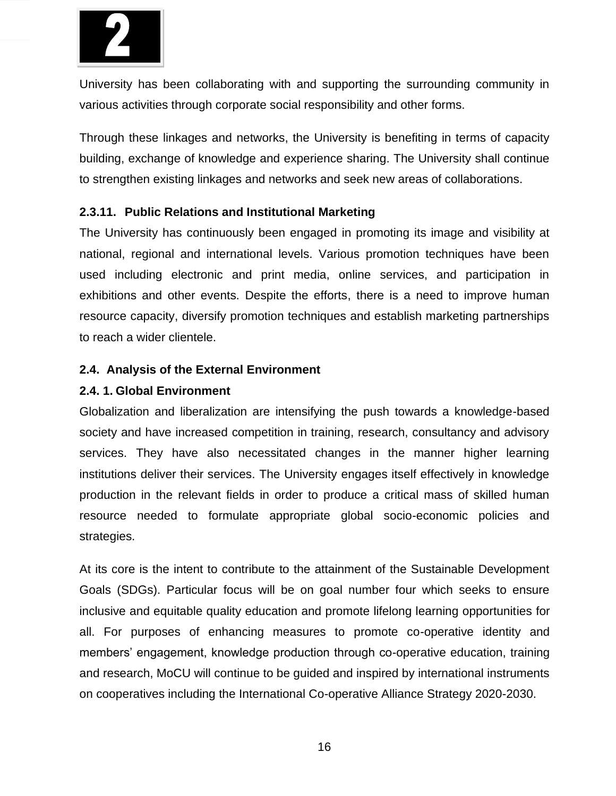

University has been collaborating with and supporting the surrounding community in various activities through corporate social responsibility and other forms.

Through these linkages and networks, the University is benefiting in terms of capacity building, exchange of knowledge and experience sharing. The University shall continue to strengthen existing linkages and networks and seek new areas of collaborations.

#### **2.3.11. Public Relations and Institutional Marketing**

The University has continuously been engaged in promoting its image and visibility at national, regional and international levels. Various promotion techniques have been used including electronic and print media, online services, and participation in exhibitions and other events. Despite the efforts, there is a need to improve human resource capacity, diversify promotion techniques and establish marketing partnerships to reach a wider clientele.

#### **2.4. Analysis of the External Environment**

#### **2.4. 1. Global Environment**

Globalization and liberalization are intensifying the push towards a knowledge-based society and have increased competition in training, research, consultancy and advisory services. They have also necessitated changes in the manner higher learning institutions deliver their services. The University engages itself effectively in knowledge production in the relevant fields in order to produce a critical mass of skilled human resource needed to formulate appropriate global socio-economic policies and strategies.

At its core is the intent to contribute to the attainment of the Sustainable Development Goals (SDGs). Particular focus will be on goal number four which seeks to ensure inclusive and equitable quality education and promote lifelong learning opportunities for all. For purposes of enhancing measures to promote co-operative identity and members' engagement, knowledge production through co-operative education, training and research, MoCU will continue to be guided and inspired by international instruments on cooperatives including the International Co-operative Alliance Strategy 2020-2030.

16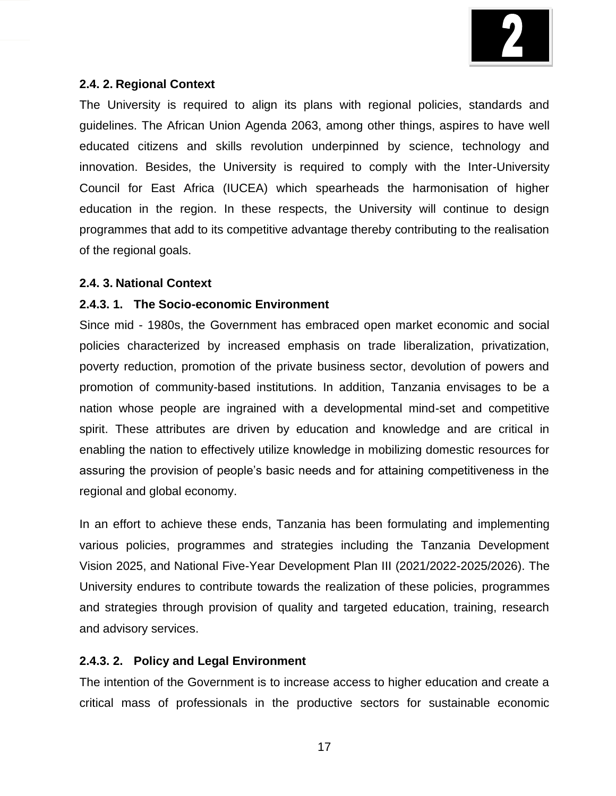

#### **2.4. 2. Regional Context**

The University is required to align its plans with regional policies, standards and guidelines. The African Union Agenda 2063, among other things, aspires to have well educated citizens and skills revolution underpinned by science, technology and innovation. Besides, the University is required to comply with the Inter-University Council for East Africa (IUCEA) which spearheads the harmonisation of higher education in the region. In these respects, the University will continue to design programmes that add to its competitive advantage thereby contributing to the realisation of the regional goals.

#### **2.4. 3. National Context**

#### **2.4.3. 1. The Socio-economic Environment**

Since mid - 1980s, the Government has embraced open market economic and social policies characterized by increased emphasis on trade liberalization, privatization, poverty reduction, promotion of the private business sector, devolution of powers and promotion of community-based institutions. In addition, Tanzania envisages to be a nation whose people are ingrained with a developmental mind-set and competitive spirit. These attributes are driven by education and knowledge and are critical in enabling the nation to effectively utilize knowledge in mobilizing domestic resources for assuring the provision of people's basic needs and for attaining competitiveness in the regional and global economy.

In an effort to achieve these ends, Tanzania has been formulating and implementing various policies, programmes and strategies including the Tanzania Development Vision 2025, and National Five-Year Development Plan III (2021/2022-2025/2026). The University endures to contribute towards the realization of these policies, programmes and strategies through provision of quality and targeted education, training, research and advisory services.

#### **2.4.3. 2. Policy and Legal Environment**

The intention of the Government is to increase access to higher education and create a critical mass of professionals in the productive sectors for sustainable economic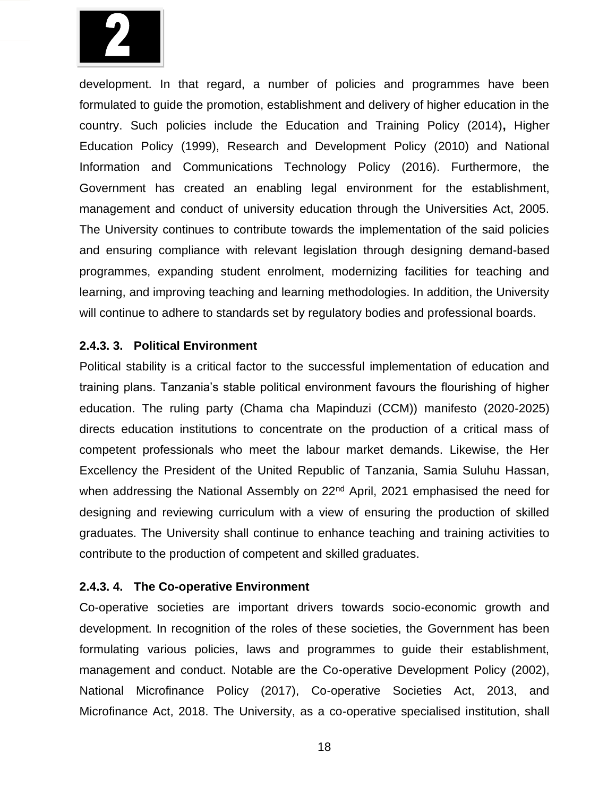

development. In that regard, a number of policies and programmes have been formulated to guide the promotion, establishment and delivery of higher education in the country. Such policies include the Education and Training Policy (2014)**,** Higher Education Policy (1999), Research and Development Policy (2010) and National Information and Communications Technology Policy (2016). Furthermore, the Government has created an enabling legal environment for the establishment, management and conduct of university education through the Universities Act, 2005. The University continues to contribute towards the implementation of the said policies and ensuring compliance with relevant legislation through designing demand-based programmes, expanding student enrolment, modernizing facilities for teaching and learning, and improving teaching and learning methodologies. In addition, the University will continue to adhere to standards set by regulatory bodies and professional boards.

#### **2.4.3. 3. Political Environment**

Political stability is a critical factor to the successful implementation of education and training plans. Tanzania's stable political environment favours the flourishing of higher education. The ruling party (Chama cha Mapinduzi (CCM)) manifesto (2020-2025) directs education institutions to concentrate on the production of a critical mass of competent professionals who meet the labour market demands. Likewise, the Her Excellency the President of the United Republic of Tanzania, Samia Suluhu Hassan, when addressing the National Assembly on 22<sup>nd</sup> April, 2021 emphasised the need for designing and reviewing curriculum with a view of ensuring the production of skilled graduates. The University shall continue to enhance teaching and training activities to contribute to the production of competent and skilled graduates.

#### **2.4.3. 4. The Co-operative Environment**

Co-operative societies are important drivers towards socio-economic growth and development. In recognition of the roles of these societies, the Government has been formulating various policies, laws and programmes to guide their establishment, management and conduct. Notable are the Co-operative Development Policy (2002), National Microfinance Policy (2017), Co-operative Societies Act, 2013, and Microfinance Act, 2018. The University, as a co-operative specialised institution, shall

18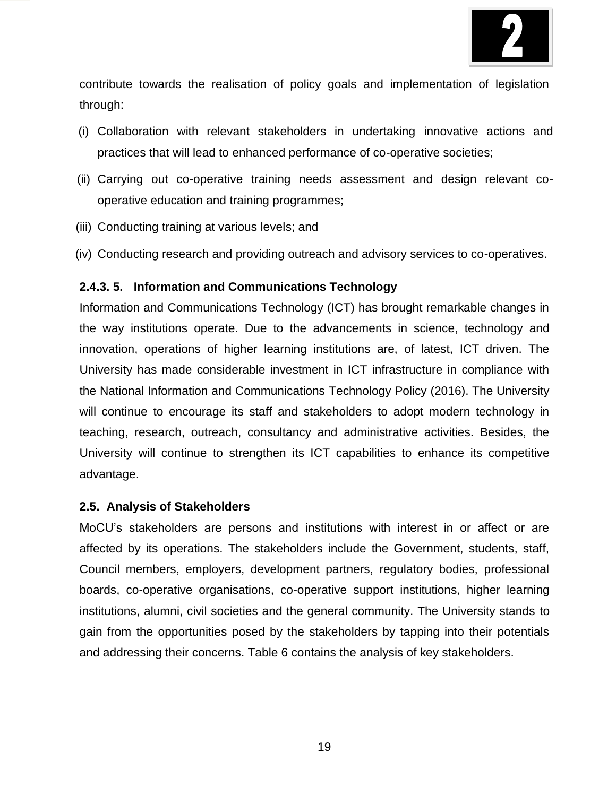

contribute towards the realisation of policy goals and implementation of legislation through:

- (i) Collaboration with relevant stakeholders in undertaking innovative actions and practices that will lead to enhanced performance of co-operative societies;
- (ii) Carrying out co-operative training needs assessment and design relevant cooperative education and training programmes;
- (iii) Conducting training at various levels; and
- (iv) Conducting research and providing outreach and advisory services to co-operatives.

#### **2.4.3. 5. Information and Communications Technology**

Information and Communications Technology (ICT) has brought remarkable changes in the way institutions operate. Due to the advancements in science, technology and innovation, operations of higher learning institutions are, of latest, ICT driven. The University has made considerable investment in ICT infrastructure in compliance with the National Information and Communications Technology Policy (2016). The University will continue to encourage its staff and stakeholders to adopt modern technology in teaching, research, outreach, consultancy and administrative activities. Besides, the University will continue to strengthen its ICT capabilities to enhance its competitive advantage.

#### **2.5. Analysis of Stakeholders**

MoCU's stakeholders are persons and institutions with interest in or affect or are affected by its operations. The stakeholders include the Government, students, staff, Council members, employers, development partners, regulatory bodies, professional boards, co-operative organisations, co-operative support institutions, higher learning institutions, alumni, civil societies and the general community. The University stands to gain from the opportunities posed by the stakeholders by tapping into their potentials and addressing their concerns. Table 6 contains the analysis of key stakeholders.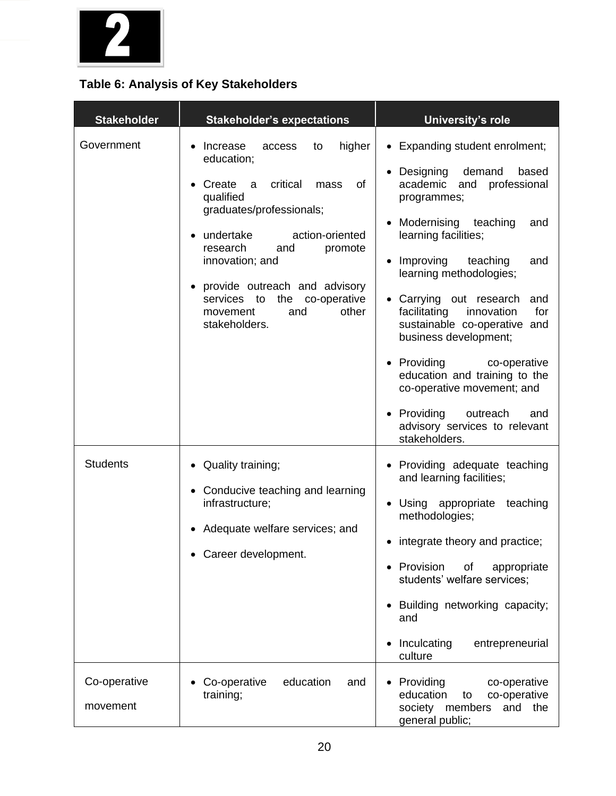

# **Table 6: Analysis of Key Stakeholders**

| <b>Stakeholder</b>              | <b>Stakeholder's expectations</b>                                                                                                                                                                                                                                                                                                                              | <b>University's role</b>                                                                                                                                                                                                                                                                                                                                                                                                                                                                                                                                             |  |  |
|---------------------------------|----------------------------------------------------------------------------------------------------------------------------------------------------------------------------------------------------------------------------------------------------------------------------------------------------------------------------------------------------------------|----------------------------------------------------------------------------------------------------------------------------------------------------------------------------------------------------------------------------------------------------------------------------------------------------------------------------------------------------------------------------------------------------------------------------------------------------------------------------------------------------------------------------------------------------------------------|--|--|
| Government                      | Increase<br>higher<br>access<br>to<br>education;<br>critical<br>Create<br>of<br>a<br>mass<br>qualified<br>graduates/professionals;<br>undertake<br>action-oriented<br>$\bullet$<br>research<br>and<br>promote<br>innovation; and<br>provide outreach and advisory<br>$\bullet$<br>services to<br>the co-operative<br>other<br>movement<br>and<br>stakeholders. | Expanding student enrolment;<br>$\bullet$<br>• Designing<br>demand<br>based<br>professional<br>academic<br>and<br>programmes;<br>Modernising<br>teaching<br>and<br>learning facilities;<br>Improving<br>teaching<br>and<br>learning methodologies;<br>• Carrying out research<br>and<br>facilitating<br>for<br>innovation<br>sustainable co-operative and<br>business development;<br>• Providing<br>co-operative<br>education and training to the<br>co-operative movement; and<br>• Providing<br>outreach<br>and<br>advisory services to relevant<br>stakeholders. |  |  |
| <b>Students</b><br>Co-operative | Quality training;<br>• Conducive teaching and learning<br>infrastructure;<br>Adequate welfare services; and<br>Career development.<br>Co-operative<br>education<br>and                                                                                                                                                                                         | • Providing adequate teaching<br>and learning facilities;<br>Using appropriate teaching<br>methodologies;<br>integrate theory and practice;<br>• Provision<br>of<br>appropriate<br>students' welfare services;<br>• Building networking capacity;<br>and<br>Inculcating<br>entrepreneurial<br>culture<br>Providing<br>co-operative<br>$\bullet$                                                                                                                                                                                                                      |  |  |
| movement                        | training;                                                                                                                                                                                                                                                                                                                                                      | education<br>co-operative<br>to<br>society members<br>and the<br>general public;                                                                                                                                                                                                                                                                                                                                                                                                                                                                                     |  |  |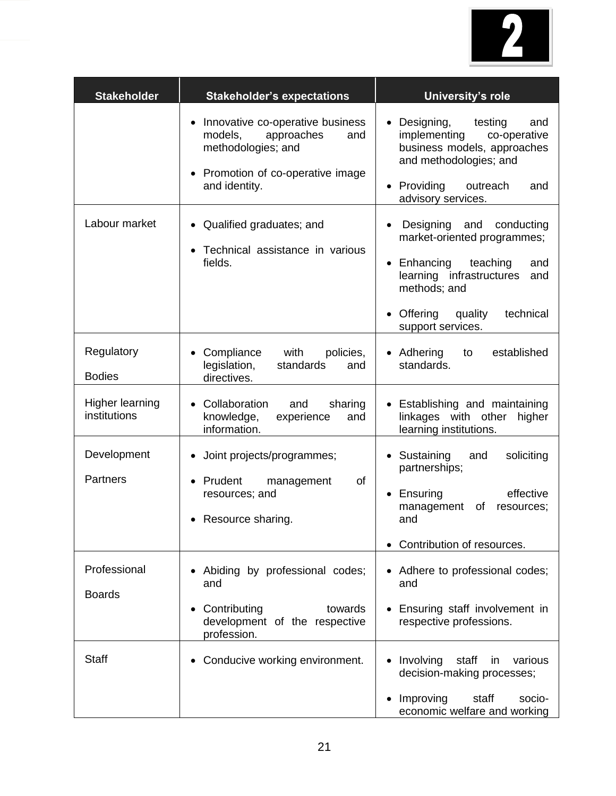

| <b>Stakeholder</b>                     | <b>Stakeholder's expectations</b>                                                                                                                       | University's role                                                                                                                                                                                                             |  |  |  |
|----------------------------------------|---------------------------------------------------------------------------------------------------------------------------------------------------------|-------------------------------------------------------------------------------------------------------------------------------------------------------------------------------------------------------------------------------|--|--|--|
|                                        | Innovative co-operative business<br>models,<br>approaches<br>and<br>methodologies; and<br>Promotion of co-operative image<br>$\bullet$<br>and identity. | Designing,<br>testing<br>and<br>$\bullet$<br>implementing<br>co-operative<br>business models, approaches<br>and methodologies; and<br>• Providing<br>outreach<br>and<br>advisory services.                                    |  |  |  |
| Labour market                          | • Qualified graduates; and<br>Technical assistance in various<br>fields.                                                                                | Designing and conducting<br>$\bullet$<br>market-oriented programmes;<br>Enhancing<br>teaching<br>and<br>$\bullet$<br>learning infrastructures<br>and<br>methods; and<br>Offering<br>technical<br>quality<br>support services. |  |  |  |
| Regulatory<br><b>Bodies</b>            | with<br>Compliance<br>policies,<br>legislation,<br>standards<br>and<br>directives.                                                                      | • Adhering<br>established<br>to<br>standards.                                                                                                                                                                                 |  |  |  |
| <b>Higher learning</b><br>institutions | Collaboration<br>and<br>sharing<br>$\bullet$<br>knowledge,<br>experience<br>and<br>information.                                                         | • Establishing and maintaining<br>linkages with other higher<br>learning institutions.                                                                                                                                        |  |  |  |
| Development<br>Partners                | Joint projects/programmes;<br>Prudent<br>of<br>management<br>resources; and<br>Resource sharing.<br>$\bullet$                                           | • Sustaining<br>soliciting<br>and<br>partnerships;<br>effective<br>Ensuring<br>$\bullet$<br>management<br>of<br>resources;<br>and<br>• Contribution of resources.                                                             |  |  |  |
| Professional<br><b>Boards</b>          | Abiding by professional codes;<br>and<br>Contributing<br>towards<br>$\bullet$<br>development of the respective<br>profession.                           | • Adhere to professional codes;<br>and<br>Ensuring staff involvement in<br>respective professions.                                                                                                                            |  |  |  |
| <b>Staff</b>                           | Conducive working environment.                                                                                                                          | Involving<br>staff<br>various<br>in<br>decision-making processes;<br>Improving<br>staff<br>socio-<br>$\bullet$<br>economic welfare and working                                                                                |  |  |  |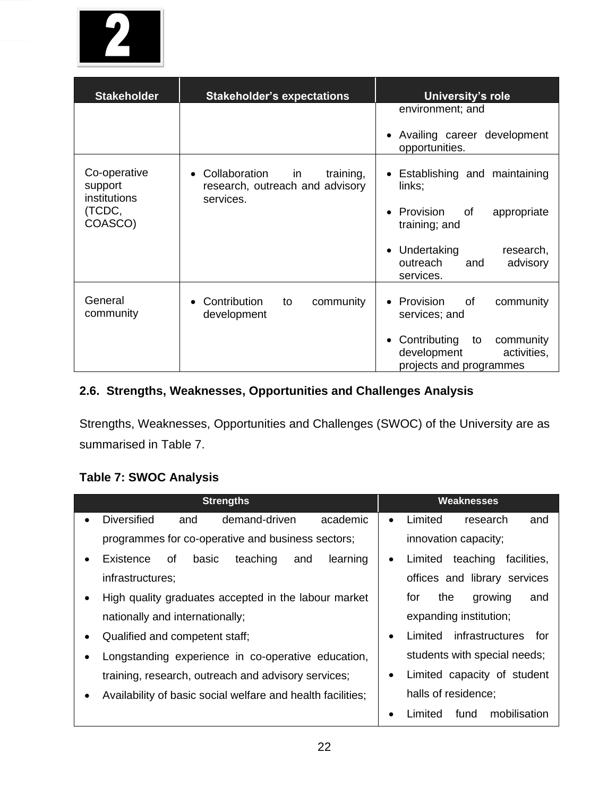

| <b>Stakeholder</b>                      | <b>Stakeholder's expectations</b>                                                             | University's role                                                                                     |
|-----------------------------------------|-----------------------------------------------------------------------------------------------|-------------------------------------------------------------------------------------------------------|
|                                         |                                                                                               | environment; and                                                                                      |
|                                         |                                                                                               | Availing career development<br>opportunities.                                                         |
| Co-operative<br>support<br>institutions | Collaboration<br>training,<br>in<br>$\bullet$<br>research, outreach and advisory<br>services. | • Establishing and maintaining<br>links;                                                              |
| (TCDC,<br>COASCO)                       |                                                                                               | Provision<br>appropriate<br>of<br>$\bullet$<br>training; and                                          |
|                                         |                                                                                               | Undertaking<br>research,<br>$\bullet$<br>outreach<br>advisory<br>and<br>services.                     |
| General<br>community                    | Contribution<br>community<br>to<br>development                                                | Provision<br>0f<br>community<br>$\bullet$<br>services; and                                            |
|                                         |                                                                                               | Contributing<br>to<br>community<br>$\bullet$<br>development<br>activities,<br>projects and programmes |

# **2.6. Strengths, Weaknesses, Opportunities and Challenges Analysis**

Strengths, Weaknesses, Opportunities and Challenges (SWOC) of the University are as summarised in Table 7.

# **Table 7: SWOC Analysis**

| <b>Strengths</b>                                            | <b>Weaknesses</b>                               |  |  |  |
|-------------------------------------------------------------|-------------------------------------------------|--|--|--|
| <b>Diversified</b><br>demand-driven<br>academic<br>and      | Limited<br>research<br>and<br>$\bullet$         |  |  |  |
| programmes for co-operative and business sectors;           | innovation capacity;                            |  |  |  |
| learning<br>basic<br>teaching<br>Existence<br>οf<br>and     | teaching<br>Limited<br>facilities,<br>$\bullet$ |  |  |  |
| infrastructures;                                            | offices and library services                    |  |  |  |
| High quality graduates accepted in the labour market        | for<br>the<br>growing<br>and                    |  |  |  |
| nationally and internationally;                             | expanding institution;                          |  |  |  |
| Qualified and competent staff;<br>$\bullet$                 | infrastructures<br>Limited<br>for<br>٠          |  |  |  |
| Longstanding experience in co-operative education,          | students with special needs;                    |  |  |  |
| training, research, outreach and advisory services;         | Limited capacity of student<br>٠                |  |  |  |
| Availability of basic social welfare and health facilities; | halls of residence;                             |  |  |  |
|                                                             | fund<br>mobilisation<br>Limited                 |  |  |  |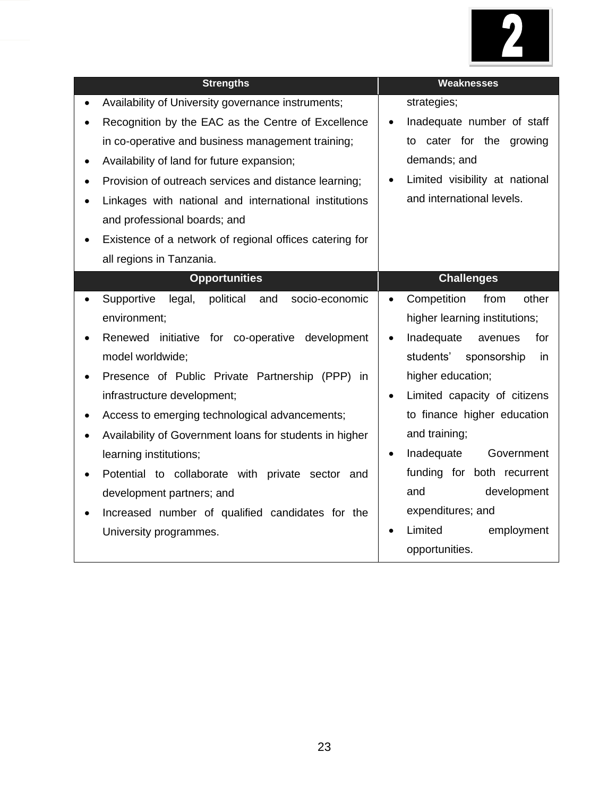

| <b>Strengths</b>                                                   | <b>Weaknesses</b>                         |
|--------------------------------------------------------------------|-------------------------------------------|
| Availability of University governance instruments;<br>$\bullet$    | strategies;                               |
| Recognition by the EAC as the Centre of Excellence                 | Inadequate number of staff<br>$\bullet$   |
| in co-operative and business management training;                  | cater for the growing<br>to               |
| Availability of land for future expansion;<br>٠                    | demands; and                              |
| Provision of outreach services and distance learning;<br>$\bullet$ | Limited visibility at national            |
| Linkages with national and international institutions              | and international levels.                 |
| and professional boards; and                                       |                                           |
| Existence of a network of regional offices catering for            |                                           |
| all regions in Tanzania.                                           |                                           |
| <b>Opportunities</b>                                               | <b>Challenges</b>                         |
| political<br>Supportive<br>legal,<br>and<br>socio-economic         | Competition<br>from<br>other              |
| environment;                                                       | higher learning institutions;             |
| Renewed initiative for co-operative development                    | Inadequate<br>for<br>avenues              |
| model worldwide;                                                   | students'<br>sponsorship<br>in            |
| Presence of Public Private Partnership (PPP) in                    | higher education;                         |
| infrastructure development;                                        | Limited capacity of citizens<br>$\bullet$ |
| Access to emerging technological advancements;<br>٠                | to finance higher education               |
| Availability of Government loans for students in higher            | and training;                             |
| learning institutions;                                             | Inadequate<br>Government                  |
| Potential to collaborate with private sector and                   | funding for both recurrent                |
| development partners; and                                          | and<br>development                        |
| Increased number of qualified candidates for the                   | expenditures; and                         |
| University programmes.                                             | Limited<br>employment                     |
|                                                                    | opportunities.                            |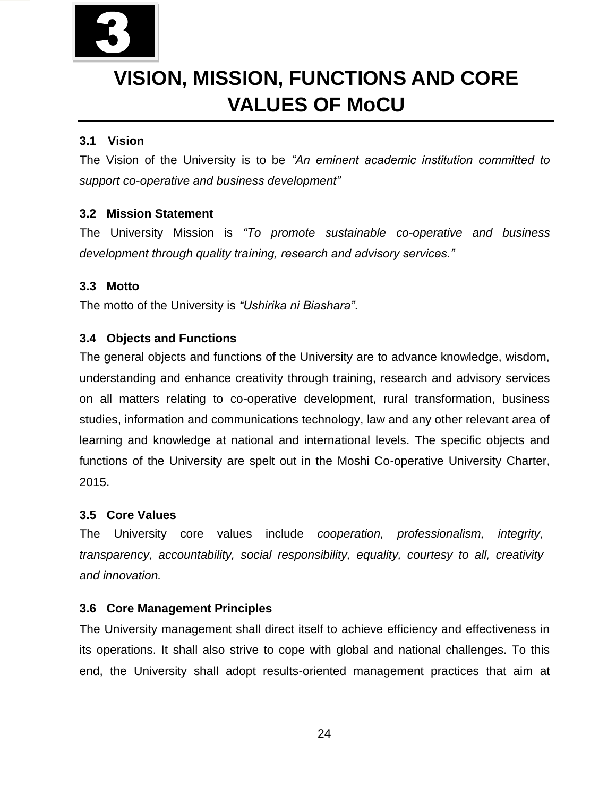

# **VISION, MISSION, FUNCTIONS AND CORE VALUES OF MoCU**

# **3.1 Vision**

The Vision of the University is to be *"An eminent academic institution committed to support co-operative and business development"*

# **3.2 Mission Statement**

The University Mission is *"To promote sustainable co-operative and business development through quality training, research and advisory services."* 

### **3.3 Motto**

The motto of the University is *"Ushirika ni Biashara"*.

# **3.4 Objects and Functions**

The general objects and functions of the University are to advance knowledge, wisdom, understanding and enhance creativity through training, research and advisory services on all matters relating to co-operative development, rural transformation, business studies, information and communications technology, law and any other relevant area of learning and knowledge at national and international levels. The specific objects and functions of the University are spelt out in the Moshi Co-operative University Charter, 2015.

### **3.5 Core Values**

The University core values include *cooperation, professionalism, integrity, transparency, accountability, social responsibility, equality, courtesy to all, creativity and innovation.* 

### **3.6 Core Management Principles**

The University management shall direct itself to achieve efficiency and effectiveness in its operations. It shall also strive to cope with global and national challenges. To this end, the University shall adopt results-oriented management practices that aim at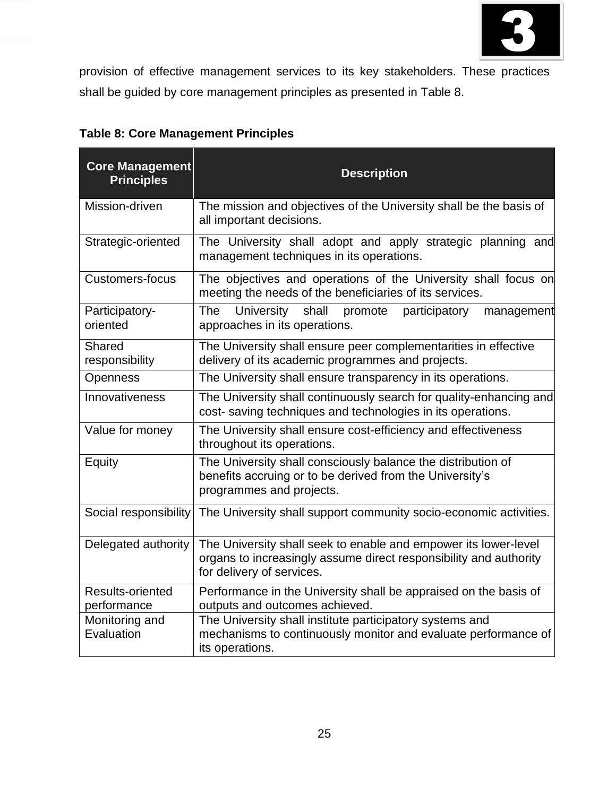

provision of effective management services to its key stakeholders. These practices shall be guided by core management principles as presented in Table 8.

| <b>Core Management</b><br><b>Principles</b> | <b>Description</b>                                                                                                                                                |
|---------------------------------------------|-------------------------------------------------------------------------------------------------------------------------------------------------------------------|
| Mission-driven                              | The mission and objectives of the University shall be the basis of<br>all important decisions.                                                                    |
| Strategic-oriented                          | The University shall adopt and apply strategic planning and<br>management techniques in its operations.                                                           |
| <b>Customers-focus</b>                      | The objectives and operations of the University shall focus on<br>meeting the needs of the beneficiaries of its services.                                         |
| Participatory-<br>oriented                  | <b>The</b><br><b>University</b><br>shall<br>participatory<br>promote<br>management<br>approaches in its operations.                                               |
| <b>Shared</b><br>responsibility             | The University shall ensure peer complementarities in effective<br>delivery of its academic programmes and projects.                                              |
| Openness                                    | The University shall ensure transparency in its operations.                                                                                                       |
| Innovativeness                              | The University shall continuously search for quality-enhancing and<br>cost-saving techniques and technologies in its operations.                                  |
| Value for money                             | The University shall ensure cost-efficiency and effectiveness<br>throughout its operations.                                                                       |
| Equity                                      | The University shall consciously balance the distribution of<br>benefits accruing or to be derived from the University's<br>programmes and projects.              |
| Social responsibility                       | The University shall support community socio-economic activities.                                                                                                 |
| Delegated authority                         | The University shall seek to enable and empower its lower-level<br>organs to increasingly assume direct responsibility and authority<br>for delivery of services. |
| Results-oriented<br>performance             | Performance in the University shall be appraised on the basis of<br>outputs and outcomes achieved.                                                                |
| Monitoring and<br>Evaluation                | The University shall institute participatory systems and<br>mechanisms to continuously monitor and evaluate performance of<br>its operations.                     |

|  |  | <b>Table 8: Core Management Principles</b> |  |
|--|--|--------------------------------------------|--|
|--|--|--------------------------------------------|--|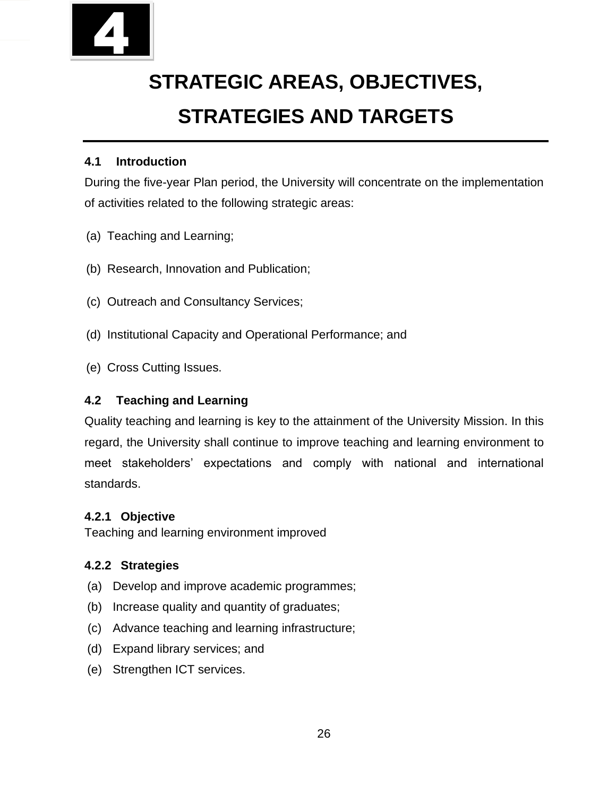

# **STRATEGIC AREAS, OBJECTIVES, STRATEGIES AND TARGETS**

# **4.1 Introduction**

During the five-year Plan period, the University will concentrate on the implementation of activities related to the following strategic areas:

- (a) Teaching and Learning;
- (b) Research, Innovation and Publication;
- (c) Outreach and Consultancy Services;
- (d) Institutional Capacity and Operational Performance; and
- (e) Cross Cutting Issues.

# **4.2 Teaching and Learning**

Quality teaching and learning is key to the attainment of the University Mission. In this regard, the University shall continue to improve teaching and learning environment to meet stakeholders' expectations and comply with national and international standards.

# **4.2.1 Objective**

Teaching and learning environment improved

# **4.2.2 Strategies**

- (a) Develop and improve academic programmes;
- (b) Increase quality and quantity of graduates;
- (c) Advance teaching and learning infrastructure;
- (d) Expand library services; and
- (e) Strengthen ICT services.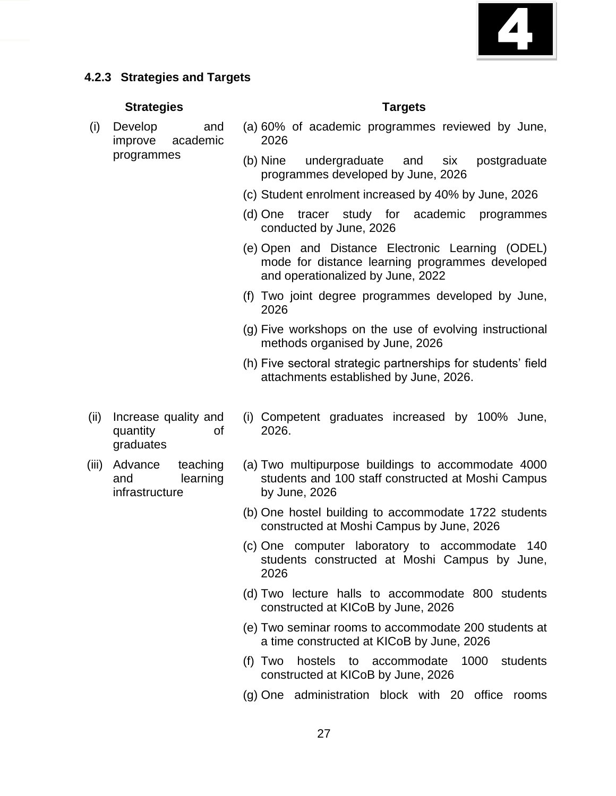

# **4.2.3 Strategies and Targets**

#### **Strategies Targets**

- (i) Develop and improve academic programmes
- (a) 60% of academic programmes reviewed by June, 2026
- (b) Nine undergraduate and six postgraduate programmes developed by June, 2026
- (c) Student enrolment increased by 40% by June, 2026
- (d) One tracer study for academic programmes conducted by June, 2026
- (e) Open and Distance Electronic Learning (ODEL) mode for distance learning programmes developed and operationalized by June, 2022
- (f) Two joint degree programmes developed by June, 2026
- (g) Five workshops on the use of evolving instructional methods organised by June, 2026
- (h) Five sectoral strategic partnerships for students' field attachments established by June, 2026.
- (ii) Increase quality and quantity of graduates
- (iii) Advance teaching and learning infrastructure
- (i) Competent graduates increased by 100% June, 2026.
- (a) Two multipurpose buildings to accommodate 4000 students and 100 staff constructed at Moshi Campus by June, 2026
- (b) One hostel building to accommodate 1722 students constructed at Moshi Campus by June, 2026
- (c) One computer laboratory to accommodate 140 students constructed at Moshi Campus by June, 2026
- (d) Two lecture halls to accommodate 800 students constructed at KICoB by June, 2026
- (e) Two seminar rooms to accommodate 200 students at a time constructed at KICoB by June, 2026
- (f) Two hostels to accommodate 1000 students constructed at KICoB by June, 2026
- (g) One administration block with 20 office rooms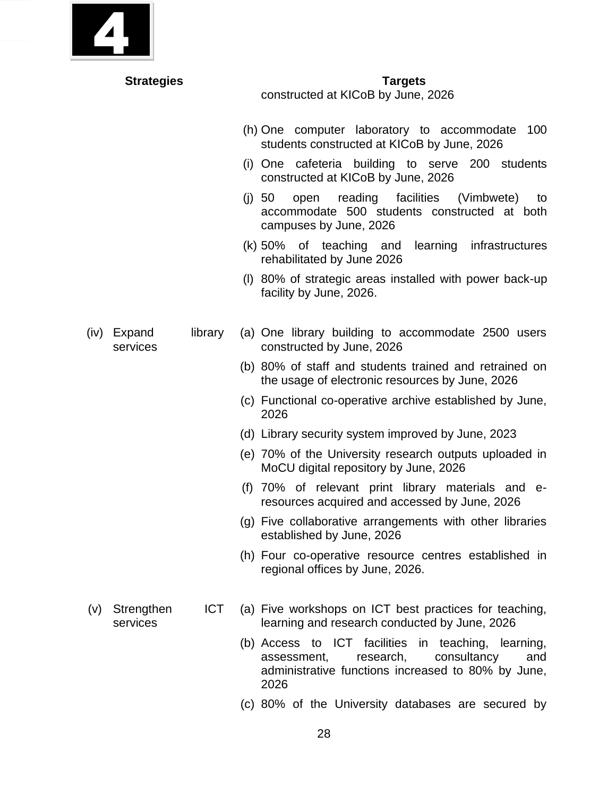| <b>Strategies</b>                           | <b>Targets</b><br>constructed at KICoB by June, 2026                                                                                                                                                                                                                                                                                                                                                                                                                                                                                                                                                                                                                                                                  |
|---------------------------------------------|-----------------------------------------------------------------------------------------------------------------------------------------------------------------------------------------------------------------------------------------------------------------------------------------------------------------------------------------------------------------------------------------------------------------------------------------------------------------------------------------------------------------------------------------------------------------------------------------------------------------------------------------------------------------------------------------------------------------------|
|                                             | (h) One computer laboratory to accommodate<br>100<br>students constructed at KICoB by June, 2026<br>(i) One cafeteria building to serve 200 students<br>constructed at KICoB by June, 2026<br>reading facilities (Vimbwete)<br>(i) 50<br>open<br>to<br>accommodate 500 students constructed at both<br>campuses by June, 2026                                                                                                                                                                                                                                                                                                                                                                                         |
|                                             | (k) 50% of teaching and learning infrastructures<br>rehabilitated by June 2026<br>(I) 80% of strategic areas installed with power back-up<br>facility by June, 2026.                                                                                                                                                                                                                                                                                                                                                                                                                                                                                                                                                  |
| library<br>Expand<br>(iv)<br>services       | (a) One library building to accommodate 2500 users<br>constructed by June, 2026<br>(b) 80% of staff and students trained and retrained on<br>the usage of electronic resources by June, 2026<br>(c) Functional co-operative archive established by June,<br>2026<br>(d) Library security system improved by June, 2023<br>(e) 70% of the University research outputs uploaded in<br>MoCU digital repository by June, 2026<br>(f) 70% of relevant print library materials and e-<br>resources acquired and accessed by June, 2026<br>(g) Five collaborative arrangements with other libraries<br>established by June, 2026<br>(h) Four co-operative resource centres established in<br>regional offices by June, 2026. |
| <b>ICT</b><br>Strengthen<br>(V)<br>services | (a) Five workshops on ICT best practices for teaching,<br>learning and research conducted by June, 2026<br>(b) Access to ICT facilities in teaching, learning,<br>research,<br>consultancy<br>assessment,<br>and<br>administrative functions increased to 80% by June,<br>2026<br>(c) 80% of the University databases are secured by                                                                                                                                                                                                                                                                                                                                                                                  |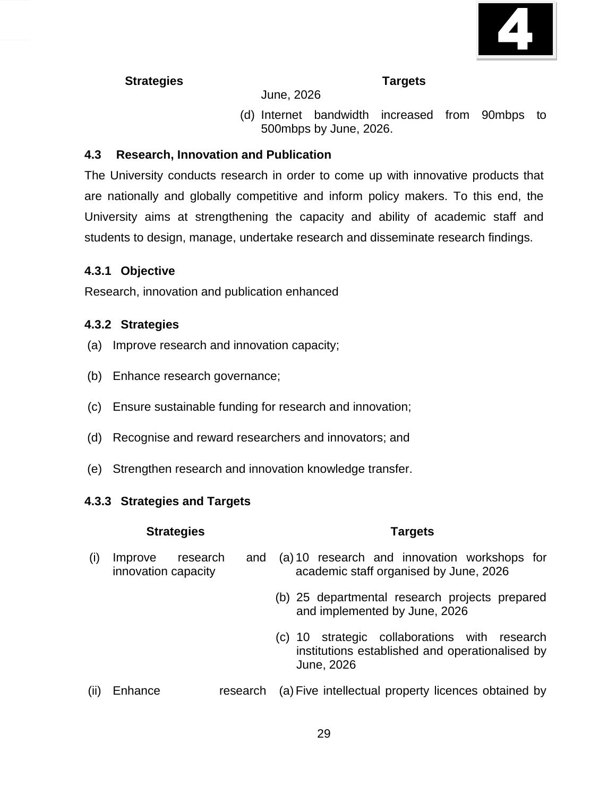

### June, 2026

(d) Internet bandwidth increased from 90mbps to 500mbps by June, 2026.

## **4.3 Research, Innovation and Publication**

The University conducts research in order to come up with innovative products that are nationally and globally competitive and inform policy makers. To this end, the University aims at strengthening the capacity and ability of academic staff and students to design, manage, undertake research and disseminate research findings.

### **4.3.1 Objective**

Research, innovation and publication enhanced

### **4.3.2 Strategies**

- (a) Improve research and innovation capacity;
- (b) Enhance research governance;
- (c) Ensure sustainable funding for research and innovation;
- (d) Recognise and reward researchers and innovators; and
- (e) Strengthen research and innovation knowledge transfer.

### **4.3.3 Strategies and Targets**

#### **Strategies Targets**

#### (i) Improve research innovation capacity (a) 10 research and innovation workshops for academic staff organised by June, 2026

- (b) 25 departmental research projects prepared and implemented by June, 2026
- (c) 10 strategic collaborations with research institutions established and operationalised by June, 2026
- (ii) Enhance research (a) Five intellectual property licences obtained by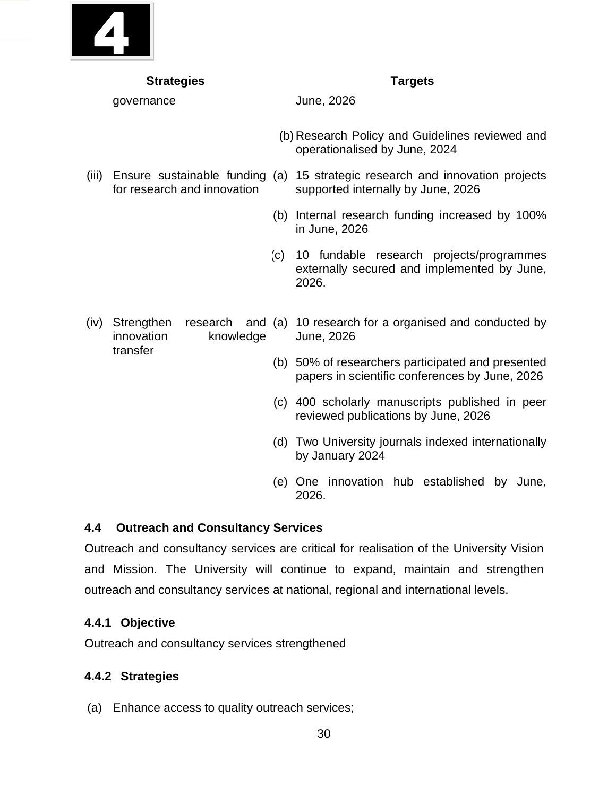

| <b>Strategies</b> |                                       |     | <b>Targets</b>                                                                                                     |
|-------------------|---------------------------------------|-----|--------------------------------------------------------------------------------------------------------------------|
|                   | governance                            |     | June, 2026                                                                                                         |
|                   |                                       |     | (b) Research Policy and Guidelines reviewed and<br>operationalised by June, 2024                                   |
| (iii)             | for research and innovation           |     | Ensure sustainable funding (a) 15 strategic research and innovation projects<br>supported internally by June, 2026 |
|                   |                                       |     | (b) Internal research funding increased by 100%<br>in June, 2026                                                   |
|                   |                                       | (c) | 10 fundable research projects/programmes<br>externally secured and implemented by June,<br>2026.                   |
| (iv)              | Strengthen<br>innovation<br>knowledge |     | research and (a) 10 research for a organised and conducted by<br>June, 2026                                        |
|                   | transfer                              |     | (b) 50% of researchers participated and presented<br>papers in scientific conferences by June, 2026                |
|                   |                                       |     | (c) 400 scholarly manuscripts published in peer<br>reviewed publications by June, 2026                             |
|                   |                                       | (d) | Two University journals indexed internationally<br>by January 2024                                                 |

(e) One innovation hub established by June, 2026.

# **4.4 Outreach and Consultancy Services**

Outreach and consultancy services are critical for realisation of the University Vision and Mission. The University will continue to expand, maintain and strengthen outreach and consultancy services at national, regional and international levels.

### **4.4.1 Objective**

Outreach and consultancy services strengthened

# **4.4.2 Strategies**

(a) Enhance access to quality outreach services;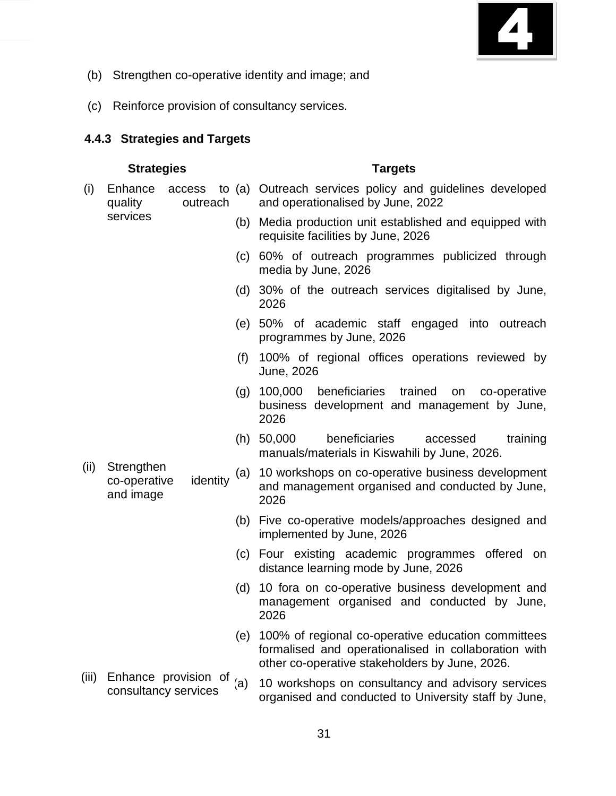

- (b) Strengthen co-operative identity and image; and
- (c) Reinforce provision of consultancy services.

#### **4.4.3 Strategies and Targets**

- **Strategies Targets** (i) Enhance access quality outreach services (a) Outreach services policy and guidelines developed and operationalised by June, 2022 (b) Media production unit established and equipped with requisite facilities by June, 2026 (c) 60% of outreach programmes publicized through media by June, 2026 (d) 30% of the outreach services digitalised by June, 2026 (e) 50% of academic staff engaged into outreach programmes by June, 2026 (f) 100% of regional offices operations reviewed by June, 2026 (g) 100,000 beneficiaries trained on co-operative business development and management by June, 2026 (h) 50,000 beneficiaries accessed training manuals/materials in Kiswahili by June, 2026. (ii) Strengthen co-operative identity and image (a) 10 workshops on co-operative business development and management organised and conducted by June, 2026 (b) Five co-operative models/approaches designed and implemented by June, 2026 (c) Four existing academic programmes offered on distance learning mode by June, 2026 (d) 10 fora on co-operative business development and management organised and conducted by June, 2026 (e) 100% of regional co-operative education committees formalised and operationalised in collaboration with other co-operative stakeholders by June, 2026.
- (iii) Enhance provision of  $_{(a)}$ Enhance provision of (a) 10 workshops on consultancy and advisory services consultancy services organised and conducted to University staff by June,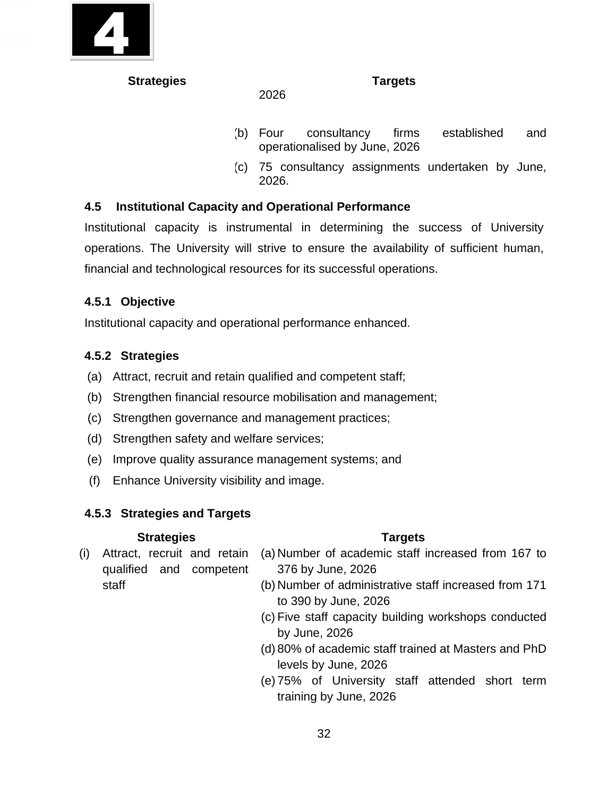

- (b) Four consultancy firms established and operationalised by June, 2026
- (c) 75 consultancy assignments undertaken by June, 2026.

# **4.5 Institutional Capacity and Operational Performance**

2026

Institutional capacity is instrumental in determining the success of University operations. The University will strive to ensure the availability of sufficient human, financial and technological resources for its successful operations.

# **4.5.1 Objective**

Institutional capacity and operational performance enhanced.

# **4.5.2 Strategies**

- (a) Attract, recruit and retain qualified and competent staff;
- (b) Strengthen financial resource mobilisation and management;
- (c) Strengthen governance and management practices;
- (d) Strengthen safety and welfare services;
- (e) Improve quality assurance management systems; and
- (f) Enhance University visibility and image.

# **4.5.3 Strategies and Targets**

# **Strategies Targets**

(i) Attract, recruit and retain qualified and competent staff

- (a) Number of academic staff increased from 167 to 376 by June, 2026
- (b) Number of administrative staff increased from 171 to 390 by June, 2026
- (c) Five staff capacity building workshops conducted by June, 2026
- (d) 80% of academic staff trained at Masters and PhD levels by June, 2026
- (e) 75% of University staff attended short term training by June, 2026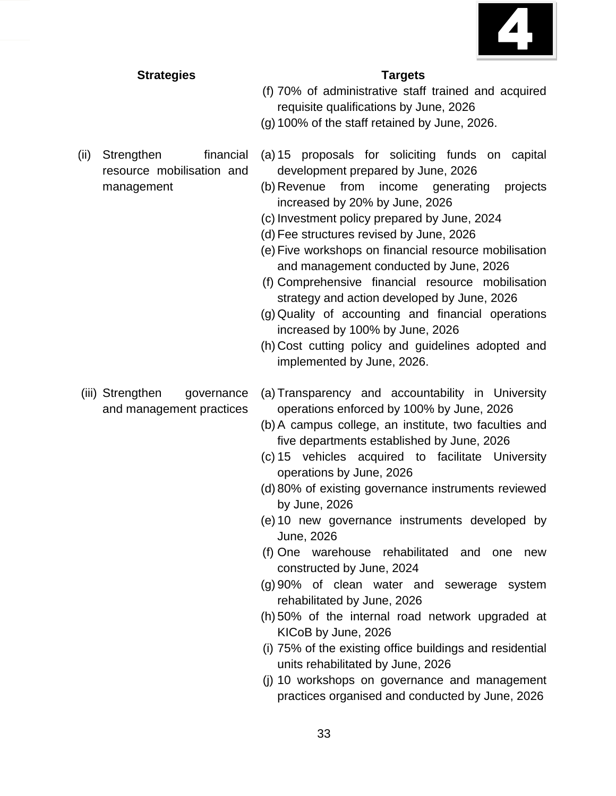

resource mobilisation and

management

- 
- (f) 70% of administrative staff trained and acquired requisite qualifications by June, 2026
- (g) 100% of the staff retained by June, 2026.
- (ii) Strengthen financial (a) 15 proposals for soliciting funds on capital development prepared by June, 2026
	- (b) Revenue from income generating projects increased by 20% by June, 2026
	- (c) Investment policy prepared by June, 2024
	- (d) Fee structures revised by June, 2026
	- (e) Five workshops on financial resource mobilisation and management conducted by June, 2026
	- (f) Comprehensive financial resource mobilisation strategy and action developed by June, 2026
	- (g) Quality of accounting and financial operations increased by 100% by June, 2026
	- (h) Cost cutting policy and guidelines adopted and implemented by June, 2026.
- (iii) Strengthen governance and management practices (a) Transparency and accountability in University operations enforced by 100% by June, 2026
	- (b)A campus college, an institute, two faculties and five departments established by June, 2026
	- (c) 15 vehicles acquired to facilitate University operations by June, 2026
	- (d) 80% of existing governance instruments reviewed by June, 2026
	- (e) 10 new governance instruments developed by June, 2026
	- (f) One warehouse rehabilitated and one new constructed by June, 2024
	- (g) 90% of clean water and sewerage system rehabilitated by June, 2026
	- (h) 50% of the internal road network upgraded at KICoB by June, 2026
	- (i) 75% of the existing office buildings and residential units rehabilitated by June, 2026
	- (j) 10 workshops on governance and management practices organised and conducted by June, 2026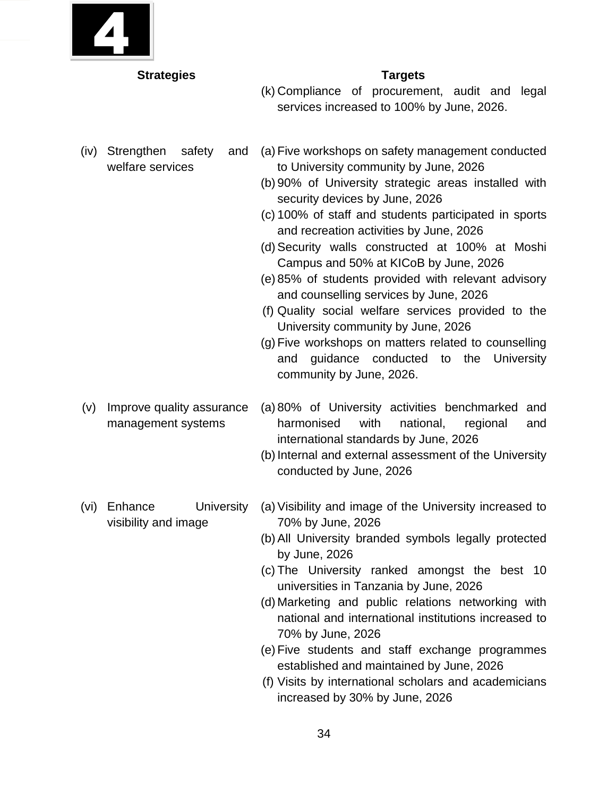

- (k) Compliance of procurement, audit and legal services increased to 100% by June, 2026.
- (iv) Strengthen safety and welfare services
- (a) Five workshops on safety management conducted to University community by June, 2026
- (b) 90% of University strategic areas installed with security devices by June, 2026
- (c) 100% of staff and students participated in sports and recreation activities by June, 2026
- (d)Security walls constructed at 100% at Moshi Campus and 50% at KICoB by June, 2026
- (e) 85% of students provided with relevant advisory and counselling services by June, 2026
- (f) Quality social welfare services provided to the University community by June, 2026
- (g) Five workshops on matters related to counselling and guidance conducted to the University community by June, 2026.
- (v) Improve quality assurance management systems (a) 80% of University activities benchmarked and harmonised with national, regional and international standards by June, 2026
	- (b)Internal and external assessment of the University conducted by June, 2026
- (vi) Enhance University visibility and image (a)Visibility and image of the University increased to 70% by June, 2026
	- (b)All University branded symbols legally protected by June, 2026
	- (c) The University ranked amongst the best 10 universities in Tanzania by June, 2026
	- (d) Marketing and public relations networking with national and international institutions increased to 70% by June, 2026
	- (e) Five students and staff exchange programmes established and maintained by June, 2026
	- (f) Visits by international scholars and academicians increased by 30% by June, 2026
- 
-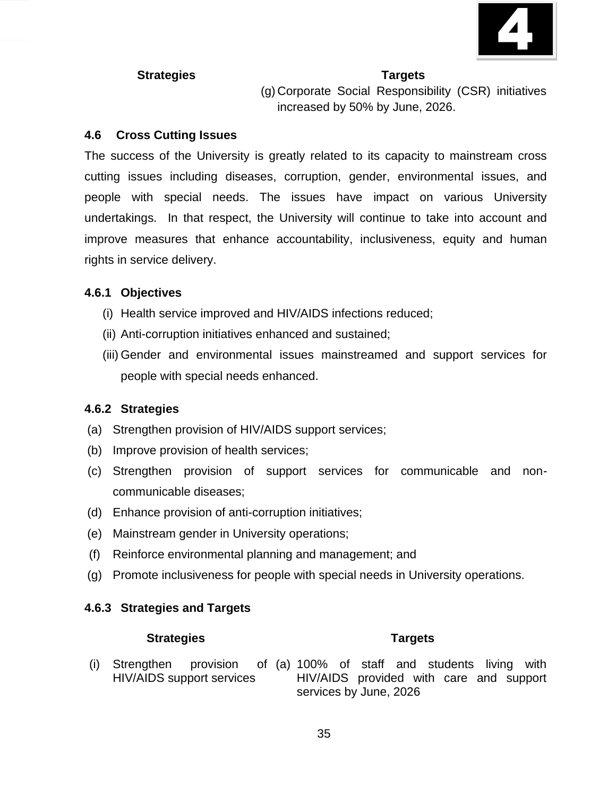

(g) Corporate Social Responsibility (CSR) initiatives increased by 50% by June, 2026.

### **4.6 Cross Cutting Issues**

The success of the University is greatly related to its capacity to mainstream cross cutting issues including diseases, corruption, gender, environmental issues, and people with special needs. The issues have impact on various University undertakings. In that respect, the University will continue to take into account and improve measures that enhance accountability, inclusiveness, equity and human rights in service delivery.

## **4.6.1 Objectives**

- (i) Health service improved and HIV/AIDS infections reduced;
- (ii) Anti-corruption initiatives enhanced and sustained;
- (iii) Gender and environmental issues mainstreamed and support services for people with special needs enhanced.

# **4.6.2 Strategies**

- (a) Strengthen provision of HIV/AIDS support services;
- (b) Improve provision of health services;
- (c) Strengthen provision of support services for communicable and noncommunicable diseases;
- (d) Enhance provision of anti-corruption initiatives;
- (e) Mainstream gender in University operations;
- (f) Reinforce environmental planning and management; and
- (g) Promote inclusiveness for people with special needs in University operations.

### **4.6.3 Strategies and Targets**

#### **Strategies Targets**

(i) Strengthen provision HIV/AIDS support services (a) 100% of staff and students living with HIV/AIDS provided with care and support services by June, 2026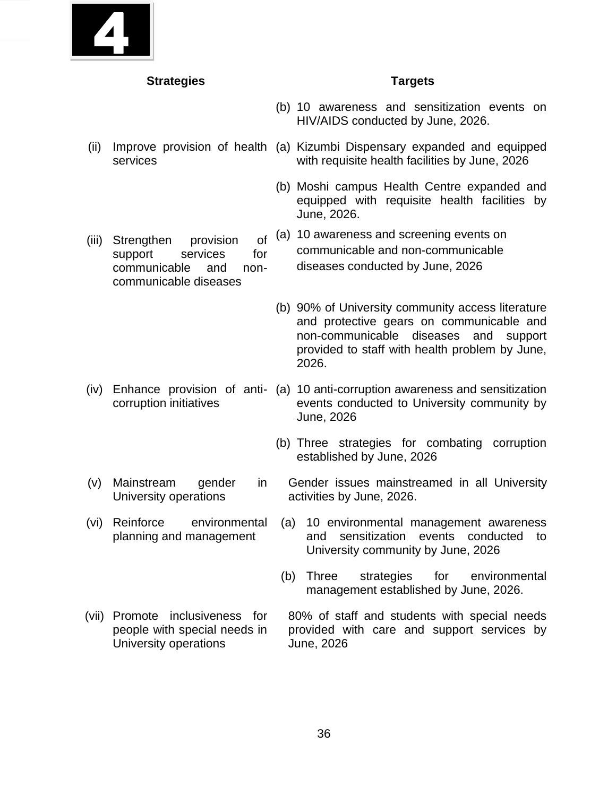

- (b) 10 awareness and sensitization events on HIV/AIDS conducted by June, 2026.
- (ii) Improve provision of health (a) Kizumbi Dispensary expanded and equipped services with requisite health facilities by June, 2026
	- (b) Moshi campus Health Centre expanded and equipped with requisite health facilities by June, 2026.
	- (a) 10 awareness and screening events on communicable and non-communicable diseases conducted by June, 2026
	- (b) 90% of University community access literature and protective gears on communicable and non-communicable diseases and support provided to staff with health problem by June, 2026.
- (iv) Enhance provision of anti-(a) 10 anti-corruption awareness and sensitization corruption initiatives events conducted to University community by June, 2026
	- (b) Three strategies for combating corruption established by June, 2026
	- Gender issues mainstreamed in all University activities by June, 2026.
		- (a) 10 environmental management awareness and sensitization events conducted to University community by June, 2026
			- (b) Three strategies for environmental management established by June, 2026.
- (vii) Promote inclusiveness for people with special needs in University operations 80% of staff and students with special needs provided with care and support services by June, 2026

(iii) Strengthen provision of support services for communicable and noncommunicable diseases

- (v) Mainstream gender in University operations
- (vi) Reinforce environmental planning and management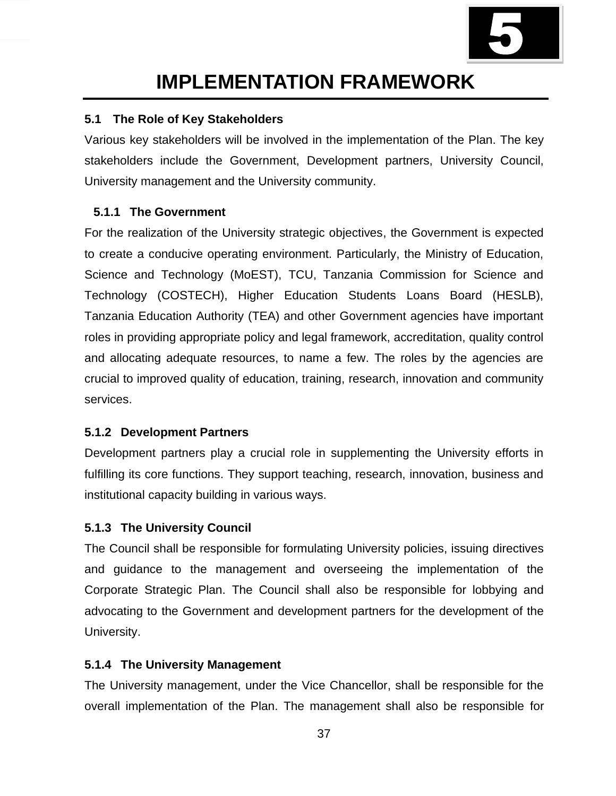

# **IMPLEMENTATION FRAMEWORK**

# **5.1 The Role of Key Stakeholders**

Various key stakeholders will be involved in the implementation of the Plan. The key stakeholders include the Government, Development partners, University Council, University management and the University community.

# **5.1.1 The Government**

For the realization of the University strategic objectives, the Government is expected to create a conducive operating environment. Particularly, the Ministry of Education, Science and Technology (MoEST), TCU, Tanzania Commission for Science and Technology (COSTECH), Higher Education Students Loans Board (HESLB), Tanzania Education Authority (TEA) and other Government agencies have important roles in providing appropriate policy and legal framework, accreditation, quality control and allocating adequate resources, to name a few. The roles by the agencies are crucial to improved quality of education, training, research, innovation and community services.

# **5.1.2 Development Partners**

Development partners play a crucial role in supplementing the University efforts in fulfilling its core functions. They support teaching, research, innovation, business and institutional capacity building in various ways.

# **5.1.3 The University Council**

The Council shall be responsible for formulating University policies, issuing directives and guidance to the management and overseeing the implementation of the Corporate Strategic Plan. The Council shall also be responsible for lobbying and advocating to the Government and development partners for the development of the University.

# **5.1.4 The University Management**

The University management, under the Vice Chancellor, shall be responsible for the overall implementation of the Plan. The management shall also be responsible for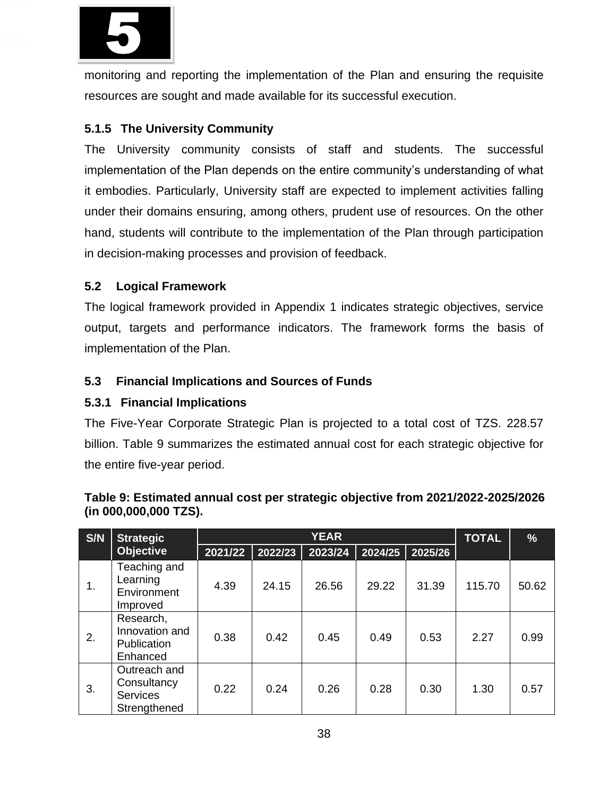

monitoring and reporting the implementation of the Plan and ensuring the requisite resources are sought and made available for its successful execution.

# **5.1.5 The University Community**

The University community consists of staff and students. The successful implementation of the Plan depends on the entire community's understanding of what it embodies. Particularly, University staff are expected to implement activities falling under their domains ensuring, among others, prudent use of resources. On the other hand, students will contribute to the implementation of the Plan through participation in decision-making processes and provision of feedback.

# **5.2 Logical Framework**

The logical framework provided in Appendix 1 indicates strategic objectives, service output, targets and performance indicators. The framework forms the basis of implementation of the Plan.

# **5.3 Financial Implications and Sources of Funds**

# **5.3.1 Financial Implications**

The Five-Year Corporate Strategic Plan is projected to a total cost of TZS. 228.57 billion. Table 9 summarizes the estimated annual cost for each strategic objective for the entire five-year period.

| S/N | <b>Strategic</b>                                               |         | <b>YEAR</b> |         |         |         |        | %     |
|-----|----------------------------------------------------------------|---------|-------------|---------|---------|---------|--------|-------|
|     | <b>Objective</b>                                               | 2021/22 | 2022/23     | 2023/24 | 2024/25 | 2025/26 |        |       |
| 1.  | Teaching and<br>Learning<br>Environment<br>Improved            | 4.39    | 24.15       | 26.56   | 29.22   | 31.39   | 115.70 | 50.62 |
| 2.  | Research,<br>Innovation and<br>Publication<br>Enhanced         | 0.38    | 0.42        | 0.45    | 0.49    | 0.53    | 2.27   | 0.99  |
| 3.  | Outreach and<br>Consultancy<br><b>Services</b><br>Strengthened | 0.22    | 0.24        | 0.26    | 0.28    | 0.30    | 1.30   | 0.57  |

### **Table 9: Estimated annual cost per strategic objective from 2021/2022-2025/2026 (in 000,000,000 TZS).**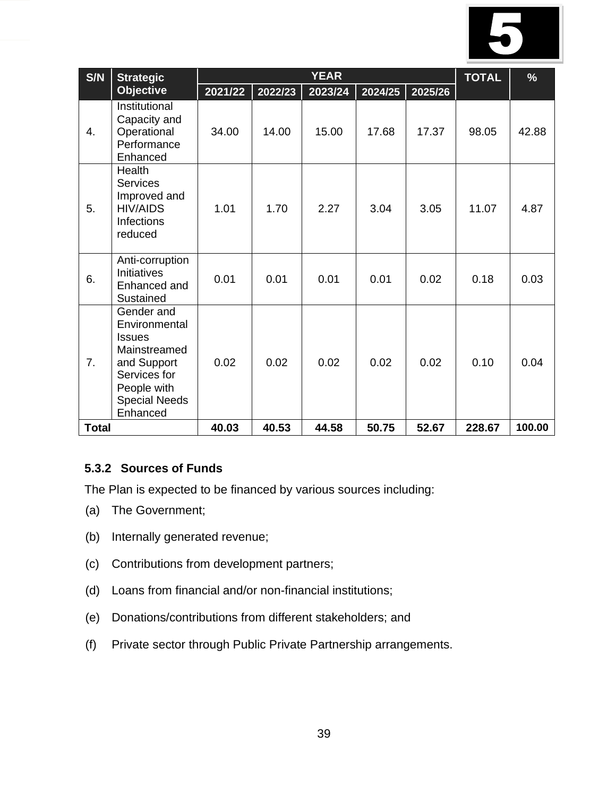

| S/N          | <b>Strategic</b>                                                                                                                               | <b>YEAR</b> |         |         |         | <b>TOTAL</b> | $\frac{9}{6}$ |        |
|--------------|------------------------------------------------------------------------------------------------------------------------------------------------|-------------|---------|---------|---------|--------------|---------------|--------|
|              | <b>Objective</b>                                                                                                                               | 2021/22     | 2022/23 | 2023/24 | 2024/25 | 2025/26      |               |        |
| 4.           | Institutional<br>Capacity and<br>Operational<br>Performance<br>Enhanced                                                                        | 34.00       | 14.00   | 15.00   | 17.68   | 17.37        | 98.05         | 42.88  |
| 5.           | <b>Health</b><br><b>Services</b><br>Improved and<br><b>HIV/AIDS</b><br><b>Infections</b><br>reduced                                            | 1.01        | 1.70    | 2.27    | 3.04    | 3.05         | 11.07         | 4.87   |
| 6.           | Anti-corruption<br><b>Initiatives</b><br>Enhanced and<br>Sustained                                                                             | 0.01        | 0.01    | 0.01    | 0.01    | 0.02         | 0.18          | 0.03   |
| 7.           | Gender and<br>Environmental<br><b>Issues</b><br>Mainstreamed<br>and Support<br>Services for<br>People with<br><b>Special Needs</b><br>Enhanced | 0.02        | 0.02    | 0.02    | 0.02    | 0.02         | 0.10          | 0.04   |
| <b>Total</b> |                                                                                                                                                | 40.03       | 40.53   | 44.58   | 50.75   | 52.67        | 228.67        | 100.00 |

# **5.3.2 Sources of Funds**

The Plan is expected to be financed by various sources including:

- (a) The Government;
- (b) Internally generated revenue;
- (c) Contributions from development partners;
- (d) Loans from financial and/or non-financial institutions;
- (e) Donations/contributions from different stakeholders; and
- (f) Private sector through Public Private Partnership arrangements.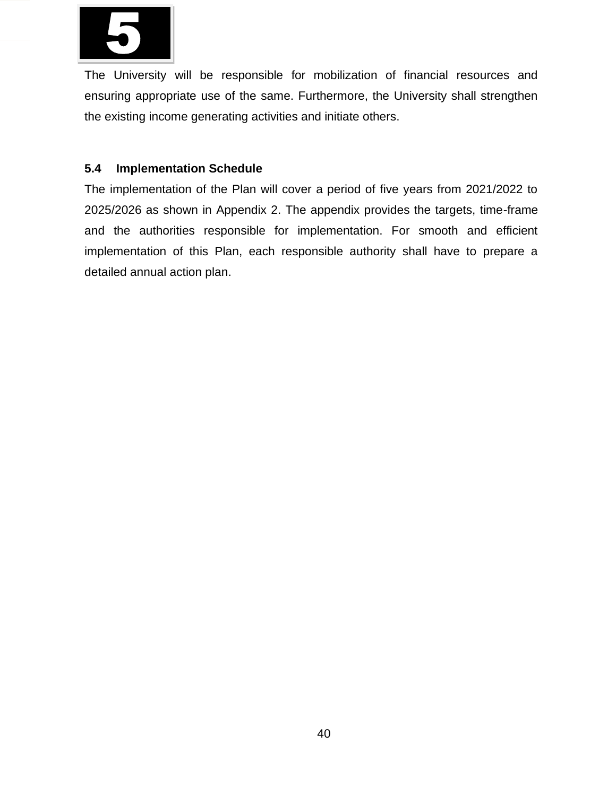

The University will be responsible for mobilization of financial resources and ensuring appropriate use of the same. Furthermore, the University shall strengthen the existing income generating activities and initiate others.

# **5.4 Implementation Schedule**

The implementation of the Plan will cover a period of five years from 2021/2022 to 2025/2026 as shown in Appendix 2. The appendix provides the targets, time-frame and the authorities responsible for implementation. For smooth and efficient implementation of this Plan, each responsible authority shall have to prepare a detailed annual action plan.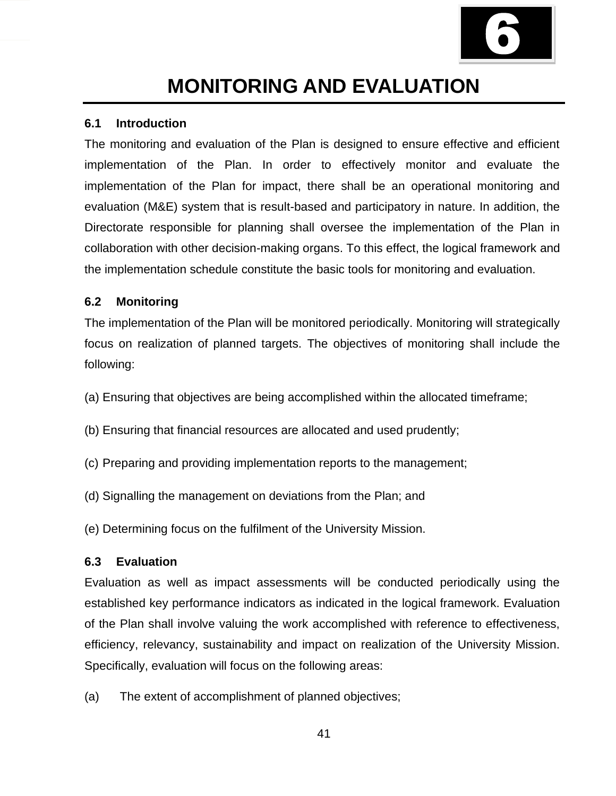

# **MONITORING AND EVALUATION**

#### **6.1 Introduction**

The monitoring and evaluation of the Plan is designed to ensure effective and efficient implementation of the Plan. In order to effectively monitor and evaluate the implementation of the Plan for impact, there shall be an operational monitoring and evaluation (M&E) system that is result-based and participatory in nature. In addition, the Directorate responsible for planning shall oversee the implementation of the Plan in collaboration with other decision-making organs. To this effect, the logical framework and the implementation schedule constitute the basic tools for monitoring and evaluation.

#### **6.2 Monitoring**

The implementation of the Plan will be monitored periodically. Monitoring will strategically focus on realization of planned targets. The objectives of monitoring shall include the following:

- (a) Ensuring that objectives are being accomplished within the allocated timeframe;
- (b) Ensuring that financial resources are allocated and used prudently;
- (c) Preparing and providing implementation reports to the management;
- (d) Signalling the management on deviations from the Plan; and

(e) Determining focus on the fulfilment of the University Mission.

#### **6.3 Evaluation**

Evaluation as well as impact assessments will be conducted periodically using the established key performance indicators as indicated in the logical framework. Evaluation of the Plan shall involve valuing the work accomplished with reference to effectiveness, efficiency, relevancy, sustainability and impact on realization of the University Mission. Specifically, evaluation will focus on the following areas:

(a) The extent of accomplishment of planned objectives;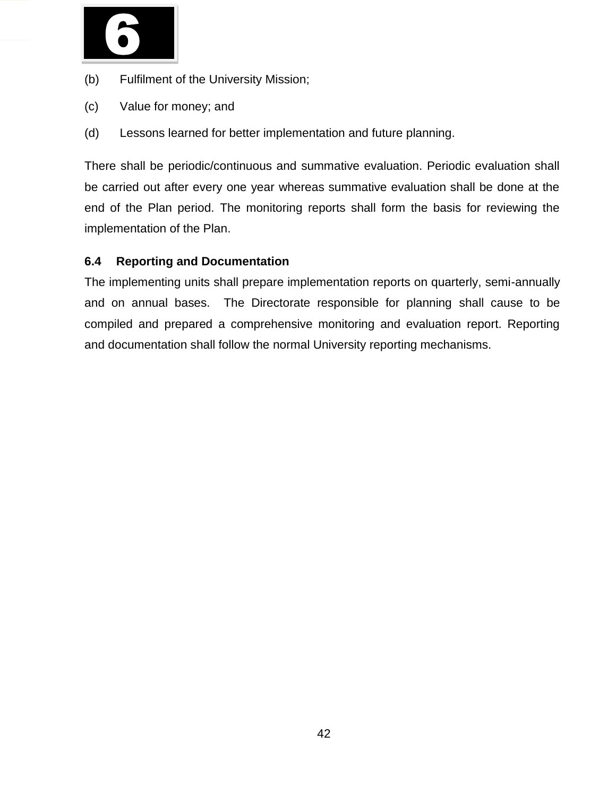

- (b) Fulfilment of the University Mission;
- (c) Value for money; and
- (d) Lessons learned for better implementation and future planning.

There shall be periodic/continuous and summative evaluation. Periodic evaluation shall be carried out after every one year whereas summative evaluation shall be done at the end of the Plan period. The monitoring reports shall form the basis for reviewing the implementation of the Plan.

# **6.4 Reporting and Documentation**

The implementing units shall prepare implementation reports on quarterly, semi-annually and on annual bases. The Directorate responsible for planning shall cause to be compiled and prepared a comprehensive monitoring and evaluation report. Reporting and documentation shall follow the normal University reporting mechanisms.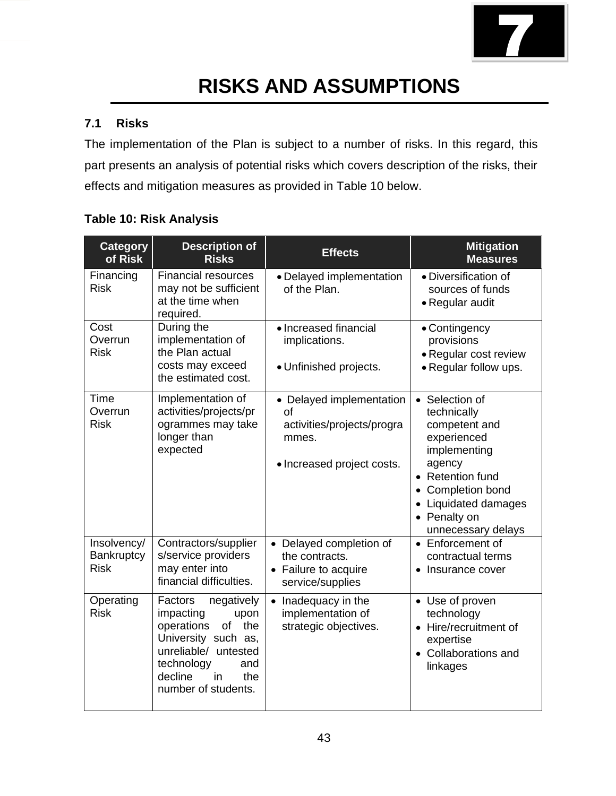

# **RISKS AND ASSUMPTIONS**

# **7.1 Risks**

The implementation of the Plan is subject to a number of risks. In this regard, this part presents an analysis of potential risks which covers description of the risks, their effects and mitigation measures as provided in Table 10 below.

|  |  | <b>Table 10: Risk Analysis</b> |
|--|--|--------------------------------|
|--|--|--------------------------------|

| <b>Category</b><br>of Risk               | <b>Description of</b><br><b>Risks</b>                                                                                                                                                    | <b>Effects</b>                                                                                      | <b>Mitigation</b><br><b>Measures</b>                                                                                                                                                         |
|------------------------------------------|------------------------------------------------------------------------------------------------------------------------------------------------------------------------------------------|-----------------------------------------------------------------------------------------------------|----------------------------------------------------------------------------------------------------------------------------------------------------------------------------------------------|
| Financing<br><b>Risk</b>                 | <b>Financial resources</b><br>may not be sufficient<br>at the time when<br>required.                                                                                                     | • Delayed implementation<br>of the Plan.                                                            | · Diversification of<br>sources of funds<br>• Regular audit                                                                                                                                  |
| Cost<br>Overrun<br><b>Risk</b>           | During the<br>implementation of<br>the Plan actual<br>costs may exceed<br>the estimated cost.                                                                                            | • Increased financial<br>implications.<br>• Unfinished projects.                                    | • Contingency<br>provisions<br>• Regular cost review<br>• Regular follow ups.                                                                                                                |
| Time<br>Overrun<br><b>Risk</b>           | Implementation of<br>activities/projects/pr<br>ogrammes may take<br>longer than<br>expected                                                                                              | • Delayed implementation<br>of<br>activities/projects/progra<br>mmes.<br>• Increased project costs. | • Selection of<br>technically<br>competent and<br>experienced<br>implementing<br>agency<br>• Retention fund<br>Completion bond<br>• Liquidated damages<br>• Penalty on<br>unnecessary delays |
| Insolvency/<br>Bankruptcy<br><b>Risk</b> | Contractors/supplier<br>s/service providers<br>may enter into<br>financial difficulties.                                                                                                 | • Delayed completion of<br>the contracts.<br>• Failure to acquire<br>service/supplies               | • Enforcement of<br>contractual terms<br>• Insurance cover                                                                                                                                   |
| Operating<br><b>Risk</b>                 | Factors<br>negatively<br>impacting<br>upon<br>operations<br>of<br>the<br>University such as,<br>unreliable/ untested<br>technology<br>and<br>decline<br>in<br>the<br>number of students. | Inadequacy in the<br>$\bullet$<br>implementation of<br>strategic objectives.                        | • Use of proven<br>technology<br>• Hire/recruitment of<br>expertise<br>• Collaborations and<br>linkages                                                                                      |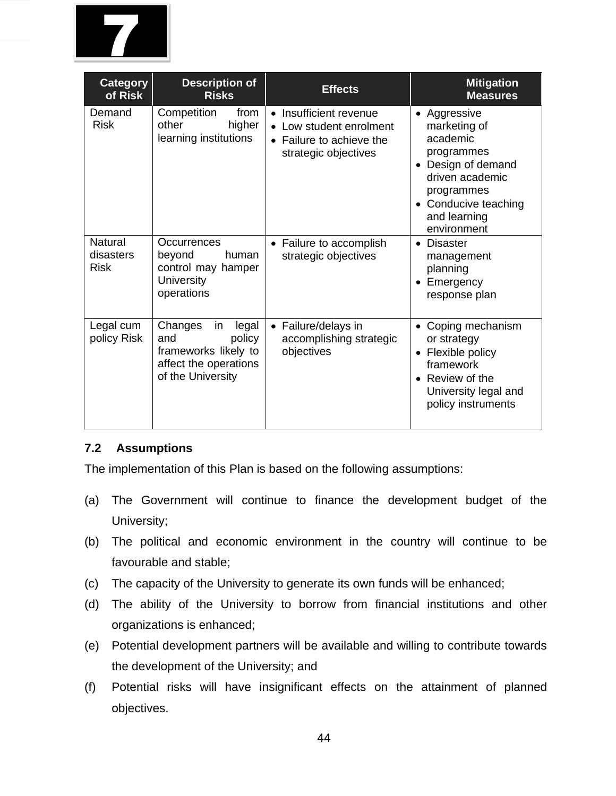

| <b>Category</b><br>of Risk                 | <b>Description of</b><br><b>Risks</b>                                                                         | <b>Effects</b>                                                                                        | <b>Mitigation</b><br><b>Measures</b>                                                                                                                                          |
|--------------------------------------------|---------------------------------------------------------------------------------------------------------------|-------------------------------------------------------------------------------------------------------|-------------------------------------------------------------------------------------------------------------------------------------------------------------------------------|
| Demand<br><b>Risk</b>                      | Competition<br>from<br>other<br>higher<br>learning institutions                                               | • Insufficient revenue<br>• Low student enrolment<br>• Failure to achieve the<br>strategic objectives | • Aggressive<br>marketing of<br>academic<br>programmes<br>Design of demand<br>driven academic<br>programmes<br>Conducive teaching<br>$\bullet$<br>and learning<br>environment |
| <b>Natural</b><br>disasters<br><b>Risk</b> | Occurrences<br>beyond<br>human<br>control may hamper<br><b>University</b><br>operations                       | • Failure to accomplish<br>strategic objectives                                                       | <b>Disaster</b><br>$\bullet$<br>management<br>planning<br>Emergency<br>response plan                                                                                          |
| Legal cum<br>policy Risk                   | Changes<br>in<br>legal<br>policy<br>and<br>frameworks likely to<br>affect the operations<br>of the University | • Failure/delays in<br>accomplishing strategic<br>objectives                                          | Coping mechanism<br>$\bullet$<br>or strategy<br>Flexible policy<br>framework<br>Review of the<br>$\bullet$<br>University legal and<br>policy instruments                      |

# **7.2 Assumptions**

The implementation of this Plan is based on the following assumptions:

- (a) The Government will continue to finance the development budget of the University;
- (b) The political and economic environment in the country will continue to be favourable and stable;
- (c) The capacity of the University to generate its own funds will be enhanced;
- (d) The ability of the University to borrow from financial institutions and other organizations is enhanced;
- (e) Potential development partners will be available and willing to contribute towards the development of the University; and
- (f) Potential risks will have insignificant effects on the attainment of planned objectives.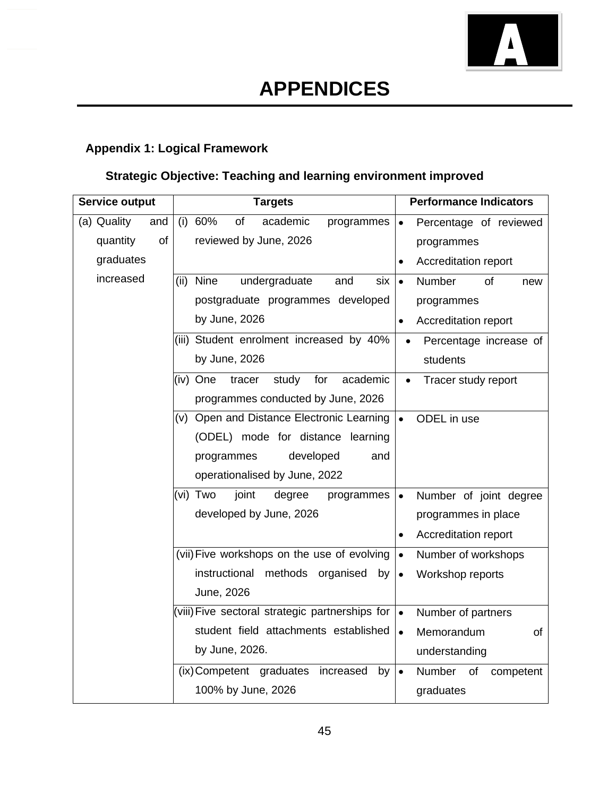

# **Appendix 1: Logical Framework**

# **Strategic Objective: Teaching and learning environment improved**

| <b>Service output</b><br><b>Targets</b> |                                                 | <b>Performance Indicators</b>       |
|-----------------------------------------|-------------------------------------------------|-------------------------------------|
| (a) Quality<br>and                      | 60%<br>of<br>academic<br>(i)<br>programmes      | Percentage of reviewed              |
| of<br>quantity                          | reviewed by June, 2026                          | programmes                          |
| graduates                               |                                                 | Accreditation report                |
| increased                               | (ii) Nine<br>undergraduate<br>and<br>six        | Number<br>of<br>$\bullet$<br>new    |
|                                         | postgraduate programmes developed               | programmes                          |
|                                         | by June, 2026                                   | Accreditation report<br>$\bullet$   |
|                                         | (iii) Student enrolment increased by 40%        | Percentage increase of<br>$\bullet$ |
|                                         | by June, 2026                                   | students                            |
|                                         | study<br>for<br>academic<br>(iv) One<br>tracer  | Tracer study report<br>$\bullet$    |
|                                         | programmes conducted by June, 2026              |                                     |
|                                         | (v) Open and Distance Electronic Learning       | ODEL in use<br>$\bullet$            |
|                                         | (ODEL) mode for distance learning               |                                     |
|                                         | programmes<br>developed<br>and                  |                                     |
|                                         | operationalised by June, 2022                   |                                     |
|                                         | (vi) Two<br>joint<br>degree<br>programmes       | Number of joint degree<br>$\bullet$ |
|                                         | developed by June, 2026                         | programmes in place                 |
|                                         |                                                 | Accreditation report<br>$\bullet$   |
|                                         | (vii) Five workshops on the use of evolving     | Number of workshops<br>$\bullet$    |
|                                         | methods organised<br>instructional<br>by        | Workshop reports<br>$\bullet$       |
|                                         | June, 2026                                      |                                     |
|                                         | (viii) Five sectoral strategic partnerships for | Number of partners<br>$\bullet$     |
|                                         | student field attachments established           | Memorandum<br>of<br>$\bullet$       |
|                                         | by June, 2026.                                  | understanding                       |
|                                         | (ix) Competent graduates<br>increased<br>by     | Number of<br>competent<br>$\bullet$ |
|                                         | 100% by June, 2026                              | graduates                           |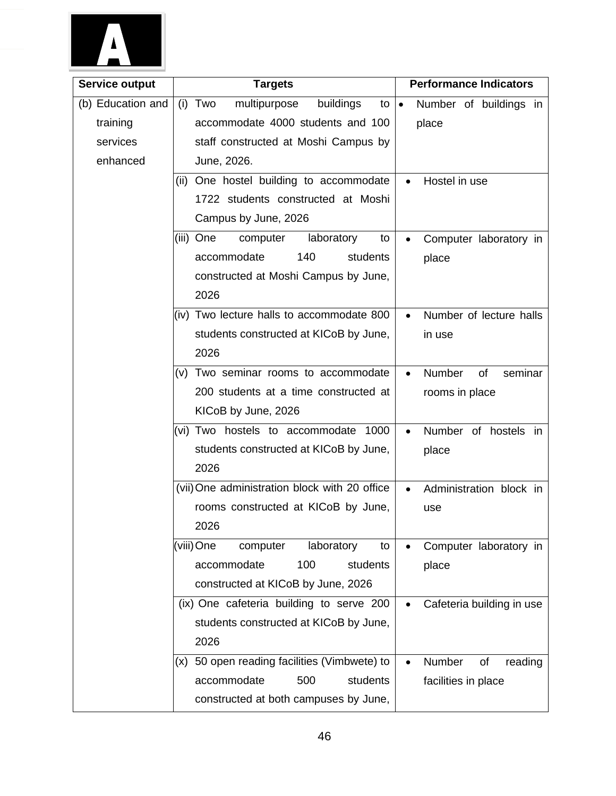

| <b>Service output</b> | <b>Targets</b>                                | <b>Performance Indicators</b>          |
|-----------------------|-----------------------------------------------|----------------------------------------|
| (b) Education and     | multipurpose<br>buildings<br>(i) Two<br>to    | Number of buildings in<br>$\bullet$    |
| training              | accommodate 4000 students and 100             | place                                  |
| services              | staff constructed at Moshi Campus by          |                                        |
| enhanced              | June, 2026.                                   |                                        |
|                       | (ii) One hostel building to accommodate       | Hostel in use<br>$\bullet$             |
|                       | 1722 students constructed at Moshi            |                                        |
|                       | Campus by June, 2026                          |                                        |
|                       | (iii) One<br>computer<br>laboratory<br>to     | Computer laboratory in                 |
|                       | 140<br>accommodate<br>students                | place                                  |
|                       | constructed at Moshi Campus by June,          |                                        |
|                       | 2026                                          |                                        |
|                       | (iv) Two lecture halls to accommodate 800     | Number of lecture halls<br>$\bullet$   |
|                       | students constructed at KICoB by June,        | in use                                 |
|                       | 2026                                          |                                        |
|                       | (v) Two seminar rooms to accommodate          | Number<br>seminar<br>of<br>$\bullet$   |
|                       | 200 students at a time constructed at         | rooms in place                         |
|                       | KICoB by June, 2026                           |                                        |
|                       | (vi) Two hostels to accommodate 1000          | Number of hostels in<br>$\bullet$      |
|                       | students constructed at KICoB by June,        | place                                  |
|                       | 2026                                          |                                        |
|                       | (vii) One administration block with 20 office | Administration block in<br>$\bullet$   |
|                       | rooms constructed at KICoB by June,           | use                                    |
|                       | 2026                                          |                                        |
|                       | (viii) One<br>laboratory<br>computer<br>to    | Computer laboratory in                 |
|                       | accommodate<br>100<br>students                | place                                  |
|                       | constructed at KICoB by June, 2026            |                                        |
|                       | (ix) One cafeteria building to serve 200      | Cafeteria building in use<br>$\bullet$ |
|                       | students constructed at KICoB by June,        |                                        |
|                       | 2026                                          |                                        |
|                       | (x) 50 open reading facilities (Vimbwete) to  | Number<br>of<br>reading<br>$\bullet$   |
|                       | accommodate<br>students<br>500                | facilities in place                    |
|                       | constructed at both campuses by June,         |                                        |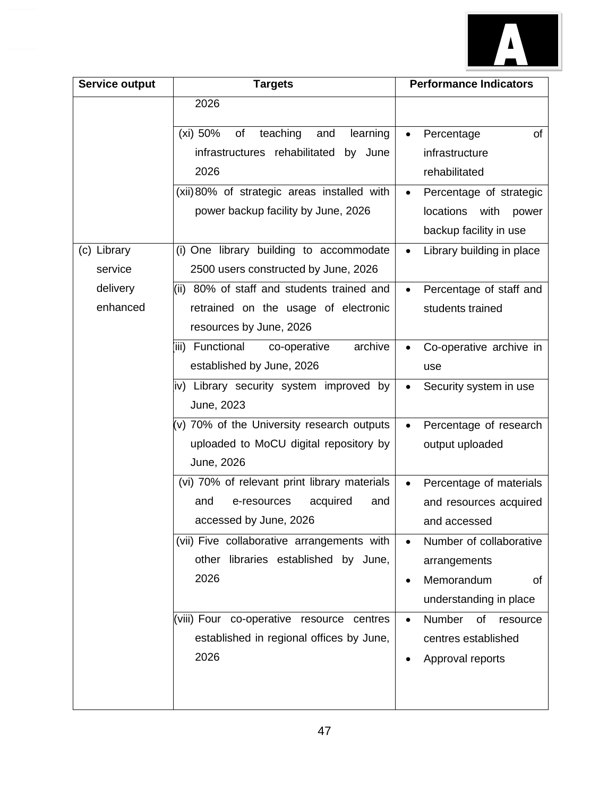

| Service output | <b>Targets</b>                                 | <b>Performance Indicators</b>          |
|----------------|------------------------------------------------|----------------------------------------|
|                | 2026                                           |                                        |
|                | teaching<br>(xi) 50%<br>and<br>learning<br>of  | Percentage<br>of<br>$\bullet$          |
|                | infrastructures rehabilitated<br>by June       | infrastructure                         |
|                | 2026                                           | rehabilitated                          |
|                | (xii) 80% of strategic areas installed with    | Percentage of strategic<br>$\bullet$   |
|                | power backup facility by June, 2026            | <b>locations</b><br>with<br>power      |
|                |                                                | backup facility in use                 |
| (c) Library    | (i) One library building to accommodate        | Library building in place<br>$\bullet$ |
| service        | 2500 users constructed by June, 2026           |                                        |
| delivery       | (ii) 80% of staff and students trained and     | Percentage of staff and<br>$\bullet$   |
| enhanced       | retrained on the usage of electronic           | students trained                       |
|                | resources by June, 2026                        |                                        |
|                | archive<br>Functional<br>co-operative<br>iiii) | Co-operative archive in<br>$\bullet$   |
|                | established by June, 2026                      | use                                    |
|                | iv) Library security system improved by        | Security system in use                 |
|                | June, 2023                                     |                                        |
|                | (v) 70% of the University research outputs     | Percentage of research<br>$\bullet$    |
|                | uploaded to MoCU digital repository by         | output uploaded                        |
|                | June, 2026                                     |                                        |
|                | (vi) 70% of relevant print library materials   | Percentage of materials<br>$\bullet$   |
|                | acquired<br>and<br>e-resources<br>and          | and resources acquired                 |
|                | accessed by June, 2026                         | and accessed                           |
|                | (vii) Five collaborative arrangements with     | Number of collaborative<br>$\bullet$   |
|                | other libraries established by June,           | arrangements                           |
|                | 2026                                           | Memorandum<br>of<br>$\bullet$          |
|                |                                                | understanding in place                 |
|                | (viii) Four co-operative resource centres      | Number<br>of<br>resource<br>$\bullet$  |
|                | established in regional offices by June,       | centres established                    |
|                | 2026                                           | Approval reports<br>$\bullet$          |
|                |                                                |                                        |
|                |                                                |                                        |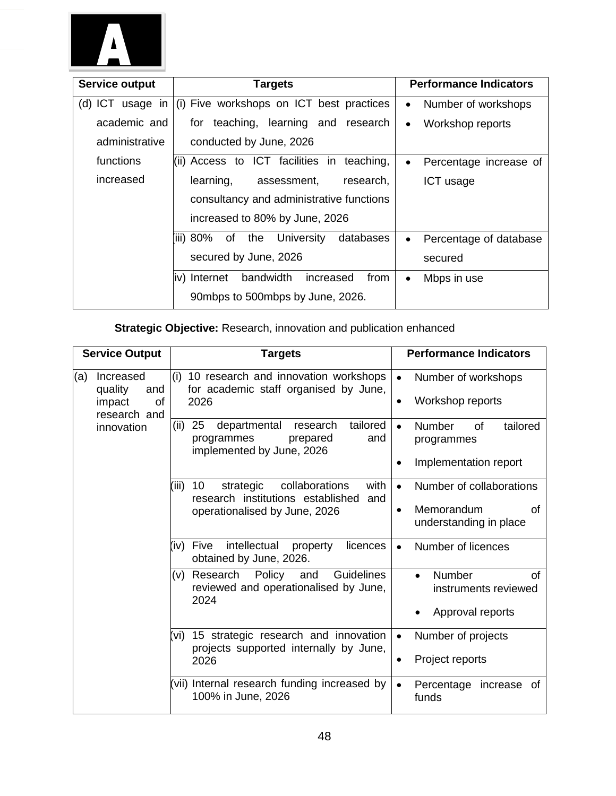

| Service output   | <b>Targets</b>                                     | <b>Performance Indicators</b>       |
|------------------|----------------------------------------------------|-------------------------------------|
| (d) ICT usage in | (i) Five workshops on ICT best practices           | Number of workshops<br>$\bullet$    |
| academic and     | for teaching, learning and research                | Workshop reports<br>$\bullet$       |
| administrative   | conducted by June, 2026                            |                                     |
| functions        | $\vert$ (ii) Access to ICT facilities in teaching, | Percentage increase of<br>$\bullet$ |
| increased        | research,<br>learning,<br>assessment,              | ICT usage                           |
|                  | consultancy and administrative functions           |                                     |
|                  | increased to 80% by June, 2026                     |                                     |
|                  | (iii) 80% of the<br>University<br>databases        | Percentage of database<br>$\bullet$ |
|                  | secured by June, 2026                              | secured                             |
|                  | bandwidth<br>iv) Internet<br>from<br>increased     | Mbps in use<br>$\bullet$            |
|                  | 90mbps to 500mbps by June, 2026.                   |                                     |

# **Strategic Objective:** Research, innovation and publication enhanced

| <b>Service Output</b>                                              | <b>Targets</b>                                                                                                   | <b>Performance Indicators</b>                                                |
|--------------------------------------------------------------------|------------------------------------------------------------------------------------------------------------------|------------------------------------------------------------------------------|
| (a)<br>Increased<br>quality<br>and<br>impact<br>οf<br>research and | (i)<br>10 research and innovation workshops<br>for academic staff organised by June,<br>2026                     | Number of workshops<br>$\bullet$<br>Workshop reports<br>$\bullet$            |
| innovation                                                         | tailored<br>(ii)<br>25<br>departmental<br>research<br>and<br>programmes<br>prepared<br>implemented by June, 2026 | Number<br>tailored<br>$\bullet$<br>Ωf<br>programmes<br>Implementation report |
|                                                                    |                                                                                                                  |                                                                              |
|                                                                    | 10<br>collaborations<br>with<br>(iii)<br>strategic<br>research institutions established<br>and                   | Number of collaborations<br>$\bullet$                                        |
|                                                                    | operationalised by June, 2026                                                                                    | Memorandum<br>οf<br>$\bullet$<br>understanding in place                      |
|                                                                    | intellectual<br>(iv) Five<br>licences<br>property<br>obtained by June, 2026.                                     | Number of licences<br>$\bullet$                                              |
|                                                                    | Policy<br><b>Guidelines</b><br>Research<br>and<br>(v)<br>reviewed and operationalised by June,<br>2024           | Number<br>of<br>$\bullet$<br>instruments reviewed                            |
|                                                                    |                                                                                                                  | Approval reports                                                             |
|                                                                    | 15 strategic research and innovation<br>'vi)<br>projects supported internally by June,                           | Number of projects<br>$\bullet$                                              |
|                                                                    | 2026                                                                                                             | Project reports<br>$\bullet$                                                 |
|                                                                    | vii) Internal research funding increased by<br>100% in June, 2026                                                | Percentage<br>increase<br>0f<br>$\bullet$<br>funds                           |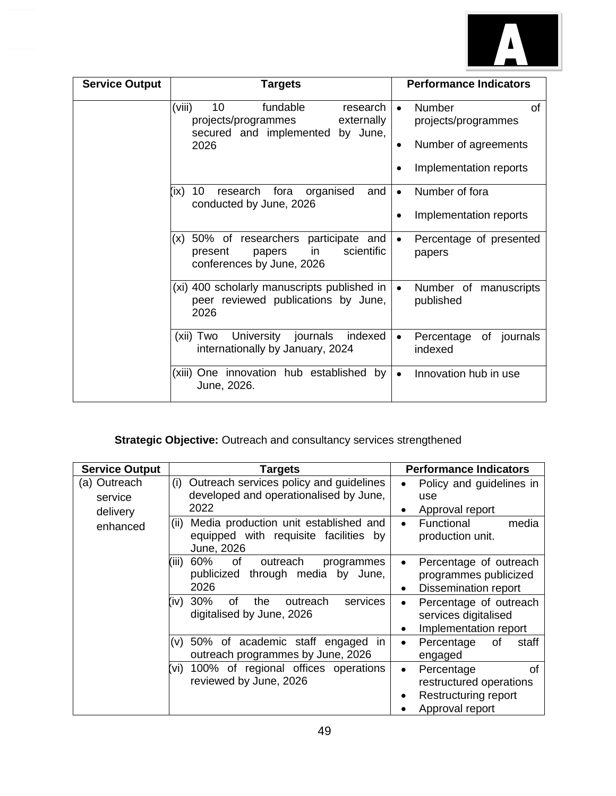

| <b>Service Output</b> | <b>Targets</b>                                                                                                           | <b>Performance Indicators</b>                                                                                          |
|-----------------------|--------------------------------------------------------------------------------------------------------------------------|------------------------------------------------------------------------------------------------------------------------|
|                       | (viii)<br>10<br>fundable<br>research<br>projects/programmes<br>externally<br>secured and implemented<br>by June,<br>2026 | <b>of</b><br>Number<br>$\bullet$<br>projects/programmes<br>Number of agreements<br>$\bullet$<br>Implementation reports |
|                       | 10<br>organised<br>research<br>fora<br>and<br>(ix<br>conducted by June, 2026                                             | Number of fora<br>$\bullet$<br>Implementation reports                                                                  |
|                       | 50% of researchers participate and<br>(x)<br>scientific<br>in<br>present<br>papers<br>conferences by June, 2026          | Percentage of presented<br>$\bullet$<br>papers                                                                         |
|                       | (xi) 400 scholarly manuscripts published in<br>peer reviewed publications by June,<br>2026                               | Number of manuscripts<br>$\bullet$<br>published                                                                        |
|                       | University journals<br>indexed<br>(xii) Two<br>internationally by January, 2024                                          | of<br>journals<br>Percentage<br>$\bullet$<br>indexed                                                                   |
|                       | One innovation hub established<br>(xiii).<br>bv<br>June, 2026.                                                           | Innovation hub in use<br>$\bullet$                                                                                     |

# **Strategic Objective:** Outreach and consultancy services strengthened

| <b>Service Output</b>               | <b>Targets</b>                                                                                       | <b>Performance Indicators</b>                                                                            |
|-------------------------------------|------------------------------------------------------------------------------------------------------|----------------------------------------------------------------------------------------------------------|
| (a) Outreach<br>service<br>delivery | Outreach services policy and guidelines<br>(i)<br>developed and operationalised by June,<br>2022     | Policy and guidelines in<br>$\bullet$<br>use<br>Approval report<br>٠                                     |
| enhanced                            | Media production unit established and<br>(ii)<br>equipped with requisite facilities by<br>June, 2026 | Functional<br>media<br>$\bullet$<br>production unit.                                                     |
|                                     | 60%<br>of<br>outreach<br>(iii)<br>programmes<br>through media by June,<br>publicized<br>2026         | Percentage of outreach<br>$\bullet$<br>programmes publicized<br><b>Dissemination report</b><br>$\bullet$ |
|                                     | (iv) 30%<br>οf<br>the<br>outreach<br>services<br>digitalised by June, 2026                           | Percentage of outreach<br>$\bullet$<br>services digitalised<br>Implementation report<br>٠                |
|                                     | (v) 50% of academic staff engaged<br>in<br>outreach programmes by June, 2026                         | Percentage<br>staff<br>0f<br>$\bullet$<br>engaged                                                        |
|                                     | 100% of regional offices operations<br>Vi)<br>reviewed by June, 2026                                 | Percentage<br>οf<br>$\bullet$<br>restructured operations<br>Restructuring report<br>Approval report      |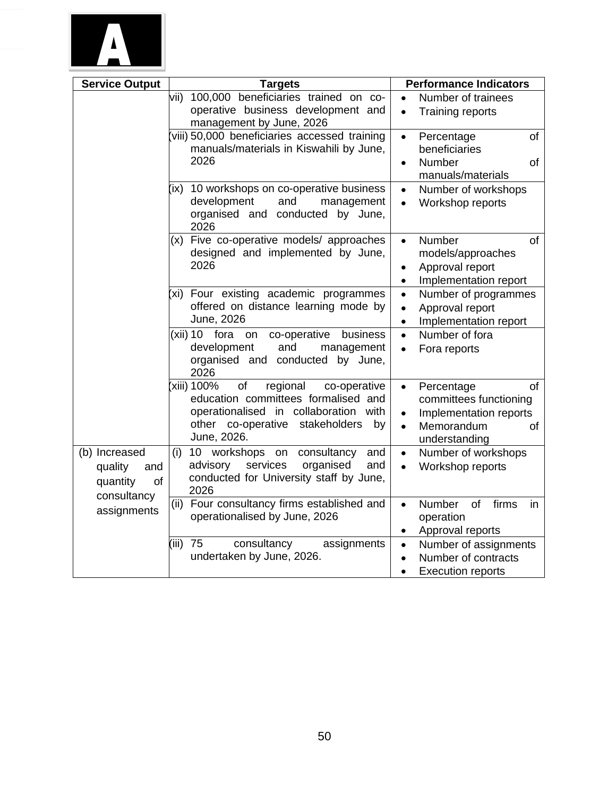

| <b>Service Output</b>                                            | <b>Targets</b>                                                                                                                                                                          | <b>Performance Indicators</b>                                                                                                                           |
|------------------------------------------------------------------|-----------------------------------------------------------------------------------------------------------------------------------------------------------------------------------------|---------------------------------------------------------------------------------------------------------------------------------------------------------|
|                                                                  | 100,000 beneficiaries trained on co-<br>vii)<br>operative business development and<br>management by June, 2026                                                                          | Number of trainees<br>$\bullet$<br>Training reports<br>$\bullet$                                                                                        |
|                                                                  | viii) 50,000 beneficiaries accessed training<br>manuals/materials in Kiswahili by June,<br>2026                                                                                         | of<br>Percentage<br>$\bullet$<br>beneficiaries<br>Number<br>of<br>$\bullet$<br>manuals/materials                                                        |
|                                                                  | 10 workshops on co-operative business<br>(ix)<br>development<br>and<br>management<br>organised and conducted by June,<br>2026                                                           | Number of workshops<br>$\bullet$<br>Workshop reports<br>$\bullet$                                                                                       |
|                                                                  | (x) Five co-operative models/ approaches<br>designed and implemented by June,<br>2026                                                                                                   | Number<br>of<br>$\bullet$<br>models/approaches<br>Approval report<br>$\bullet$<br>Implementation report<br>$\bullet$                                    |
|                                                                  | (xi) Four existing academic programmes<br>offered on distance learning mode by<br>June, 2026                                                                                            | Number of programmes<br>$\bullet$<br>Approval report<br>$\bullet$<br>Implementation report<br>$\bullet$                                                 |
|                                                                  | (xii) 10<br>fora<br>co-operative<br>on<br>business<br>development<br>and<br>management<br>organised and conducted by June,<br>2026                                                      | Number of fora<br>$\bullet$<br>Fora reports<br>$\bullet$                                                                                                |
|                                                                  | xiii) 100%<br>of<br>regional<br>co-operative<br>education committees formalised and<br>operationalised in collaboration<br>with<br>other co-operative stakeholders<br>by<br>June, 2026. | of<br>Percentage<br>$\bullet$<br>committees functioning<br>Implementation reports<br>$\bullet$<br>Memorandum<br><b>of</b><br>$\bullet$<br>understanding |
| (b) Increased<br>quality<br>and<br>quantity<br>of<br>consultancy | 10 workshops on<br>consultancy<br>(i)<br>and<br>services<br>advisory<br>organised<br>and<br>conducted for University staff by June,<br>2026                                             | Number of workshops<br>$\bullet$<br>Workshop reports<br>$\bullet$                                                                                       |
| assignments                                                      | (ii) Four consultancy firms established and<br>operationalised by June, 2026                                                                                                            | Number<br>of<br>firms<br>in<br>$\bullet$<br>operation<br>Approval reports<br>$\bullet$                                                                  |
|                                                                  | 75<br>(iii)<br>consultancy<br>assignments<br>undertaken by June, 2026.                                                                                                                  | Number of assignments<br>$\bullet$<br>Number of contracts<br>$\bullet$<br><b>Execution reports</b><br>$\bullet$                                         |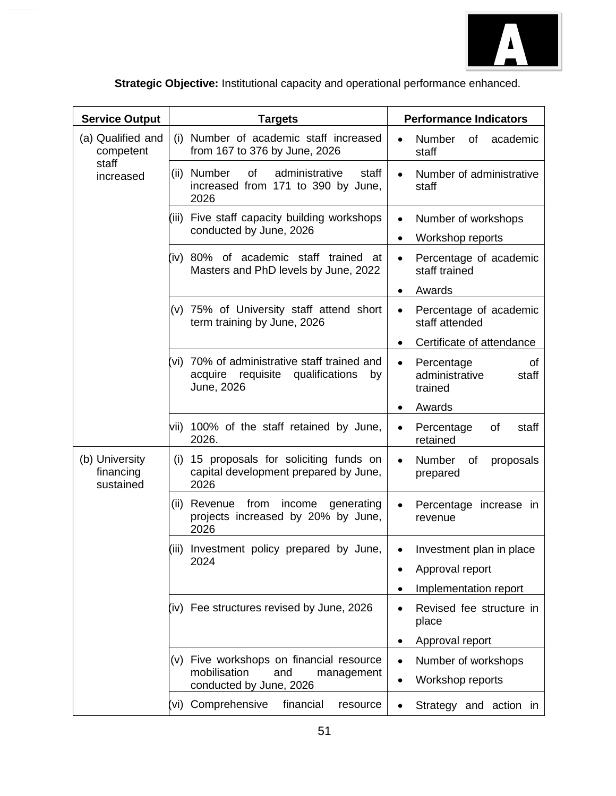

| <b>Service Output</b>                    | <b>Targets</b>                                                                                       | <b>Performance Indicators</b>                                       |
|------------------------------------------|------------------------------------------------------------------------------------------------------|---------------------------------------------------------------------|
| (a) Qualified and<br>competent           | (i) Number of academic staff increased<br>from 167 to 376 by June, 2026                              | Number<br>of<br>academic<br>staff                                   |
| staff<br>increased                       | administrative<br>Number<br>of<br>staff<br>(ii)<br>increased from 171 to 390 by June,<br>2026        | Number of administrative<br>staff                                   |
|                                          | Five staff capacity building workshops<br>(iii)<br>conducted by June, 2026                           | Number of workshops<br>$\bullet$<br>Workshop reports                |
|                                          | (iv) 80% of academic staff trained<br>_at<br>Masters and PhD levels by June, 2022                    | Percentage of academic<br>$\bullet$<br>staff trained                |
|                                          |                                                                                                      | Awards<br>$\bullet$                                                 |
|                                          | (v) 75% of University staff attend short<br>term training by June, 2026                              | Percentage of academic<br>$\bullet$<br>staff attended               |
|                                          |                                                                                                      | Certificate of attendance                                           |
|                                          | (vi) 70% of administrative staff trained and<br>acquire requisite qualifications<br>by<br>June, 2026 | Percentage<br>0f<br>$\bullet$<br>administrative<br>staff<br>trained |
|                                          |                                                                                                      | Awards                                                              |
|                                          | vii) 100% of the staff retained by June,<br>2026.                                                    | Percentage<br>οf<br>staff<br>retained                               |
| (b) University<br>financing<br>sustained | 15 proposals for soliciting funds on<br>(i)<br>capital development prepared by June,<br>2026         | Number<br>of<br>proposals<br>$\bullet$<br>prepared                  |
|                                          | from<br>income<br>(ii)<br>Revenue<br>generating<br>projects increased by 20% by June,<br>2026        | Percentage increase in<br>revenue                                   |
|                                          | (iii) Investment policy prepared by June,                                                            | Investment plan in place                                            |
|                                          | 2024                                                                                                 | Approval report                                                     |
|                                          |                                                                                                      | Implementation report                                               |
|                                          | (iv) Fee structures revised by June, 2026                                                            | Revised fee structure in<br>place                                   |
|                                          |                                                                                                      | Approval report                                                     |
|                                          | Five workshops on financial resource<br>(V)                                                          | Number of workshops                                                 |
|                                          | mobilisation<br>and<br>management<br>conducted by June, 2026                                         | Workshop reports                                                    |
|                                          | (vi) Comprehensive<br>financial<br>resource                                                          | Strategy and action in                                              |

**Strategic Objective:** Institutional capacity and operational performance enhanced.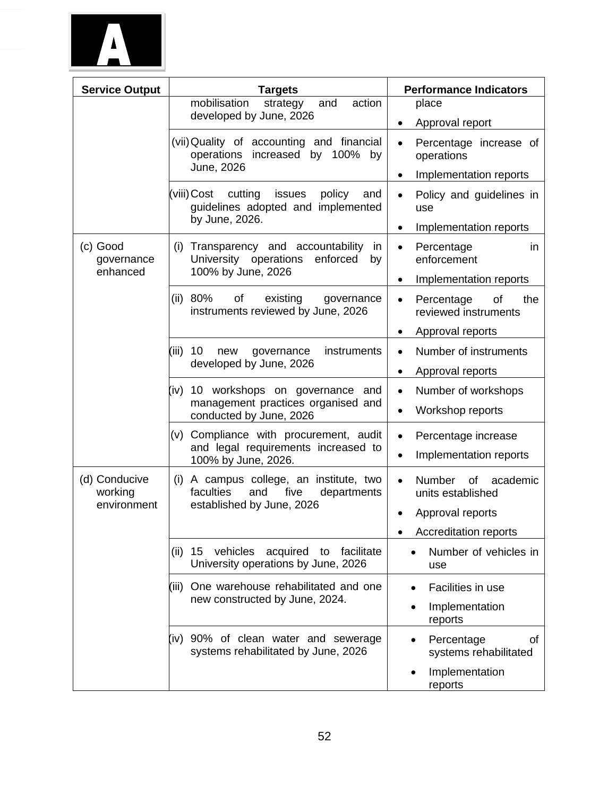

| <b>Service Output</b>              | <b>Targets</b>                                                                                             | <b>Performance Indicators</b>                                |
|------------------------------------|------------------------------------------------------------------------------------------------------------|--------------------------------------------------------------|
|                                    | mobilisation<br>action<br>strategy<br>and<br>developed by June, 2026                                       | place                                                        |
|                                    |                                                                                                            | Approval report<br>$\bullet$                                 |
|                                    | (vii) Quality of accounting and financial<br>operations increased by 100% by                               | Percentage increase of<br>$\bullet$<br>operations            |
|                                    | June, 2026                                                                                                 | Implementation reports<br>$\bullet$                          |
|                                    | cutting<br>(viii)Cost<br>issues<br>policy<br>and<br>guidelines adopted and implemented                     | Policy and guidelines in<br>$\bullet$<br>use                 |
|                                    | by June, 2026.                                                                                             | Implementation reports<br>$\bullet$                          |
| (c) Good<br>governance<br>enhanced | (i) Transparency and accountability<br>in<br>University operations<br>enforced<br>by<br>100% by June, 2026 | Percentage<br>in<br>$\bullet$<br>enforcement                 |
|                                    |                                                                                                            | Implementation reports<br>$\bullet$                          |
|                                    | (ii) $80\%$<br>of<br>existing<br>governance<br>instruments reviewed by June, 2026                          | 0f<br>the<br>Percentage<br>$\bullet$<br>reviewed instruments |
|                                    |                                                                                                            | Approval reports<br>$\bullet$                                |
|                                    | (iii)<br>10<br>instruments<br>new<br>governance                                                            | Number of instruments<br>$\bullet$                           |
|                                    | developed by June, 2026                                                                                    | Approval reports<br>$\bullet$                                |
|                                    | (iv) 10 workshops on governance<br>and                                                                     | Number of workshops<br>$\bullet$                             |
|                                    | management practices organised and<br>conducted by June, 2026                                              | Workshop reports<br>$\bullet$                                |
|                                    | (v) Compliance with procurement, audit                                                                     | Percentage increase<br>$\bullet$                             |
|                                    | and legal requirements increased to<br>100% by June, 2026.                                                 | Implementation reports<br>$\bullet$                          |
| (d) Conducive                      | (i) A campus college, an institute, two                                                                    | Number<br><b>of</b><br>academic<br>$\bullet$                 |
| working<br>environment             | faculties<br>and<br>five<br>departments<br>established by June, 2026                                       | units established                                            |
|                                    |                                                                                                            | Approval reports                                             |
|                                    |                                                                                                            | <b>Accreditation reports</b>                                 |
|                                    | (ii) 15 vehicles acquired to facilitate<br>University operations by June, 2026                             | Number of vehicles in<br>use                                 |
|                                    | (iii) One warehouse rehabilitated and one                                                                  | Facilities in use                                            |
|                                    | new constructed by June, 2024.                                                                             | Implementation<br>reports                                    |
|                                    | (iv) 90% of clean water and sewerage<br>systems rehabilitated by June, 2026                                | Percentage<br>οf<br>systems rehabilitated                    |
|                                    |                                                                                                            | Implementation<br>reports                                    |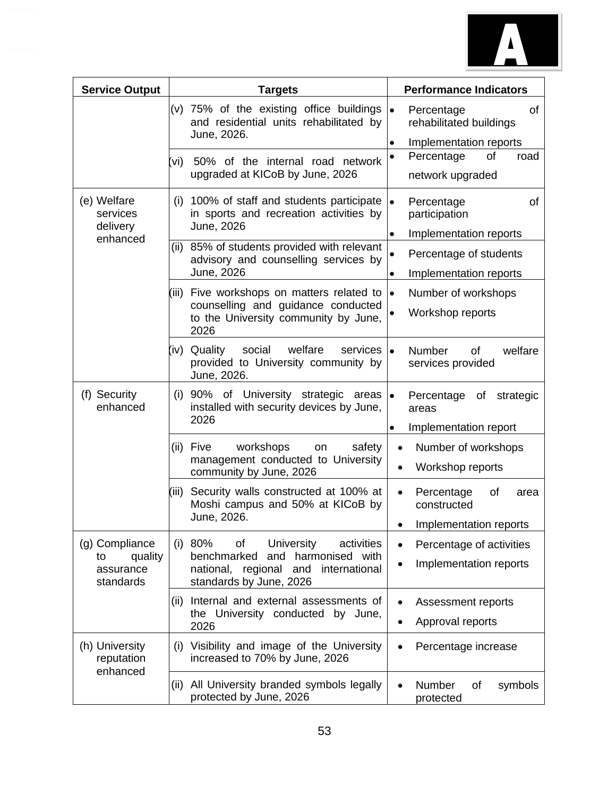

| <b>Service Output</b>                                     | <b>Targets</b>                                                                                                                                               | <b>Performance Indicators</b>                                                           |
|-----------------------------------------------------------|--------------------------------------------------------------------------------------------------------------------------------------------------------------|-----------------------------------------------------------------------------------------|
|                                                           | (v) 75% of the existing office buildings<br>and residential units rehabilitated by<br>June, 2026.                                                            | of<br>$\bullet$<br>Percentage<br>rehabilitated buildings<br>Implementation reports<br>٠ |
|                                                           | 50% of the internal road network<br>(vi)<br>upgraded at KICoB by June, 2026                                                                                  | Percentage<br>of<br>road<br>$\bullet$<br>network upgraded                               |
| (e) Welfare<br>services<br>delivery                       | (i) 100% of staff and students participate<br>in sports and recreation activities by<br>June, 2026                                                           | $\bullet$<br>Percentage<br>of<br>participation<br>Implementation reports<br>$\bullet$   |
| enhanced                                                  | (ii) 85% of students provided with relevant<br>advisory and counselling services by<br>June, 2026                                                            | Percentage of students<br>Implementation reports<br>$\bullet$                           |
|                                                           | (iii) Five workshops on matters related to<br>counselling and guidance conducted<br>to the University community by June,<br>2026                             | $\bullet$<br>Number of workshops<br>Workshop reports<br>$\bullet$                       |
|                                                           | welfare<br>(iv) Quality<br>social<br>services<br>provided to University community by<br>June, 2026.                                                          | <b>Number</b><br>welfare<br>of<br>$\bullet$<br>services provided                        |
| (f) Security<br>enhanced                                  | (i) 90% of University strategic areas $\bullet$<br>installed with security devices by June,<br>2026                                                          | Percentage of strategic<br>areas<br>Implementation report<br>$\bullet$                  |
|                                                           | Five<br>workshops<br>safety<br>(ii)<br>on<br>management conducted to University<br>community by June, 2026                                                   | Number of workshops<br>$\bullet$<br>Workshop reports<br>$\bullet$                       |
|                                                           | Security walls constructed at 100% at<br>(iii)<br>Moshi campus and 50% at KICoB by<br>June, 2026.                                                            | Percentage<br>of<br>$\bullet$<br>area<br>constructed<br>Implementation reports          |
| (g) Compliance<br>quality<br>to<br>assurance<br>standards | (i) 80%<br><b>University</b><br>of<br>activities<br>benchmarked<br>harmonised with<br>and<br>national, regional and international<br>standards by June, 2026 | Percentage of activities<br>$\bullet$<br>Implementation reports<br>$\bullet$            |
|                                                           | Internal and external assessments of<br>(ii)<br>the University conducted by June,<br>2026                                                                    | Assessment reports<br>Approval reports<br>$\bullet$                                     |
| (h) University<br>reputation<br>enhanced                  | Visibility and image of the University<br>(i)<br>increased to 70% by June, 2026                                                                              | Percentage increase                                                                     |
|                                                           | All University branded symbols legally<br>(ii)<br>protected by June, 2026                                                                                    | Number<br>of<br>symbols<br>protected                                                    |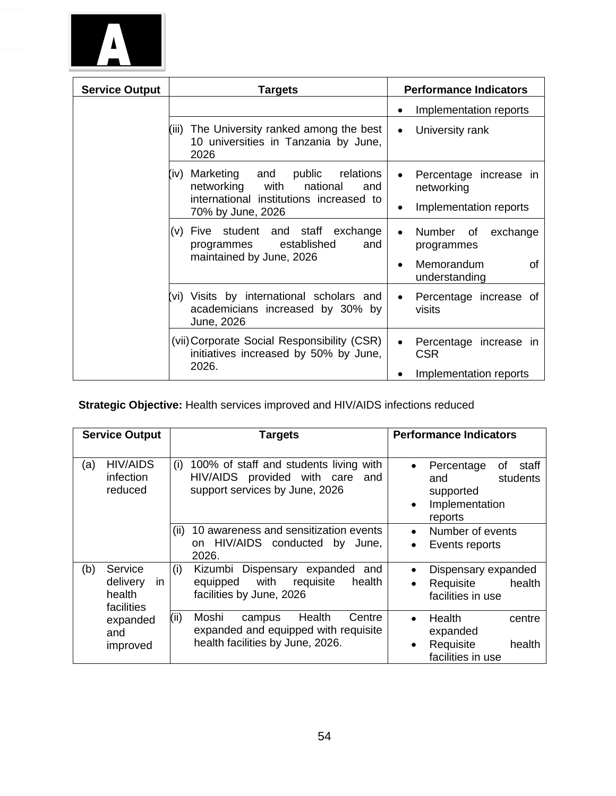

| <b>Service Output</b> | <b>Targets</b>                                                                                                                                           | <b>Performance Indicators</b>                                                            |
|-----------------------|----------------------------------------------------------------------------------------------------------------------------------------------------------|------------------------------------------------------------------------------------------|
|                       |                                                                                                                                                          | Implementation reports                                                                   |
|                       | The University ranked among the best<br>(iii)<br>10 universities in Tanzania by June,<br>2026                                                            | University rank<br>$\bullet$                                                             |
|                       | Marketing<br>public<br>and<br>relations<br>(iv)<br>networking<br>with<br>national<br>and<br>international institutions increased to<br>70% by June, 2026 | Percentage increase in<br>$\bullet$<br>networking<br>Implementation reports              |
|                       | student and staff<br>exchange<br>Five<br>(v)<br>and<br>established<br>programmes<br>maintained by June, 2026                                             | Number<br>exchange<br>0f<br>$\bullet$<br>programmes<br>Memorandum<br>of<br>understanding |
|                       | (vi) Visits by international scholars and<br>academicians increased by 30% by<br>June, 2026                                                              | Percentage increase of<br>$\bullet$<br>visits                                            |
|                       | (vii) Corporate Social Responsibility (CSR)<br>initiatives increased by 50% by June,<br>2026.                                                            | Percentage increase in<br>$\bullet$<br><b>CSR</b><br>Implementation reports              |

# **Strategic Objective:** Health services improved and HIV/AIDS infections reduced

|     | <b>Service Output</b>                             | <b>Targets</b>                                                                                                          | <b>Performance Indicators</b>                                                                       |
|-----|---------------------------------------------------|-------------------------------------------------------------------------------------------------------------------------|-----------------------------------------------------------------------------------------------------|
| (a) | <b>HIV/AIDS</b><br>infection<br>reduced           | (i)<br>100% of staff and students living with<br>HIV/AIDS provided with care<br>and<br>support services by June, 2026   | Percentage<br>staff<br>0f<br>students<br>and<br>supported<br>Implementation<br>$\bullet$<br>reports |
|     |                                                   | 10 awareness and sensitization events<br>(ii)<br>on HIV/AIDS conducted by<br>June.<br>2026.                             | Number of events<br>Events reports                                                                  |
| (b) | Service<br>in<br>delivery<br>health<br>facilities | (i)<br>Dispensary expanded<br>Kizumbi<br>and<br>with requisite<br>equipped<br>health<br>facilities by June, 2026        | Dispensary expanded<br>health<br>Requisite<br>$\bullet$<br>facilities in use                        |
|     | expanded<br>and<br>improved                       | (ii)<br>Moshi<br>Health<br>Centre<br>campus<br>expanded and equipped with requisite<br>health facilities by June, 2026. | Health<br>centre<br>$\bullet$<br>expanded<br>Requisite<br>health<br>facilities in use               |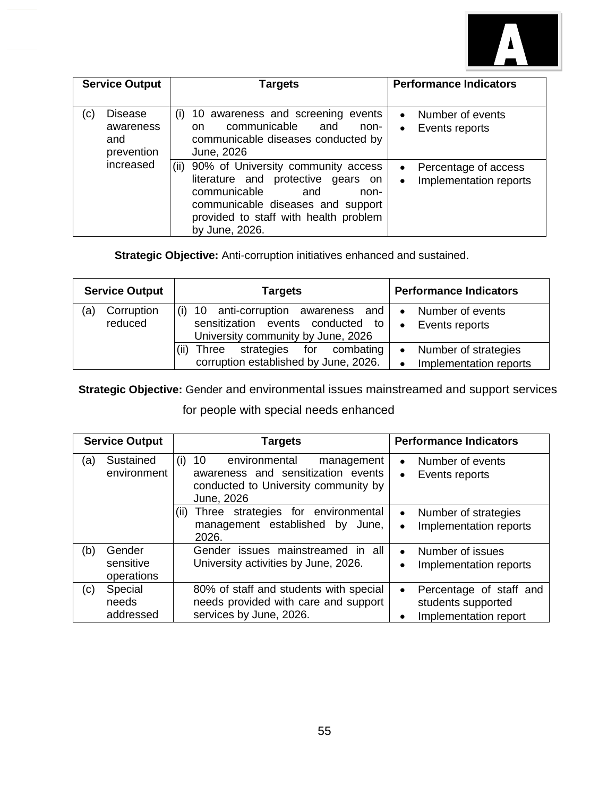

| <b>Service Output</b>                                   | Targets                                                                                                                                                                                                         | <b>Performance Indicators</b>                                            |
|---------------------------------------------------------|-----------------------------------------------------------------------------------------------------------------------------------------------------------------------------------------------------------------|--------------------------------------------------------------------------|
| <b>Disease</b><br>(c)<br>awareness<br>and<br>prevention | 10 awareness and screening events<br>(i)<br>communicable<br>and<br>non-<br>on.<br>communicable diseases conducted by<br>June, 2026                                                                              | Number of events<br>$\bullet$<br>Events reports<br>$\bullet$             |
| increased                                               | 90% of University community access<br>(ii)<br>literature and protective gears on<br>communicable<br>and<br>non-<br>communicable diseases and support<br>provided to staff with health problem<br>by June, 2026. | Percentage of access<br>$\bullet$<br>Implementation reports<br>$\bullet$ |

**Strategic Objective:** Anti-corruption initiatives enhanced and sustained.

| <b>Service Output</b>        | <b>Targets</b>                                                                                              | <b>Performance Indicators</b>                                |
|------------------------------|-------------------------------------------------------------------------------------------------------------|--------------------------------------------------------------|
| Corruption<br>(a)<br>reduced | 10 anti-corruption awareness and<br>sensitization events conducted to<br>University community by June, 2026 | Number of events<br>$\bullet$<br>Events reports<br>$\bullet$ |
|                              | strategies<br>for combating<br>Three<br>corruption established by June, 2026.                               | Number of strategies<br>Implementation reports               |

**Strategic Objective:** Gender and environmental issues mainstreamed and support services

for people with special needs enhanced

|     | <b>Service Output</b>             | <b>Targets</b>                                                                                                                       | <b>Performance Indicators</b>                                                       |  |  |  |  |
|-----|-----------------------------------|--------------------------------------------------------------------------------------------------------------------------------------|-------------------------------------------------------------------------------------|--|--|--|--|
| (a) | Sustained<br>environment          | environmental<br>10<br>(i)<br>management<br>awareness and sensitization events<br>conducted to University community by<br>June, 2026 | Number of events<br>$\bullet$<br>Events reports<br>$\bullet$                        |  |  |  |  |
|     |                                   | Three strategies for environmental<br>(11)<br>management established<br>by<br>June,<br>2026.                                         | Number of strategies<br>$\bullet$<br>Implementation reports<br>$\bullet$            |  |  |  |  |
| (b) | Gender<br>sensitive<br>operations | Gender issues mainstreamed in all<br>University activities by June, 2026.                                                            | Number of issues<br>$\bullet$<br>Implementation reports                             |  |  |  |  |
| (c) | Special<br>needs<br>addressed     | 80% of staff and students with special<br>needs provided with care and support<br>services by June, 2026.                            | Percentage of staff and<br>$\bullet$<br>students supported<br>Implementation report |  |  |  |  |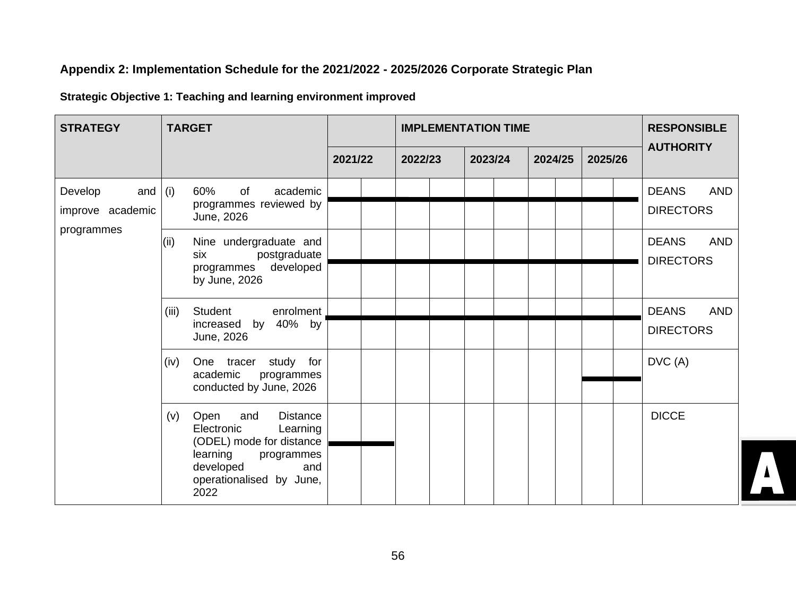# **Appendix 2: Implementation Schedule for the 2021/2022 - 2025/2026 Corporate Strategic Plan**

# **Strategic Objective 1: Teaching and learning environment improved**

| <b>STRATEGY</b>                          | <b>TARGET</b>                                                                                                                                                                 |         | <b>IMPLEMENTATION TIME</b> | <b>RESPONSIBLE</b> |         |         |                                                |
|------------------------------------------|-------------------------------------------------------------------------------------------------------------------------------------------------------------------------------|---------|----------------------------|--------------------|---------|---------|------------------------------------------------|
|                                          |                                                                                                                                                                               | 2021/22 | 2022/23                    | 2023/24            | 2024/25 | 2025/26 | <b>AUTHORITY</b>                               |
| Develop<br>and $(i)$<br>improve academic | 60%<br>of<br>academic<br>programmes reviewed by<br>June, 2026                                                                                                                 |         |                            |                    |         |         | <b>DEANS</b><br><b>AND</b><br><b>DIRECTORS</b> |
| programmes                               | Nine undergraduate and<br>(ii)<br>postgraduate<br>six<br>programmes developed<br>by June, 2026                                                                                |         |                            |                    |         |         | <b>DEANS</b><br><b>AND</b><br><b>DIRECTORS</b> |
|                                          | (iii)<br>Student<br>enrolment<br>increased by 40% by<br>June, 2026                                                                                                            |         |                            |                    |         |         | <b>DEANS</b><br><b>AND</b><br><b>DIRECTORS</b> |
|                                          | One tracer study for<br>(iv)<br>academic<br>programmes<br>conducted by June, 2026                                                                                             |         |                            |                    |         |         | DVC (A)                                        |
|                                          | Open<br><b>Distance</b><br>(v)<br>and<br>Electronic<br>Learning<br>(ODEL) mode for distance<br>learning<br>programmes<br>developed<br>and<br>operationalised by June,<br>2022 |         |                            |                    |         |         | <b>DICCE</b>                                   |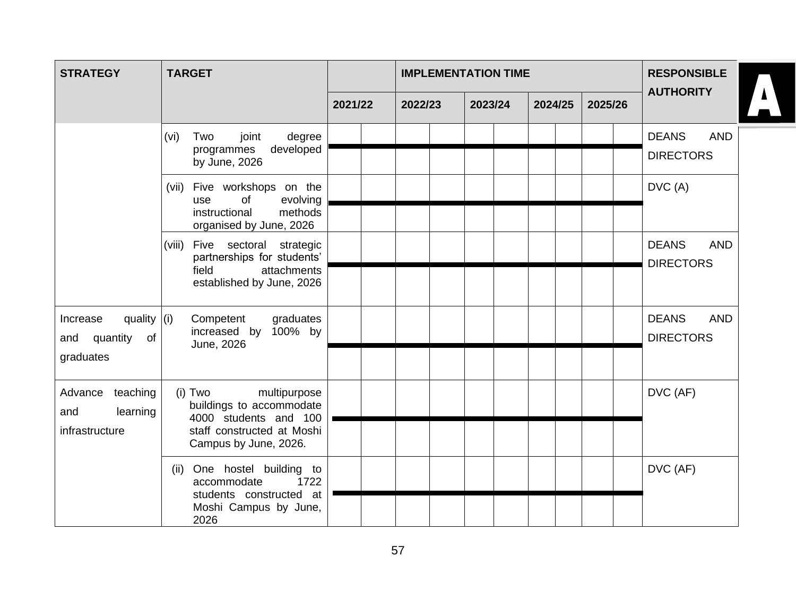| <b>STRATEGY</b>                                                   | <b>TARGET</b>                                                                                                                         |         |         | <b>IMPLEMENTATION TIME</b> | <b>RESPONSIBLE</b> |         |                                                |
|-------------------------------------------------------------------|---------------------------------------------------------------------------------------------------------------------------------------|---------|---------|----------------------------|--------------------|---------|------------------------------------------------|
|                                                                   |                                                                                                                                       | 2021/22 | 2022/23 | 2023/24                    | 2024/25            | 2025/26 | $\Delta$<br><b>AUTHORITY</b>                   |
|                                                                   | degree<br>(vi)<br>Two<br>joint<br>developed<br>programmes<br>by June, 2026                                                            |         |         |                            |                    |         | <b>DEANS</b><br><b>AND</b><br><b>DIRECTORS</b> |
|                                                                   | Five workshops on the<br>(vii)<br>evolving<br>of<br>use<br>instructional<br>methods<br>organised by June, 2026                        |         |         |                            |                    |         | DVC (A)                                        |
|                                                                   | (viii) Five sectoral strategic<br>partnerships for students'<br>field<br>attachments<br>established by June, 2026                     |         |         |                            |                    |         | <b>DEANS</b><br><b>AND</b><br><b>DIRECTORS</b> |
| quality $ (i) $<br>Increase<br>quantity<br>of<br>and<br>graduates | Competent<br>graduates<br>100% by<br>increased by<br>June, 2026                                                                       |         |         |                            |                    |         | <b>DEANS</b><br><b>AND</b><br><b>DIRECTORS</b> |
| teaching<br>Advance<br>and<br>learning<br>infrastructure          | $(i)$ Two<br>multipurpose<br>buildings to accommodate<br>4000 students and 100<br>staff constructed at Moshi<br>Campus by June, 2026. |         |         |                            |                    |         | DVC (AF)                                       |
|                                                                   | One hostel building to<br>(ii)<br>1722<br>accommodate<br>students constructed at<br>Moshi Campus by June,<br>2026                     |         |         |                            |                    |         | DVC (AF)                                       |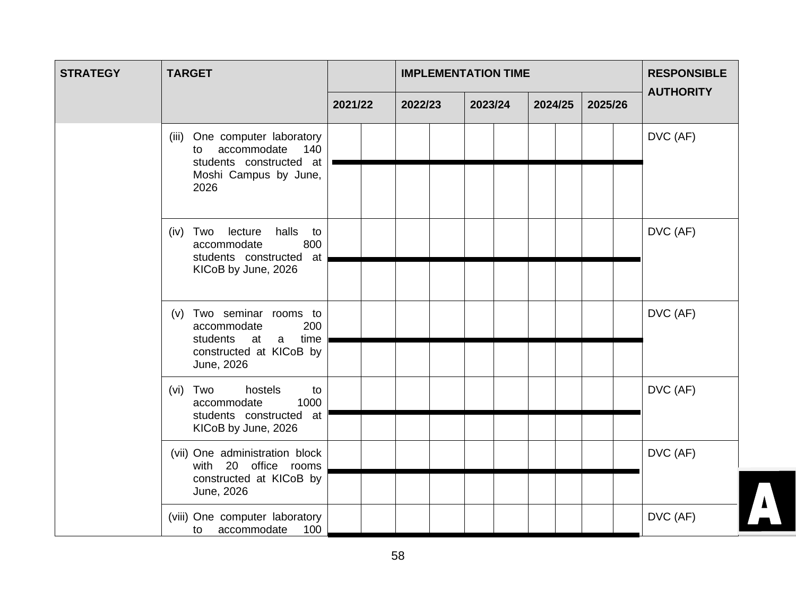| <b>STRATEGY</b> | <b>TARGET</b>                                                                                                                     |         | <b>IMPLEMENTATION TIME</b> |         |  |         |  |         |  |         |  | <b>RESPONSIBLE</b> |
|-----------------|-----------------------------------------------------------------------------------------------------------------------------------|---------|----------------------------|---------|--|---------|--|---------|--|---------|--|--------------------|
|                 |                                                                                                                                   | 2021/22 |                            | 2022/23 |  | 2023/24 |  | 2024/25 |  | 2025/26 |  | <b>AUTHORITY</b>   |
|                 | One computer laboratory<br>(iii)<br>accommodate<br>140<br>to<br>students constructed at<br>Moshi Campus by June,<br>2026          |         |                            |         |  |         |  |         |  |         |  | DVC (AF)           |
|                 | halls to<br>(iv) Two lecture<br>800<br>accommodate<br>students constructed at<br>KICoB by June, 2026                              |         |                            |         |  |         |  |         |  |         |  | DVC (AF)           |
|                 | (v) Two seminar rooms to<br>200<br>accommodate<br>students<br>time<br>at<br>$\mathsf{a}$<br>constructed at KICoB by<br>June, 2026 |         |                            |         |  |         |  |         |  |         |  | DVC (AF)           |
|                 | hostels<br>(vi) Two<br>to<br>1000<br>accommodate<br>students constructed at<br>KICoB by June, 2026                                |         |                            |         |  |         |  |         |  |         |  | DVC (AF)           |
|                 | (vii) One administration block<br>with 20 office rooms<br>constructed at KICoB by<br>June, 2026                                   |         |                            |         |  |         |  |         |  |         |  | DVC (AF)           |
|                 | (viii) One computer laboratory<br>100<br>accommodate<br>to                                                                        |         |                            |         |  |         |  |         |  |         |  | DVC (AF)           |